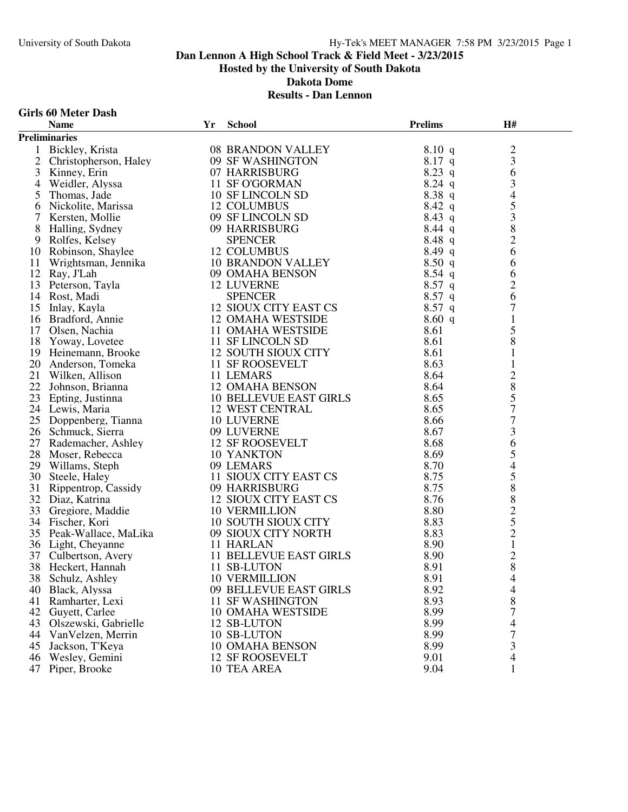# University of South Dakota Hy-Tek's MEET MANAGER 7:58 PM 3/23/2015 Page 1

# **Dan Lennon A High School Track & Field Meet - 3/23/2015 Hosted by the University of South Dakota**

**Dakota Dome**

#### **Results - Dan Lennon**

| <b>Girls 60 Meter Dash</b> |  |  |
|----------------------------|--|--|
|----------------------------|--|--|

|                | <b>Name</b>                                    | Yr | <b>School</b>                 | <b>Prelims</b> | H#                                    |  |
|----------------|------------------------------------------------|----|-------------------------------|----------------|---------------------------------------|--|
|                | <b>Preliminaries</b>                           |    |                               |                |                                       |  |
|                | 1 Bickley, Krista                              |    | 08 BRANDON VALLEY             | 8.10 q         |                                       |  |
| 2              | Christopherson, Haley                          |    | 09 SF WASHINGTON              | $8.17$ q       | $\frac{2}{3}$                         |  |
| 3              | Kinney, Erin                                   |    | 07 HARRISBURG                 | $8.23$ q       | 6                                     |  |
| $\overline{4}$ | Weidler, Alyssa                                |    | 11 SF O'GORMAN                | $8.24$ q       | 3                                     |  |
| 5              | Thomas, Jade                                   |    | 10 SF LINCOLN SD              | 8.38q          | $\overline{4}$                        |  |
| 6              | Nickolite, Marissa                             |    | 12 COLUMBUS                   | $8.42\ q$      | 5                                     |  |
|                | Kersten, Mollie                                |    | 09 SF LINCOLN SD              | $8.43$ q       | $\overline{\mathbf{3}}$               |  |
| 8              | Halling, Sydney                                |    | 09 HARRISBURG                 | $8.44$ q       |                                       |  |
| 9              | Rolfes, Kelsey                                 |    | <b>SPENCER</b>                | 8.48 q         | $\begin{array}{c} 8 \\ 2 \end{array}$ |  |
| 10             | Robinson, Shaylee                              |    | 12 COLUMBUS                   | $8.49\ q$      | 6                                     |  |
| 11             | Wrightsman, Jennika                            |    | 10 BRANDON VALLEY             | 8.50q          | 6                                     |  |
| 12             | Ray, J'Lah                                     |    | 09 OMAHA BENSON               | $8.54$ q       | 6                                     |  |
|                | 12 Ray, $J_{\text{Lul}}$<br>13 Peterson, Tayla |    | <b>12 LUVERNE</b>             | $8.57$ q       | $\overline{c}$                        |  |
|                |                                                |    | <b>SPENCER</b>                | $8.57$ q       | 6                                     |  |
|                | 15 Inlay, Kayla                                |    | 12 SIOUX CITY EAST CS         | $8.57$ q       | 7                                     |  |
| 16             | Bradford, Annie                                |    | <b>12 OMAHA WESTSIDE</b>      | 8.60 q         | $\mathbf{1}$                          |  |
|                | 17 Olsen, Nachia                               |    | 11 OMAHA WESTSIDE             | 8.61           | 5                                     |  |
|                | 18 Yoway, Lovetee                              |    | 11 SF LINCOLN SD              | 8.61           | $\,8\,$                               |  |
|                |                                                |    | 12 SOUTH SIOUX CITY           | 8.61           | $\mathbf{1}$                          |  |
|                | 19 Heinemann, Brooke<br>20 Anderson, Tomeka    |    | 11 SF ROOSEVELT               | 8.63           | $\mathbf{1}$                          |  |
|                | 21 Wilken, Allison                             |    | 11 LEMARS                     | 8.64           |                                       |  |
|                | 22 Johnson, Brianna                            |    | <b>12 OMAHA BENSON</b>        | 8.64           | $\frac{2}{8}$                         |  |
|                | 23 Epting, Justinna                            |    | <b>10 BELLEVUE EAST GIRLS</b> | 8.65           | 5                                     |  |
|                | 24 Lewis, Maria                                |    | 12 WEST CENTRAL               | 8.65           | $\boldsymbol{7}$                      |  |
|                | 25 Doppenberg, Tianna                          |    | <b>10 LUVERNE</b>             | 8.66           | $\boldsymbol{7}$                      |  |
|                | 26 Schmuck, Sierra                             |    | 09 LUVERNE                    | 8.67           | $\mathfrak 3$                         |  |
|                | 27 Rademacher, Ashley                          |    | 12 SF ROOSEVELT               | 8.68           | 6                                     |  |
| 28             | Moser, Rebecca                                 |    | 10 YANKTON                    | 8.69           | 5                                     |  |
|                | 29 Willams, Steph                              |    | 09 LEMARS                     | 8.70           | $\overline{4}$                        |  |
|                | 30 Steele, Haley                               |    | 11 SIOUX CITY EAST CS         | 8.75           | $\mathfrak s$                         |  |
|                | 31 Rippentrop, Cassidy                         |    | 09 HARRISBURG                 | 8.75           | $\,$ $\,$                             |  |
|                | 32 Diaz, Katrina                               |    | 12 SIOUX CITY EAST CS         | 8.76           |                                       |  |
|                | 33 Gregiore, Maddie                            |    | <b>10 VERMILLION</b>          | 8.80           |                                       |  |
|                | 34 Fischer, Kori                               |    | <b>10 SOUTH SIOUX CITY</b>    | 8.83           |                                       |  |
|                | 35 Peak-Wallace, MaLika                        |    | 09 SIOUX CITY NORTH           | 8.83           | 82521                                 |  |
|                | 36 Light, Cheyanne                             |    | 11 HARLAN                     | 8.90           |                                       |  |
| 37             | Culbertson, Avery                              |    | <b>11 BELLEVUE EAST GIRLS</b> | 8.90           |                                       |  |
| 38             | Heckert, Hannah                                |    | 11 SB-LUTON                   | 8.91           | $\begin{array}{c} 2 \\ 8 \end{array}$ |  |
|                | 38 Schulz, Ashley                              |    | <b>10 VERMILLION</b>          | 8.91           | $\overline{\mathcal{L}}$              |  |
| 40             | Black, Alyssa                                  |    | 09 BELLEVUE EAST GIRLS        | 8.92           | 4                                     |  |
| 41             | Ramharter, Lexi                                |    | <b>11 SF WASHINGTON</b>       | 8.93           | 8                                     |  |
| 42             | Guyett, Carlee                                 |    | <b>10 OMAHA WESTSIDE</b>      | 8.99           | 7                                     |  |
| 43             | Olszewski, Gabrielle                           |    | 12 SB-LUTON                   | 8.99           | 4                                     |  |
| 44             | VanVelzen, Merrin                              |    | 10 SB-LUTON                   | 8.99           | 7                                     |  |
| 45             | Jackson, T'Keya                                |    | <b>10 OMAHA BENSON</b>        | 8.99           | 3                                     |  |
| 46             | Wesley, Gemini                                 |    | <b>12 SF ROOSEVELT</b>        | 9.01           | 4                                     |  |
| 47             | Piper, Brooke                                  |    | 10 TEA AREA                   | 9.04           | 1                                     |  |
|                |                                                |    |                               |                |                                       |  |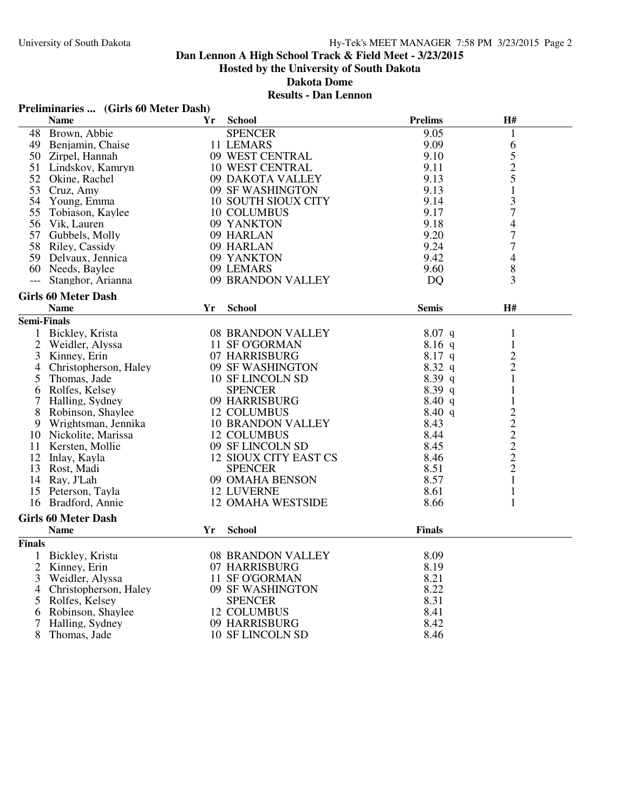**Dakota Dome**

# **Results - Dan Lennon**

# **Preliminaries ... (Girls 60 Meter Dash)**

|                    | <b>Name</b>                | Yr | <b>School</b>                | <b>Prelims</b> | H#               |
|--------------------|----------------------------|----|------------------------------|----------------|------------------|
| 48                 | Brown, Abbie               |    | <b>SPENCER</b>               | 9.05           | $\mathbf{1}$     |
|                    | 49 Benjamin, Chaise        |    | 11 LEMARS                    | 9.09           | 6                |
|                    | 50 Zirpel, Hannah          |    | 09 WEST CENTRAL              | 9.10           |                  |
| 51                 | Lindskov, Kamryn           |    | <b>10 WEST CENTRAL</b>       | 9.11           | $\frac{5}{2}$    |
| 52                 | Okine, Rachel              |    | 09 DAKOTA VALLEY             | 9.13           |                  |
|                    | 53 Cruz, Amy               |    | 09 SF WASHINGTON             | 9.13           | $\mathbf{1}$     |
|                    | 54 Young, Emma             |    | <b>10 SOUTH SIOUX CITY</b>   | 9.14           | 3                |
| 55                 | Tobiason, Kaylee           |    | 10 COLUMBUS                  | 9.17           | $\overline{7}$   |
|                    | 56 Vik, Lauren             |    | 09 YANKTON                   | 9.18           | $\overline{4}$   |
|                    | 57 Gubbels, Molly          |    | 09 HARLAN                    | 9.20           | $\boldsymbol{7}$ |
|                    | 58 Riley, Cassidy          |    | 09 HARLAN                    | 9.24           | 7                |
|                    | 59 Delvaux, Jennica        |    | 09 YANKTON                   | 9.42           | $\overline{4}$   |
|                    | 60 Needs, Baylee           |    | 09 LEMARS                    | 9.60           | 8                |
| $---$              | Stanghor, Arianna          |    | 09 BRANDON VALLEY            | <b>DQ</b>      | 3                |
|                    | <b>Girls 60 Meter Dash</b> |    |                              |                |                  |
|                    |                            |    |                              |                |                  |
|                    | <b>Name</b>                | Yr | <b>School</b>                | <b>Semis</b>   | H#               |
| <b>Semi-Finals</b> |                            |    |                              |                |                  |
| $\mathbf{1}$       | Bickley, Krista            |    | 08 BRANDON VALLEY            | $8.07$ q       | $\mathbf{1}$     |
| $\overline{2}$     | Weidler, Alyssa            |    | 11 SF O'GORMAN               | $8.16$ q       | $\mathbf{1}$     |
| 3                  | Kinney, Erin               |    | 07 HARRISBURG                | 8.17 q         | $\overline{c}$   |
| 4                  | Christopherson, Haley      |    | 09 SF WASHINGTON             | $8.32\ q$      | $\overline{c}$   |
| 5                  | Thomas, Jade               |    | 10 SF LINCOLN SD             | 8.39q          | $\mathbf{1}$     |
| 6                  | Rolfes, Kelsey             |    | <b>SPENCER</b>               | 8.39 q         | $\mathbf{1}$     |
| 7                  | Halling, Sydney            |    | 09 HARRISBURG                | 8.40 q         | 1                |
| 8                  | Robinson, Shaylee          |    | 12 COLUMBUS                  | 8.40 q         |                  |
| 9                  | Wrightsman, Jennika        |    | <b>10 BRANDON VALLEY</b>     | 8.43           |                  |
|                    | 10 Nickolite, Marissa      |    | 12 COLUMBUS                  | 8.44           |                  |
|                    | 11 Kersten, Mollie         |    | 09 SF LINCOLN SD             | 8.45           |                  |
|                    | 12 Inlay, Kayla            |    | <b>12 SIOUX CITY EAST CS</b> | 8.46           | $22222$<br>$222$ |
|                    | 13 Rost, Madi              |    | <b>SPENCER</b>               | 8.51           |                  |
|                    | 14 Ray, J'Lah              |    | 09 OMAHA BENSON              | 8.57           | $\mathbf{1}$     |
| 15                 | Peterson, Tayla            |    | <b>12 LUVERNE</b>            | 8.61           | $\mathbf{1}$     |
|                    | 16 Bradford, Annie         |    | <b>12 OMAHA WESTSIDE</b>     | 8.66           | $\mathbf{1}$     |
|                    | <b>Girls 60 Meter Dash</b> |    |                              |                |                  |
|                    | <b>Name</b>                | Yr | <b>School</b>                | <b>Finals</b>  |                  |
| <b>Finals</b>      |                            |    |                              |                |                  |
|                    | 1 Bickley, Krista          |    | 08 BRANDON VALLEY            | 8.09           |                  |
| $\mathfrak{2}$     | Kinney, Erin               |    | 07 HARRISBURG                | 8.19           |                  |
| 3                  | Weidler, Alyssa            |    | 11 SF O'GORMAN               | 8.21           |                  |
| 4                  | Christopherson, Haley      |    | 09 SF WASHINGTON             | 8.22           |                  |
| 5                  | Rolfes, Kelsey             |    | <b>SPENCER</b>               | 8.31           |                  |
| 6                  | Robinson, Shaylee          |    | 12 COLUMBUS                  | 8.41           |                  |
| 7                  | Halling, Sydney            |    | 09 HARRISBURG                | 8.42           |                  |
| 8                  | Thomas, Jade               |    | <b>10 SF LINCOLN SD</b>      | 8.46           |                  |
|                    |                            |    |                              |                |                  |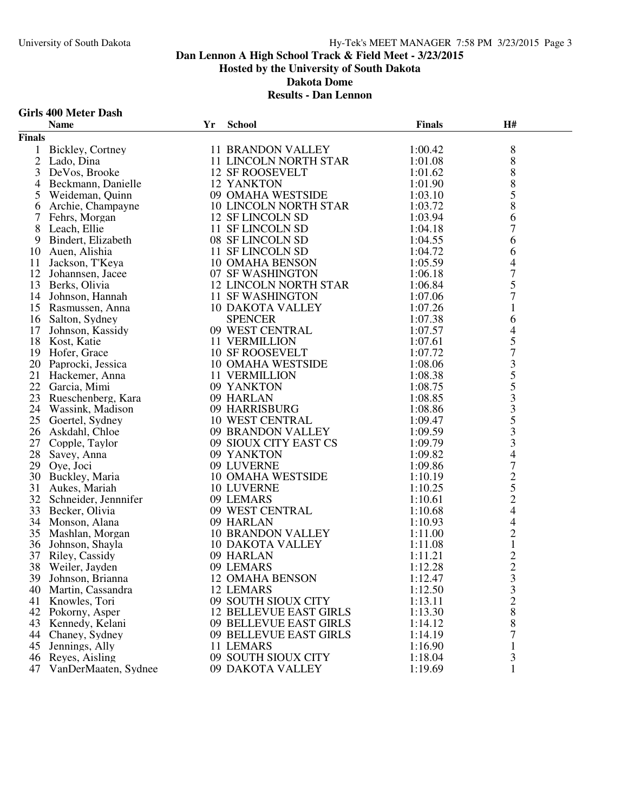### **Girls 400 Meter Dash**

|               | <b>Name</b>                                                             | Yr | <b>School</b>                                                      | <b>Finals</b> | <b>H#</b>                                       |  |
|---------------|-------------------------------------------------------------------------|----|--------------------------------------------------------------------|---------------|-------------------------------------------------|--|
| <b>Finals</b> |                                                                         |    |                                                                    |               |                                                 |  |
|               | 1 Bickley, Cortney                                                      |    | <b>11 BRANDON VALLEY</b>                                           | 1:00.42       | $\,8\,$                                         |  |
|               | 2 Lado, Dina                                                            |    | 11 LINCOLN NORTH STAR                                              | 1:01.08       | $\,8\,$                                         |  |
| 3             | DeVos, Brooke                                                           |    | <b>12 SF ROOSEVELT</b>                                             | 1:01.62       | 8                                               |  |
| 4             | Beckmann, Danielle                                                      |    | 12 YANKTON                                                         | 1:01.90       | $\,8\,$                                         |  |
| 5             |                                                                         |    | 09 OMAHA WESTSIDE                                                  | 1:03.10       | $\overline{5}$                                  |  |
| 6             |                                                                         |    | 10 LINCOLN NORTH STAR                                              | 1:03.72       | 8                                               |  |
| 7             | Weideman, Quinn<br>Archie, Champayne<br>Fehrs, Morgan<br>Leach, Ellie   |    | 12 SF LINCOLN SD                                                   | 1:03.94       | 6                                               |  |
| 8             | Leach, Ellie                                                            |    | 11 SF LINCOLN SD                                                   | 1:04.18       | $\overline{7}$                                  |  |
| 9             | Bindert, Elizabeth                                                      |    | 08 SF LINCOLN SD                                                   | 1:04.55       | 6                                               |  |
| 10            | Auen, Alishia                                                           |    | 11 SF LINCOLN SD<br>10 OMAHA BENSON<br>07 SF WASHINGTON            | 1:04.72       | 6                                               |  |
| 11            | Jackson, T'Keya                                                         |    |                                                                    | 1:05.59       | $\overline{\mathcal{L}}$                        |  |
|               | 12 Johannsen, Jacee<br><sup>12</sup> Barks Olivia                       |    |                                                                    | 1:06.18       | $\overline{7}$                                  |  |
|               | 13 Berks, Olivia                                                        |    | 12 LINCOLN NORTH STAR<br>11 SE WASHINGTON                          | 1:06.84       | 5                                               |  |
|               | 14 Johnson, Hannah                                                      |    | 11 SF WASHINGTON                                                   | 1:07.06       | $\overline{7}$                                  |  |
|               | 15 Rasmussen, Anna                                                      |    | <b>10 DAKOTA VALLEY</b>                                            | 1:07.26       | $\mathbf{1}$                                    |  |
|               | 16 Salton, Sydney                                                       |    | <b>SPENCER</b>                                                     | 1:07.38       | 6                                               |  |
| 17            | Johnson, Kassidy                                                        |    | 09 WEST CENTRAL                                                    | 1:07.57       |                                                 |  |
|               | 18 Kost, Katie                                                          |    | 11 VERMILLION                                                      | 1:07.61       | $rac{4}{5}$                                     |  |
|               | 19 Hofer, Grace                                                         |    | <b>10 SF ROOSEVELT</b>                                             | 1:07.72       |                                                 |  |
|               | 20 Paprocki, Jessica                                                    |    | 10 OMAHA WESTSIDE<br>11 VERMII LION                                | 1:08.06       |                                                 |  |
|               | 21 Hackemer, Anna                                                       |    | 11 VERMILLION                                                      | 1:08.38       |                                                 |  |
| 22            | Garcia, Mimi                                                            |    |                                                                    | 1:08.75       | 73553                                           |  |
| 23            |                                                                         |    |                                                                    | 1:08.85       |                                                 |  |
|               | Garcia, Millin<br>Rueschenberg, Kara<br>24 Wassink, Madison             |    | 09 HARLAN<br>09 HARRISBURG<br>10 WEST CENTRAL<br>09 BRANDON VALLER | 1:08.86       | $\begin{array}{c} 3 \\ 5 \\ 3 \\ 3 \end{array}$ |  |
|               | 25 Goertel, Sydney                                                      |    |                                                                    | 1:09.47       |                                                 |  |
|               | 26 Askdahl, Chloe                                                       |    | 09 BRANDON VALLEY                                                  | 1:09.59       |                                                 |  |
| 27            | Copple, Taylor                                                          |    | 09 SIOUX CITY EAST CS                                              | 1:09.79       |                                                 |  |
|               | 28 Savey, Anna                                                          |    | 09 YANKTON                                                         | 1:09.82       | $\overline{4}$                                  |  |
|               | 29 Oye, Joci                                                            |    | 09 LUVERNE                                                         | 1:09.86       | $\overline{7}$                                  |  |
|               | 30 Buckley, Maria                                                       |    | <b>10 OMAHA WESTSIDE</b>                                           | 1:10.19       | $\frac{2}{5}$<br>$\frac{2}{4}$                  |  |
|               | 31 Aukes, Mariah                                                        |    | <b>10 LUVERNE</b>                                                  | 1:10.25       |                                                 |  |
|               | 32 Schneider, Jenneifer<br>33 Becker Olivia                             |    | 09 LEMARS                                                          | 1:10.61       |                                                 |  |
|               | 33 Becker, Olivia                                                       |    | 09 WEST CENTRAL                                                    | 1:10.68       |                                                 |  |
|               | 34 Monson, Alana                                                        |    | 09 HARLAN                                                          | 1:10.93       | $\overline{4}$                                  |  |
|               |                                                                         |    | 10 BRANDON VALLEY                                                  | 1:11.00       | $\sqrt{2}$                                      |  |
|               | 35 Mashlan, Morgan<br>36 Johnson, Shayla<br><sup>27</sup> Piley Cassidy |    | 10 DAKOTA VALLEY                                                   | 1:11.08       | $\,1$                                           |  |
|               | 37 Riley, Cassidy                                                       |    | 09 HARLAN                                                          | 1:11.21       | $\frac{2}{2}$                                   |  |
| 38            | Weiler, Jayden                                                          |    | 09 LEMARS                                                          | 1:12.28       |                                                 |  |
|               | 39 Johnson, Brianna                                                     |    | <b>12 OMAHA BENSON</b>                                             | 1:12.47       | 3                                               |  |
|               | 40 Martin, Cassandra                                                    |    | 12 LEMARS                                                          | 1:12.50       | 3                                               |  |
|               | 41 Knowles, Tori                                                        |    | 09 SOUTH SIOUX CITY                                                | 1:13.11       | $\overline{c}$                                  |  |
|               | 42 Pokorny, Asper                                                       |    | <b>12 BELLEVUE EAST GIRLS</b>                                      | 1:13.30       | 8                                               |  |
|               | 43 Kennedy, Kelani                                                      |    | 09 BELLEVUE EAST GIRLS                                             | 1:14.12       | 8                                               |  |
|               | 44 Chaney, Sydney                                                       |    | 09 BELLEVUE EAST GIRLS                                             | 1:14.19       | 7                                               |  |
| 45            | Jennings, Ally                                                          |    | 11 LEMARS                                                          | 1:16.90       | 1                                               |  |
| 46            | Reyes, Aisling                                                          |    | 09 SOUTH SIOUX CITY                                                | 1:18.04       | 3                                               |  |
| 47            | VanDerMaaten, Sydnee                                                    |    | 09 DAKOTA VALLEY                                                   | 1:19.69       | 1                                               |  |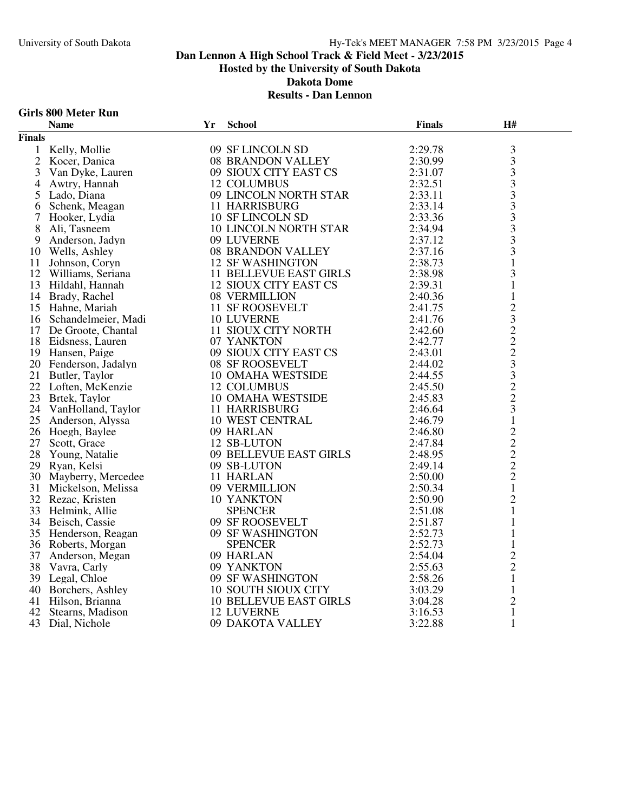#### **Girls 800 Meter Run**

|                | <b>Name</b>                                                         | Yr | <b>School</b>                                              | <b>Finals</b> | H#                                                |  |
|----------------|---------------------------------------------------------------------|----|------------------------------------------------------------|---------------|---------------------------------------------------|--|
| <b>Finals</b>  |                                                                     |    |                                                            |               |                                                   |  |
|                | 1 Kelly, Mollie                                                     |    | 09 SF LINCOLN SD                                           | 2:29.78       |                                                   |  |
| $\overline{2}$ | Kocer, Danica                                                       |    | 08 BRANDON VALLEY                                          | 2:30.99       | $\frac{3}{3}$                                     |  |
| 3              |                                                                     |    | 09 SIOUX CITY EAST CS                                      | 2:31.07       |                                                   |  |
| 4              | Van Dyke, Lauren<br>Awtry, Hannah<br>Lado Diana                     |    | 12 COLUMBUS                                                | 2:32.51       |                                                   |  |
| 5              | Lado, Diana                                                         |    | 09 LINCOLN NORTH STAR                                      | 2:33.11       |                                                   |  |
| 6              | Schenk, Meagan                                                      |    | <b>11 HARRISBURG</b>                                       | 2:33.14       |                                                   |  |
| 7              | Hooker, Lydia                                                       |    | 10 SF LINCOLN SD                                           | 2:33.36       | $3333$<br>$333$                                   |  |
| 8              | Ali, Tasneem                                                        |    | 10 LINCOLN NORTH STAR                                      | 2:34.94       |                                                   |  |
| 9.             | Anderson, Jadyn                                                     |    | 09 LUVERNE                                                 | 2:37.12       |                                                   |  |
| 10             | Wells, Ashley                                                       |    | <b>08 BRANDON VALLEY</b>                                   | 2:37.16       | $\frac{3}{3}$                                     |  |
|                | 11 Johnson, Coryn                                                   |    | <b>12 SF WASHINGTON</b>                                    | 2:38.73       | $\mathbf{1}$                                      |  |
|                | 12 Williams, Seriana                                                |    | 11 BELLEVUE EAST GIRLS                                     | 2:38.98       | 3                                                 |  |
| 13             | Hildahl, Hannah                                                     |    | <b>12 SIOUX CITY EAST CS</b>                               | 2:39.31       | $\mathbf 1$                                       |  |
|                | 14 Brady, Rachel                                                    |    | 08 VERMILLION                                              | 2:40.36       | $\mathbf{1}$                                      |  |
|                | 15 Hahne, Mariah<br>16 Schandelmeier, Madi<br>17 De Groote, Chantal |    | 11 SF ROOSEVELT                                            | 2:41.75       |                                                   |  |
|                |                                                                     |    | 10 LUVERNE                                                 | 2:41.76       |                                                   |  |
|                | 17 De Groote, Chantal                                               |    | 11 SIOUX CITY NORTH                                        | 2:42.60       |                                                   |  |
|                | 18 Eidsness, Lauren                                                 |    | 07 YANKTON                                                 | 2:42.77       |                                                   |  |
|                | 19 Hansen, Paige                                                    |    | 09 SIOUX CITY EAST CS                                      | 2:43.01       |                                                   |  |
|                | 20 Fenderson, Jadalyn                                               |    | 08 SF ROOSEVELT                                            | 2:44.02       |                                                   |  |
|                | 21 Butler, Taylor                                                   |    | 10 OMAHA WESTSIDE                                          | 2:44.55       |                                                   |  |
|                | 22 Loften, McKenzie                                                 |    | 12 COLUMBUS                                                | 2:45.50       | $232223$<br>$33223$                               |  |
|                | 23 Brtek, Taylor                                                    |    |                                                            | 2:45.83       |                                                   |  |
| 24             | VanHolland, Taylor                                                  |    | 10 OMAHA WESTSIDE<br>11 HARRISBURG<br><b>11 HARRISBURG</b> | 2:46.64       |                                                   |  |
| 25             |                                                                     |    | 10 WEST CENTRAL                                            | 2:46.79       | $\mathbf 1$                                       |  |
|                | Anderson, Alyssa<br>Hoegh. Baylee<br>26 Hoegh, Baylee               |    | 09 HARLAN                                                  | 2:46.80       |                                                   |  |
| 27             | Scott, Grace                                                        |    | 12 SB-LUTON                                                | 2:47.84       |                                                   |  |
| 28             | Young, Natalie                                                      |    |                                                            | 2:48.95       |                                                   |  |
|                | 29 Ryan, Kelsi                                                      |    | 09 BELLEVUE EAST GIRLS<br>09 SB-LUTON<br>11 HARLAN         | 2:49.14       | $\begin{array}{c}\n2 \\ 2 \\ 2 \\ 2\n\end{array}$ |  |
| 30             | Mayberry, Mercedee                                                  |    |                                                            | 2:50.00       |                                                   |  |
| 31             | Mickelson, Melissa                                                  |    | 09 VERMILLION                                              | 2:50.34       | $\mathbf{1}$                                      |  |
|                | 32 Rezac, Kristen                                                   |    | 10 YANKTON                                                 | 2:50.90       | $\overline{c}$                                    |  |
| 33             | Helmink, Allie                                                      |    | <b>SPENCER</b>                                             | 2:51.08       | $\mathbf{1}$                                      |  |
|                | 34 Beisch, Cassie                                                   |    | 09 SF ROOSEVELT                                            | 2:51.87       | $\mathbf{1}$                                      |  |
|                | 35 Henderson, Reagan                                                |    | 09 SF WASHINGTON                                           | 2:52.73       | $\mathbf{1}$                                      |  |
| 36             | Roberts, Morgan                                                     |    | <b>SPENCER</b>                                             | 2:52.73       | $\mathbf{1}$                                      |  |
| 37             | Anderson, Megan                                                     |    | 09 HARLAN                                                  | 2:54.04       |                                                   |  |
|                | 38 Vavra, Carly                                                     |    | 09 YANKTON                                                 | 2:55.63       | $\frac{2}{2}$                                     |  |
| 39             | Legal, Chloe                                                        |    | 09 YAINNI UN<br>09 SF WASHINGTON<br>2001 IV OTTV OTTV      | 2:58.26       | $\mathbf{1}$                                      |  |
| 40             | Borchers, Ashley                                                    |    | <b>10 SOUTH SIOUX CITY</b>                                 | 3:03.29       | $\mathbf{1}$                                      |  |
| 41             | Hilson, Brianna                                                     |    | <b>10 BELLEVUE EAST GIRLS</b>                              | 3:04.28       | $\overline{2}$                                    |  |
| 42             | Stearns, Madison                                                    |    | <b>12 LUVERNE</b>                                          | 3:16.53       | $\mathbf{1}$                                      |  |
|                | 43 Dial, Nichole                                                    |    | 09 DAKOTA VALLEY                                           | 3:22.88       | $\mathbf{1}$                                      |  |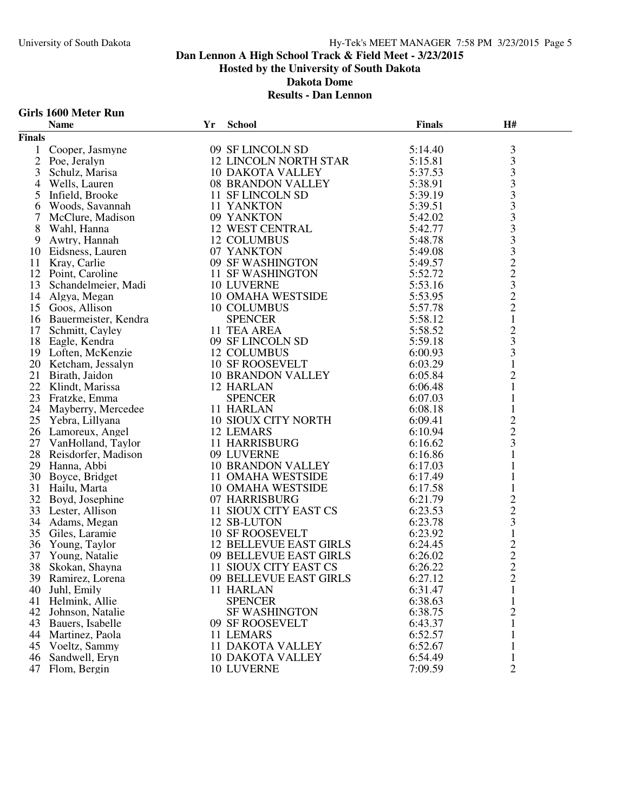#### **Girls 1600 Meter Run**

|                | <b>Name</b>                           | Yr | <b>School</b>                 | <b>Finals</b> | H#                                         |  |
|----------------|---------------------------------------|----|-------------------------------|---------------|--------------------------------------------|--|
| <b>Finals</b>  |                                       |    |                               |               |                                            |  |
| 1              | Cooper, Jasmyne                       |    | 09 SF LINCOLN SD              | 5:14.40       | $\mathfrak{Z}$                             |  |
| $\mathfrak{2}$ | Poe, Jeralyn                          |    | <b>12 LINCOLN NORTH STAR</b>  | 5:15.81       |                                            |  |
| 3              | Schulz, Marisa                        |    | <b>10 DAKOTA VALLEY</b>       | 5:37.53       | $\begin{array}{c} 3 \\ 3 \\ 3 \end{array}$ |  |
| 4              | Wells, Lauren                         |    | <b>08 BRANDON VALLEY</b>      | 5:38.91       |                                            |  |
| 5              | Infield, Brooke                       |    | 11 SF LINCOLN SD              | 5:39.19       |                                            |  |
| 6              | Woods, Savannah                       |    | 11 YANKTON                    | 5:39.51       | $\frac{3}{3}$                              |  |
| 7              | McClure, Madison                      |    | 09 YANKTON                    | 5:42.02       |                                            |  |
| 8              | Wahl, Hanna                           |    | 12 WEST CENTRAL               | 5:42.77       | $333222$<br>$2232$                         |  |
| 9              | Awtry, Hannah                         |    | <b>12 COLUMBUS</b>            | 5:48.78       |                                            |  |
| 10             | Eidsness, Lauren                      |    | 07 YANKTON                    | 5:49.08       |                                            |  |
| 11             | Kray, Carlie                          |    | 09 SF WASHINGTON              | 5:49.57       |                                            |  |
| 12             | Point, Caroline                       |    | 11 SF WASHINGTON              | 5:52.72       |                                            |  |
| 13             | Schandelmeier, Madi                   |    | <b>10 LUVERNE</b>             | 5:53.16       |                                            |  |
|                | 14 Algya, Megan                       |    | <b>10 OMAHA WESTSIDE</b>      | 5:53.95       |                                            |  |
|                | 15 Goos, Allison                      |    | 10 COLUMBUS                   | 5:57.78       |                                            |  |
|                | 16 Bauermeister, Kendra               |    | <b>SPENCER</b>                | 5:58.12       | $\mathbf{1}$                               |  |
|                | 17 Schmitt, Cayley                    |    | 11 TEA AREA                   | 5:58.52       |                                            |  |
|                | 18 Eagle, Kendra                      |    | 09 SF LINCOLN SD              | 5:59.18       | $\frac{2}{3}$                              |  |
|                | 19 Loften, McKenzie                   |    | 12 COLUMBUS                   | 6:00.93       | $\mathfrak{Z}$                             |  |
|                | 20 Ketcham, Jessalyn                  |    | <b>10 SF ROOSEVELT</b>        | 6:03.29       | $\mathbf{1}$                               |  |
|                | 21 Birath, Jaidon                     |    | 10 BRANDON VALLEY             | 6:05.84       | $\overline{c}$                             |  |
|                | 22 Klindt, Marissa                    |    | 12 HARLAN                     | 6:06.48       | $\mathbf{1}$                               |  |
| 23             | Fratzke, Emma                         |    | <b>SPENCER</b>                | 6:07.03       | 1                                          |  |
|                | 24 Mayberry, Mercedee                 |    | 11 HARLAN                     | 6:08.18       | $\mathbf{1}$                               |  |
|                | 25 Yebra, Lillyana                    |    | <b>10 SIOUX CITY NORTH</b>    | 6:09.41       |                                            |  |
|                | 26 Lamoreux, Angel                    |    | 12 LEMARS                     | 6:10.94       | $\frac{2}{3}$                              |  |
|                | 27 VanHolland, Taylor                 |    | <b>11 HARRISBURG</b>          | 6:16.62       |                                            |  |
|                | 28 Reisdorfer, Madison                |    | 09 LUVERNE                    | 6:16.86       | $\mathbf{1}$                               |  |
| 29             | Hanna, Abbi                           |    | <b>10 BRANDON VALLEY</b>      | 6:17.03       | 1                                          |  |
|                | 30 Boyce, Bridget                     |    | 11 OMAHA WESTSIDE             | 6:17.49       | $\mathbf{1}$                               |  |
|                | 31 Hailu, Marta                       |    | <b>10 OMAHA WESTSIDE</b>      | 6:17.58       |                                            |  |
| 32             |                                       |    | 07 HARRISBURG                 | 6:21.79       | $\mathbf{1}$                               |  |
|                | Boyd, Josephine<br>33 Lester, Allison |    | 11 SIOUX CITY EAST CS         | 6:23.53       | $\frac{2}{3}$                              |  |
|                | 34 Adams, Megan                       |    | 12 SB-LUTON                   | 6:23.78       |                                            |  |
| 35             | Giles, Laramie                        |    | <b>10 SF ROOSEVELT</b>        | 6:23.92       | $\mathbf{1}$                               |  |
| 36             |                                       |    | <b>12 BELLEVUE EAST GIRLS</b> | 6:24.45       |                                            |  |
| 37             | Young, Taylor<br>Young, Natalie       |    | 09 BELLEVUE EAST GIRLS        | 6:26.02       | $\begin{array}{c} 2 \\ 2 \\ 2 \end{array}$ |  |
| 38             | Skokan, Shayna                        |    | 11 SIOUX CITY EAST CS         | 6:26.22       |                                            |  |
|                |                                       |    |                               |               | $\overline{2}$                             |  |
|                | 39 Ramirez, Lorena                    |    | 09 BELLEVUE EAST GIRLS        | 6:27.12       |                                            |  |
| 40             | Juhl, Emily<br>Helmink, Allie         |    | 11 HARLAN                     | 6:31.47       | 1                                          |  |
| 41             |                                       |    | <b>SPENCER</b>                | 6:38.63       | 1                                          |  |
| 42             | Johnson, Natalie                      |    | <b>SF WASHINGTON</b>          | 6:38.75       | $\overline{2}$                             |  |
| 43             | Bauers, Isabelle                      |    | 09 SF ROOSEVELT               | 6:43.37       | 1                                          |  |
| 44             | Martinez, Paola                       |    | 11 LEMARS                     | 6:52.57       |                                            |  |
| 45             | Voeltz, Sammy                         |    | <b>11 DAKOTA VALLEY</b>       | 6:52.67       |                                            |  |
| 46             | Sandwell, Eryn                        |    | <b>10 DAKOTA VALLEY</b>       | 6:54.49       | 1                                          |  |
| 47             | Flom, Bergin                          |    | 10 LUVERNE                    | 7:09.59       | $\overline{2}$                             |  |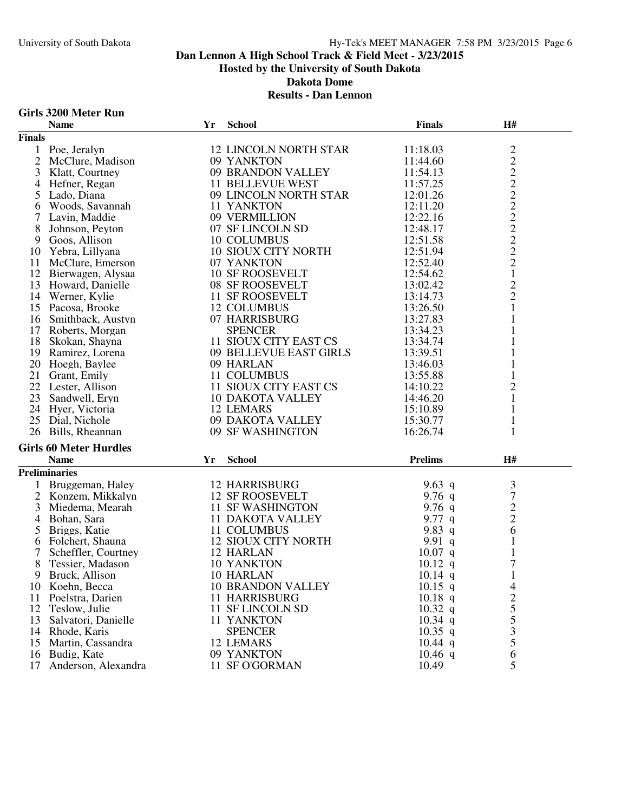#### **Girls 3200 Meter Run**

|                | <b>Name</b>                         | Yr | <b>School</b>                       | <b>Finals</b>  | H#                                         |  |
|----------------|-------------------------------------|----|-------------------------------------|----------------|--------------------------------------------|--|
| <b>Finals</b>  |                                     |    |                                     |                |                                            |  |
|                | 1 Poe, Jeralyn                      |    | <b>12 LINCOLN NORTH STAR</b>        | 11:18.03       |                                            |  |
| $\overline{2}$ | McClure, Madison                    |    | 09 YANKTON                          | 11:44.60       | 2222222222                                 |  |
| 3              | Klatt, Courtney                     |    | 09 BRANDON VALLEY                   | 11:54.13       |                                            |  |
| 4              | Hefner, Regan                       |    | <b>11 BELLEVUE WEST</b>             | 11:57.25       |                                            |  |
| 5              | Lado, Diana                         |    | 09 LINCOLN NORTH STAR               | 12:01.26       |                                            |  |
| 6              | Woods, Savannah                     |    | 11 YANKTON                          | 12:11.20       |                                            |  |
|                | Lavin, Maddie                       |    | 09 VERMILLION                       | 12:22.16       |                                            |  |
| 8              | Johnson, Peyton                     |    | 07 SF LINCOLN SD                    | 12:48.17       |                                            |  |
| 9              | Goos, Allison                       |    | 10 COLUMBUS                         | 12:51.58       |                                            |  |
| 10             | Yebra, Lillyana                     |    | <b>10 SIOUX CITY NORTH</b>          | 12:51.94       |                                            |  |
| 11             | McClure, Emerson                    |    | 07 YANKTON                          | 12:52.40       |                                            |  |
|                | 12 Bierwagen, Alysaa                |    | <b>10 SF ROOSEVELT</b>              | 12:54.62       | $\mathbf{1}$                               |  |
|                | 13 Howard, Danielle                 |    | 08 SF ROOSEVELT                     | 13:02.42       | $\frac{2}{2}$                              |  |
|                | 14 Werner, Kylie                    |    | 11 SF ROOSEVELT                     | 13:14.73       |                                            |  |
|                | 15 Pacosa, Brooke                   |    | 12 COLUMBUS                         | 13:26.50       | $\mathbf{1}$                               |  |
|                | 16 Smithback, Austyn                |    | 07 HARRISBURG                       | 13:27.83       | 1                                          |  |
|                | 17 Roberts, Morgan                  |    | <b>SPENCER</b>                      | 13:34.23       | 1                                          |  |
|                | 18 Skokan, Shayna                   |    | 11 SIOUX CITY EAST CS               | 13:34.74       | 1                                          |  |
|                | 19 Ramirez, Lorena                  |    | 09 BELLEVUE EAST GIRLS              | 13:39.51       | 1                                          |  |
|                | 20 Hoegh, Baylee                    |    | 09 HARLAN                           | 13:46.03       |                                            |  |
|                | 21 Grant, Emily                     |    | 11 COLUMBUS                         | 13:55.88       | 1                                          |  |
|                | 22 Lester, Allison                  |    | 11 SIOUX CITY EAST CS               | 14:10.22       | $\overline{c}$                             |  |
| 23             | Sandwell, Eryn                      |    | <b>10 DAKOTA VALLEY</b>             | 14:46.20       | $\mathbf{1}$                               |  |
|                | 24 Hyer, Victoria                   |    | 12 LEMARS                           | 15:10.89       | $\mathbf{1}$                               |  |
|                | 25 Dial, Nichole                    |    | 09 DAKOTA VALLEY                    | 15:30.77       | $\mathbf{1}$                               |  |
|                | 26 Bills, Rheannan                  |    | 09 SF WASHINGTON                    | 16:26.74       | 1                                          |  |
|                | <b>Girls 60 Meter Hurdles</b>       |    |                                     |                |                                            |  |
|                | <b>Name</b>                         | Yr | <b>School</b>                       | <b>Prelims</b> | H#                                         |  |
|                | <b>Preliminaries</b>                |    |                                     |                |                                            |  |
|                |                                     |    | <b>12 HARRISBURG</b>                | 9.63 q         | $\mathfrak{Z}$                             |  |
| $\overline{2}$ | Bruggeman, Haley                    |    |                                     | 9.76 $q$       | $\boldsymbol{7}$                           |  |
| 3              | Konzem, Mikkalyn<br>Miedema, Mearah |    | 12 SF ROOSEVELT<br>11 SF WASHINGTON | 9.76 $q$       |                                            |  |
| $\overline{4}$ | Bohan, Sara                         |    | <b>11 DAKOTA VALLEY</b>             | 9.77 $q$       |                                            |  |
| 5              | Briggs, Katie                       |    | 11 COLUMBUS                         | 9.83 q         | $\begin{array}{c} 2 \\ 2 \\ 6 \end{array}$ |  |
| 6              | Folchert, Shauna                    |    | <b>12 SIOUX CITY NORTH</b>          | 9.91 $q$       | 1                                          |  |
|                | Scheffler, Courtney                 |    | 12 HARLAN                           | $10.07$ q      | $\mathbf{1}$                               |  |
| 8              | Tessier, Madason                    |    | 10 YANKTON                          | $10.12$ q      | 7                                          |  |
| 9              | Bruck, Allison                      |    | 10 HARLAN                           | $10.14$ q      | $\mathbf{1}$                               |  |
|                | 10 Koehn, Becca                     |    | <b>10 BRANDON VALLEY</b>            | $10.15$ q      | $\overline{4}$                             |  |
| 11             | Poelstra, Darien                    |    | 11 HARRISBURG                       | $10.18$ q      | $\overline{\mathbf{c}}$                    |  |
| 12             | Teslow, Julie                       |    | 11 SF LINCOLN SD                    | $10.32$ q      | 5                                          |  |
| 13             | Salvatori, Danielle                 |    | 11 YANKTON                          | $10.34$ q      | 5                                          |  |
|                | 14 Rhode, Karis                     |    | <b>SPENCER</b>                      | $10.35$ q      | 3                                          |  |
| 15             | Martin, Cassandra                   |    | 12 LEMARS                           | $10.44$ q      | 5                                          |  |
|                | 16 Budig, Kate                      |    | 09 YANKTON                          | $10.46$ q      | 6                                          |  |
| 17             | Anderson, Alexandra                 |    | 11 SF O'GORMAN                      | 10.49          | 5                                          |  |
|                |                                     |    |                                     |                |                                            |  |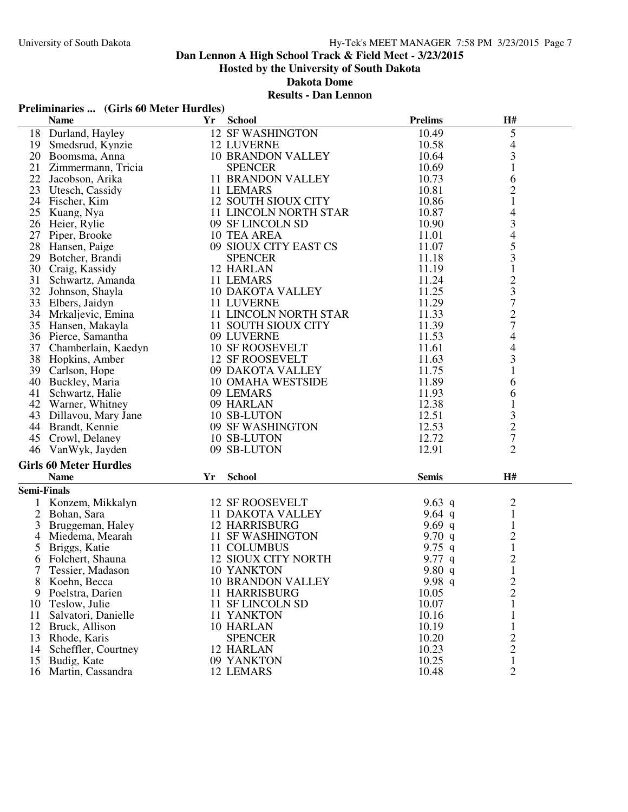# **Dan Lennon A High School Track & Field Meet - 3/23/2015**

**Hosted by the University of South Dakota**

**Dakota Dome**

#### **Results - Dan Lennon**

### **Preliminaries ... (Girls 60 Meter Hurdles)**

| <b>School</b><br><b>Name</b><br>Yr                       | <b>Prelims</b> | H#                             |  |
|----------------------------------------------------------|----------------|--------------------------------|--|
| 18 Durland, Hayley<br><b>12 SF WASHINGTON</b>            | 10.49          | $\mathfrak{S}$                 |  |
| 19 Smedsrud, Kynzie<br><b>12 LUVERNE</b>                 | 10.58          | $\overline{\mathcal{A}}$       |  |
| 20 Boomsma, Anna<br><b>10 BRANDON VALLEY</b>             | 10.64          | 3                              |  |
| 21 Zimmermann, Tricia<br><b>SPENCER</b>                  | 10.69          | $\mathbf{1}$                   |  |
| 22 Jacobson, Arika<br><b>11 BRANDON VALLEY</b>           | 10.73          | 6                              |  |
| 23 Utesch, Cassidy<br>11 LEMARS                          | 10.81          | $\overline{c}$                 |  |
| <b>12 SOUTH SIOUX CITY</b><br>24 Fischer, Kim            | 10.86          | $\mathbf{1}$                   |  |
| 25<br>Kuang, Nya<br>11 LINCOLN NORTH STAR                | 10.87          | 4                              |  |
| 26 Heier, Rylie<br>09 SF LINCOLN SD                      | 10.90          | 3                              |  |
| 27 Piper, Brooke<br>10 TEA AREA                          | 11.01          | $\overline{4}$                 |  |
| 28 Hansen, Paige<br>09 SIOUX CITY EAST CS                | 11.07          |                                |  |
| 29 Botcher, Brandi<br><b>SPENCER</b>                     | 11.18          | $\frac{5}{3}$                  |  |
| 12 HARLAN<br>30 Craig, Kassidy                           | 11.19          | $\mathbf{1}$                   |  |
| 31<br>Schwartz, Amanda<br>11 LEMARS                      | 11.24          |                                |  |
| 32 Johnson, Shayla<br><b>10 DAKOTA VALLEY</b>            | 11.25          |                                |  |
| 33 Elbers, Jaidyn<br>11 LUVERNE                          | 11.29          | $\frac{2}{7}$<br>$\frac{3}{7}$ |  |
| 11 LINCOLN NORTH STAR<br>34 Mrkaljevic, Emina            | 11.33          |                                |  |
| 11 SOUTH SIOUX CITY<br>35 Hansen, Makayla                | 11.39          |                                |  |
| 09 LUVERNE<br>36 Pierce, Samantha                        | 11.53          | 4                              |  |
| 37 Chamberlain, Kaedyn<br><b>10 SF ROOSEVELT</b>         | 11.61          | $\overline{4}$                 |  |
| 38 Hopkins, Amber<br>12 SF ROOSEVELT                     | 11.63          | 3                              |  |
| 39 Carlson, Hope<br>09 DAKOTA VALLEY                     | 11.75          | $\mathbf{1}$                   |  |
| 40 Buckley, Maria<br>10 OMAHA WESTSIDE                   | 11.89          | 6                              |  |
| 41 Schwartz, Halie<br>09 LEMARS                          | 11.93          | 6                              |  |
| 09 HARLAN<br>42 Warner, Whitney                          | 12.38          | $\mathbf{1}$                   |  |
| 43 Dillavou, Mary Jane<br>10 SB-LUTON                    | 12.51          |                                |  |
| 44 Brandt, Kennie<br>09 SF WASHINGTON                    | 12.53          | $\frac{3}{2}$                  |  |
| 10 SB-LUTON<br>45 Crowl, Delaney                         | 12.72          |                                |  |
| 46 VanWyk, Jayden<br>09 SB-LUTON                         | 12.91          | $\overline{2}$                 |  |
| <b>Girls 60 Meter Hurdles</b>                            |                |                                |  |
| <b>Name</b><br>Yr<br><b>School</b>                       | <b>Semis</b>   | H#                             |  |
| <b>Semi-Finals</b>                                       |                |                                |  |
| 1 Konzem, Mikkalyn<br><b>12 SF ROOSEVELT</b>             | 9.63 $q$       | $\overline{c}$                 |  |
| $\overline{2}$<br>Bohan, Sara<br><b>11 DAKOTA VALLEY</b> | 9.64 $q$       | $\mathbf{1}$                   |  |
| 3<br><b>12 HARRISBURG</b><br>Bruggeman, Haley            | 9.69 $q$       | $\mathbf{1}$                   |  |
| <b>11 SF WASHINGTON</b><br>Miedema, Mearah<br>4          | 9.70 $q$       |                                |  |
| 11 COLUMBUS<br>5<br>Briggs, Katie                        | 9.75 q         | $\frac{2}{1}$                  |  |
| <b>12 SIOUX CITY NORTH</b><br>6<br>Folchert, Shauna      | 9.77 $q$       | $\overline{c}$                 |  |
| 7<br>10 YANKTON<br>Tessier, Madason                      | 9.80 $q$       | 1                              |  |
| Koehn, Becca<br><b>10 BRANDON VALLEY</b>                 | 9.98 q         | $\overline{c}$                 |  |
| Poelstra, Darien<br><b>11 HARRISBURG</b><br>9            | 10.05          | $\overline{c}$                 |  |
| Teslow, Julie<br>11 SF LINCOLN SD<br>10                  | 10.07          | $\mathbf{1}$                   |  |
| 11 YANKTON<br>Salvatori, Danielle<br>11                  | 10.16          | 1                              |  |
| 10 HARLAN<br>12<br>Bruck, Allison                        | 10.19          | 1                              |  |
| <b>SPENCER</b><br>13<br>Rhode, Karis                     | 10.20          | $\overline{c}$                 |  |
| 12 HARLAN<br>14 Scheffler, Courtney                      | 10.23          | $\overline{c}$                 |  |
| 09 YANKTON<br>15<br>Budig, Kate                          | 10.25          | $\mathbf{1}$                   |  |
| 16 Martin, Cassandra<br>12 LEMARS                        | 10.48          | $\overline{2}$                 |  |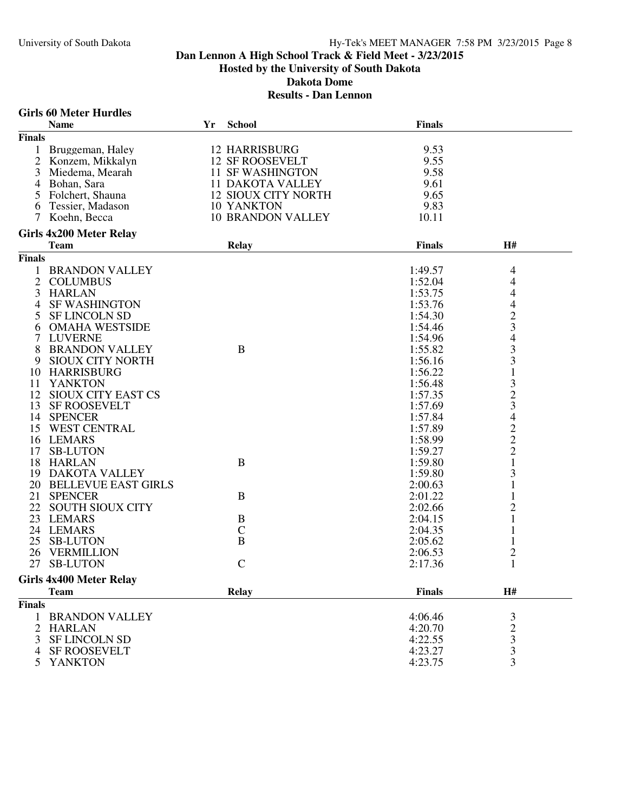#### University of South Dakota **Hy-Tek's MEET MANAGER** 7:58 PM 3/23/2015 Page 8

### **Dan Lennon A High School Track & Field Meet - 3/23/2015 Hosted by the University of South Dakota Dakota Dome Results - Dan Lennon**

#### **Girls 60 Meter Hurdles Name Yr School Finals Finals** 1 Bruggeman, Haley 12 HARRISBURG 9.53<br>2 Konzem, Mikkalyn 12 SF ROOSEVELT 9.55 2 Konzem, Mikkalyn 12 SF ROOSEVELT 9.55<br>3 Miedema, Mearah 11 SF WASHINGTON 9.58 3 Miedema, Mearah 11 SF WASHINGTON<br>4 Bohan. Sara 11 DAKOTA VALLEY 4 Bohan, Sara 11 DAKOTA VALLEY 9.61 12 SIOUX CITY NORTH 9.65<br>10 YANKTON 9.83 6 Tessier, Madason<br>7 Koehn, Becca 10 BRANDON VALLEY 10.11 **Girls 4x200 Meter Relay Team Relay Finals H# Finals** 1 BRANDON VALLEY 1:49.57 4<br>2 COLUMBUS 1:52.04 4 2 COLUMBUS 1:52.04 4<br>
HARLAN 1:53.75 4 3 HARLAN 1:53.75 4<br>4 SF WASHINGTON 1:53.76 4 4 SF WASHINGTON 1:53.76 4<br>5 SF LINCOLN SD 1:54.30 2 5 SF LINCOLN SD 1:54.30 2<br>6 OMAHA WESTSIDE 1:54.46 3 6 OMAHA WESTSIDE 1:54.46 3<br>7 LUVERNE 1:54.96 4 7 LUVERNE 1:54.96 4<br>
8 BRANDON VALLEY B 1:55.82 3 8 BRANDON VALLEY B<br>
9 SIOUX CITY NORTH 1:56.16 3 SIOUX CITY NORTH 1:56.16 3<br>
HARRISBURG 1:56.22 1 10 HARRISBURG 1:56.22 1<br>11 YANKTON 1:56.48 3 11 YANKTON 1:56.48 3<br>12 SIOUX CITY EAST CS 1.57.35 2 12 SIOUX CITY EAST CS 1:57.35 2<br>13 SF ROOSEVELT 1:57.69 3 13 SF ROOSEVELT 1:57.69 3<br>14 SPENCER 1:57.84 4 14 SPENCER 1:57.84 4 15 WEST CENTRAL 1:57.89 2<br>16 LEMARS 1:58.99 2 16 LEMARS 1:58.99 2<br>17 SB-LUTON 1:59.27 2 17 SB-LUTON 1:59.27 2<br>18 HARLAN B B 1:59.80 1 18 HARLAN B 1:59.80 1 19 DAKOTA VALLEY 1:59.80 3 20 BELLEVUE EAST GIRLS 2:00.63 1<br>21 SPENCER 2:01.22 1 21 SPENCER B 2:01.22 1<br>
22 SOUTH SIOUX CITY B 2:02.66 2 22 SOUTH SIOUX CITY<br>
23 LEMARS 2:02.66 2<br>
23 LEMARS 2:04.15 1 23 LEMARS B 2:04.15 1<br>24 LEMARS C 2:04.35 1 24 LEMARS C 2:04.35 1<br>25 SB-LUTON B 2:05.62 1 25 SB-LUTON B 2:05.62 1 26 VERMILLION 2:06.53 2<br>27 SB-LUTON 21.17.36 2 27 SB-LUTON **Girls 4x400 Meter Relay Team Relay Finals H# Finals** 1 BRANDON VALLEY 4:06.46 3<br>
2 HARLAN 4:20.70 2<br>
3 SF LINCOLN SD 4:22.55 3 2 HARLAN 4:20.70 2 3 SF LINCOLN SD 4:22.55 3<br>4 SF ROOSEVELT 4:23.27 3 4 SF ROOSEVELT 4:23.27 3<br>5 YANKTON 4:23.75 3 5 YANKTON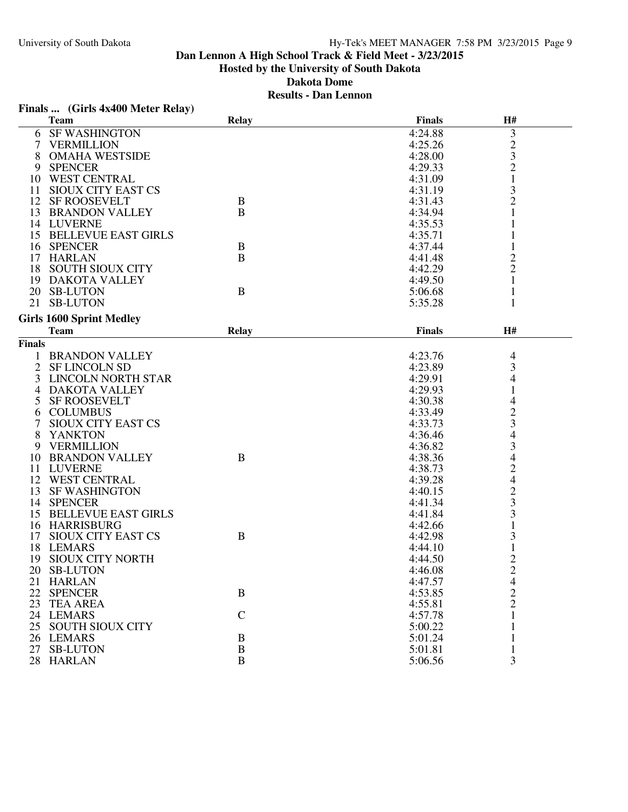|               | Finals  (Girls 4x400 Meter Relay) |              |               |                |
|---------------|-----------------------------------|--------------|---------------|----------------|
|               | <b>Team</b>                       | <b>Relay</b> | <b>Finals</b> | H#             |
| 6             | <b>SF WASHINGTON</b>              |              | 4:24.88       | 3              |
| 7             | <b>VERMILLION</b>                 |              | 4:25.26       |                |
| 8             | <b>OMAHA WESTSIDE</b>             |              | 4:28.00       | $\frac{2}{3}$  |
| 9             | <b>SPENCER</b>                    |              | 4:29.33       | $\overline{c}$ |
|               | 10 WEST CENTRAL                   |              | 4:31.09       | $\mathbf{1}$   |
|               | 11 SIOUX CITY EAST CS             |              | 4:31.19       | 3              |
|               | 12 SF ROOSEVELT                   | B            | 4:31.43       | $\overline{c}$ |
|               | 13 BRANDON VALLEY                 | B            | 4:34.94       | 1              |
|               | 14 LUVERNE                        |              | 4:35.53       |                |
|               | 15 BELLEVUE EAST GIRLS            |              | 4:35.71       | 1              |
|               | 16 SPENCER                        | B            | 4:37.44       | 1              |
|               | 17 HARLAN                         | $\mathbf B$  | 4:41.48       |                |
|               | 18 SOUTH SIOUX CITY               |              | 4:42.29       | $\frac{2}{2}$  |
|               | 19 DAKOTA VALLEY                  |              | 4:49.50       | 1              |
|               | 20 SB-LUTON                       | B            | 5:06.68       |                |
|               | 21 SB-LUTON                       |              | 5:35.28       | 1              |
|               |                                   |              |               |                |
|               | <b>Girls 1600 Sprint Medley</b>   |              | <b>Finals</b> | H#             |
|               | <b>Team</b>                       | <b>Relay</b> |               |                |
| <b>Finals</b> |                                   |              |               |                |
|               | <b>BRANDON VALLEY</b>             |              | 4:23.76       | $\overline{4}$ |
| 2             | <b>SF LINCOLN SD</b>              |              | 4:23.89       | 3              |
| 3             | <b>LINCOLN NORTH STAR</b>         |              | 4:29.91       | 4              |
| 4             | <b>DAKOTA VALLEY</b>              |              | 4:29.93       |                |
| 5             | <b>SF ROOSEVELT</b>               |              | 4:30.38       | 4              |
| 6             | <b>COLUMBUS</b>                   |              | 4:33.49       | $\overline{c}$ |
|               | <b>SIOUX CITY EAST CS</b>         |              | 4:33.73       | 3              |
| 8             | <b>YANKTON</b>                    |              | 4:36.46       | 4              |
| 9             | <b>VERMILLION</b>                 |              | 4:36.82       | 3              |
| 10            | <b>BRANDON VALLEY</b>             | B            | 4:38.36       | $\overline{4}$ |
| 11            | LUVERNE                           |              | 4:38.73       | $\frac{2}{4}$  |
|               | 12 WEST CENTRAL                   |              | 4:39.28       |                |
|               | 13 SF WASHINGTON                  |              | 4:40.15       | $\frac{2}{3}$  |
|               | 14 SPENCER                        |              | 4:41.34       |                |
|               | 15 BELLEVUE EAST GIRLS            |              | 4:41.84       |                |
|               | 16 HARRISBURG                     |              | 4:42.66       | 1              |
| 17            | SIOUX CITY EAST CS                | B            | 4:42.98       | 3              |
|               | 18 LEMARS                         |              | 4:44.10       | $\mathbf{1}$   |
|               | 19 SIOUX CITY NORTH               |              | 4:44.50       | $\overline{c}$ |
|               | 20 SB-LUTON                       |              | 4:46.08       | $\overline{c}$ |
|               | 21 HARLAN                         |              | 4:47.57       | 4              |
|               | 22 SPENCER                        | B            | 4:53.85       | $\frac{2}{2}$  |
|               | 23 TEA AREA                       |              | 4:55.81       |                |
|               | 24 LEMARS                         | $\mathbf C$  | 4:57.78       | $\mathbf{1}$   |
|               | 25 SOUTH SIOUX CITY               |              | 5:00.22       |                |
|               | 26 LEMARS                         | $\bf{B}$     | 5:01.24       | 1              |
|               | 27 SB-LUTON                       | $\, {\bf B}$ | 5:01.81       |                |
|               | 28 HARLAN                         | $\, {\bf B}$ | 5:06.56       | 3              |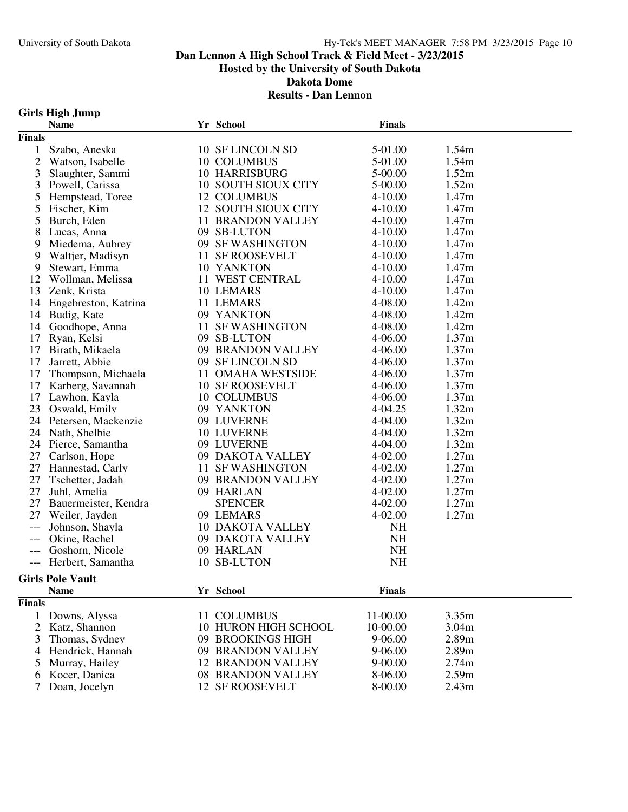# University of South Dakota Hy-Tek's MEET MANAGER 7:58 PM 3/23/2015 Page 10

### **Dan Lennon A High School Track & Field Meet - 3/23/2015 Hosted by the University of South Dakota Dakota Dome**

#### **Results - Dan Lennon**

#### **Girls High Jump**

|                            | <b>Name</b>             |    | Yr School                | <b>Finals</b> |                   |
|----------------------------|-------------------------|----|--------------------------|---------------|-------------------|
| <b>Finals</b>              |                         |    |                          |               |                   |
| 1                          | Szabo, Aneska           |    | 10 SF LINCOLN SD         | 5-01.00       | 1.54m             |
| $\overline{2}$             | Watson, Isabelle        |    | 10 COLUMBUS              | 5-01.00       | 1.54m             |
| 3                          | Slaughter, Sammi        |    | <b>10 HARRISBURG</b>     | 5-00.00       | 1.52m             |
| 3                          | Powell, Carissa         |    | 10 SOUTH SIOUX CITY      | 5-00.00       | 1.52m             |
| 5                          | Hempstead, Toree        |    | 12 COLUMBUS              | $4 - 10.00$   | 1.47m             |
| 5                          | Fischer, Kim            |    | 12 SOUTH SIOUX CITY      | $4 - 10.00$   | 1.47m             |
| 5                          | Burch, Eden             |    | <b>11 BRANDON VALLEY</b> | $4 - 10.00$   | 1.47 <sub>m</sub> |
| 8                          | Lucas, Anna             |    | 09 SB-LUTON              | $4 - 10.00$   | 1.47m             |
| 9                          | Miedema, Aubrey         |    | 09 SF WASHINGTON         | $4 - 10.00$   | 1.47m             |
| 9                          | Waltjer, Madisyn        |    | 11 SF ROOSEVELT          | $4 - 10.00$   | 1.47m             |
| 9                          | Stewart, Emma           |    | 10 YANKTON               | $4 - 10.00$   | 1.47m             |
| 12                         | Wollman, Melissa        |    | 11 WEST CENTRAL          | $4 - 10.00$   | 1.47m             |
| 13                         | Zenk, Krista            |    | 10 LEMARS                | $4 - 10.00$   | 1.47m             |
| 14                         | Engebreston, Katrina    |    | 11 LEMARS                | 4-08.00       | 1.42m             |
| 14                         | Budig, Kate             |    | 09 YANKTON               | 4-08.00       | 1.42m             |
| 14                         | Goodhope, Anna          |    | 11 SF WASHINGTON         | 4-08.00       | 1.42m             |
| 17                         | Ryan, Kelsi             |    | 09 SB-LUTON              | 4-06.00       | 1.37m             |
| 17                         | Birath, Mikaela         |    | 09 BRANDON VALLEY        | 4-06.00       | 1.37m             |
| 17                         | Jarrett, Abbie          |    | 09 SF LINCOLN SD         | 4-06.00       | 1.37m             |
| 17                         | Thompson, Michaela      |    | 11 OMAHA WESTSIDE        | 4-06.00       | 1.37m             |
| 17                         | Karberg, Savannah       |    | 10 SF ROOSEVELT          | 4-06.00       | 1.37m             |
| 17                         | Lawhon, Kayla           |    | 10 COLUMBUS              | 4-06.00       | 1.37m             |
| 23                         | Oswald, Emily           |    | 09 YANKTON               | 4-04.25       | 1.32m             |
| 24                         | Petersen, Mackenzie     |    | 09 LUVERNE               | 4-04.00       | 1.32m             |
| 24                         | Nath, Shelbie           |    | 10 LUVERNE               | 4-04.00       | 1.32m             |
|                            | 24 Pierce, Samantha     |    | 09 LUVERNE               | 4-04.00       | 1.32m             |
| 27                         | Carlson, Hope           |    | 09 DAKOTA VALLEY         | 4-02.00       | 1.27m             |
| 27                         | Hannestad, Carly        |    | 11 SF WASHINGTON         | $4 - 02.00$   | 1.27m             |
| 27                         | Tschetter, Jadah        |    | 09 BRANDON VALLEY        | $4 - 02.00$   | 1.27m             |
| 27                         | Juhl, Amelia            |    | 09 HARLAN                | 4-02.00       | 1.27m             |
| 27                         | Bauermeister, Kendra    |    | <b>SPENCER</b>           | 4-02.00       | 1.27m             |
| 27                         | Weiler, Jayden          |    | 09 LEMARS                | $4 - 02.00$   | 1.27m             |
| $---$                      | Johnson, Shayla         |    | <b>10 DAKOTA VALLEY</b>  | NH            |                   |
| $\qquad \qquad - \qquad -$ | Okine, Rachel           |    | 09 DAKOTA VALLEY         | <b>NH</b>     |                   |
| $\qquad \qquad - -$        | Goshorn, Nicole         |    | 09 HARLAN                | NH            |                   |
|                            | --- Herbert, Samantha   |    | 10 SB-LUTON              | NH            |                   |
|                            | <b>Girls Pole Vault</b> |    |                          |               |                   |
|                            | <b>Name</b>             |    | Yr School                | <b>Finals</b> |                   |
| <b>Finals</b>              |                         |    |                          |               |                   |
| 1                          | Downs, Alyssa           |    | 11 COLUMBUS              | 11-00.00      | 3.35m             |
| 2                          | Katz, Shannon           |    | 10 HURON HIGH SCHOOL     | 10-00.00      | 3.04m             |
| 3                          | Thomas, Sydney          | 09 | <b>BROOKINGS HIGH</b>    | 9-06.00       | 2.89m             |
| 4                          | Hendrick, Hannah        | 09 | <b>BRANDON VALLEY</b>    | 9-06.00       | 2.89m             |
| 5                          | Murray, Hailey          |    | <b>12 BRANDON VALLEY</b> | $9 - 00.00$   | 2.74m             |
| 6                          | Kocer, Danica           |    | 08 BRANDON VALLEY        | 8-06.00       | 2.59m             |
|                            | Doan, Jocelyn           |    | 12 SF ROOSEVELT          | 8-00.00       | 2.43m             |
|                            |                         |    |                          |               |                   |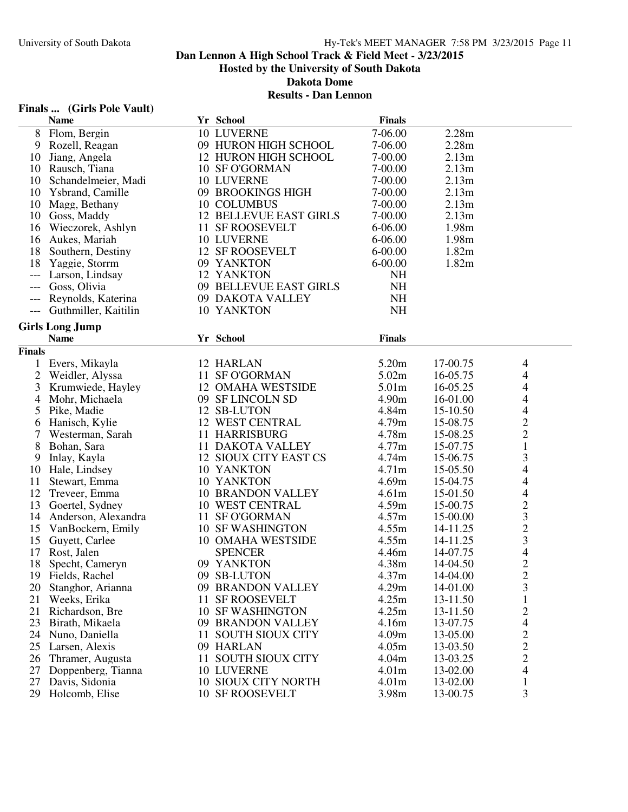#### **Results - Dan Lennon**

# **Finals ... (Girls Pole Vault)**

|                     | <b>Name</b>            |    | Yr School                     | <b>Finals</b>              |                   |                          |
|---------------------|------------------------|----|-------------------------------|----------------------------|-------------------|--------------------------|
|                     | 8 Flom, Bergin         |    | 10 LUVERNE                    | 7-06.00                    | 2.28m             |                          |
|                     | 9 Rozell, Reagan       |    | 09 HURON HIGH SCHOOL          | 7-06.00                    | 2.28m             |                          |
| 10                  | Jiang, Angela          |    | <b>12 HURON HIGH SCHOOL</b>   | 7-00.00                    | 2.13m             |                          |
|                     | 10 Rausch, Tiana       |    | 10 SF O'GORMAN                | 7-00.00                    | 2.13m             |                          |
| 10                  | Schandelmeier, Madi    |    | <b>10 LUVERNE</b>             | 7-00.00                    | 2.13 <sub>m</sub> |                          |
| 10                  | Ysbrand, Camille       |    | 09 BROOKINGS HIGH             | 7-00.00                    | 2.13 <sub>m</sub> |                          |
| 10                  | Magg, Bethany          |    | 10 COLUMBUS                   | 7-00.00                    | 2.13m             |                          |
| 10                  | Goss, Maddy            |    | <b>12 BELLEVUE EAST GIRLS</b> | 7-00.00                    | 2.13 <sub>m</sub> |                          |
|                     | 16 Wieczorek, Ashlyn   |    | 11 SF ROOSEVELT               | $6 - 06.00$                | 1.98m             |                          |
|                     |                        |    |                               |                            |                   |                          |
|                     | 16 Aukes, Mariah       |    | 10 LUVERNE                    | $6 - 06.00$                | 1.98m             |                          |
| 18                  | Southern, Destiny      |    | 12 SF ROOSEVELT               | $6 - 00.00$                | 1.82m             |                          |
| 18                  | Yaggie, Storrm         |    | 09 YANKTON                    | $6 - 00.00$                | 1.82m             |                          |
| $---$               | Larson, Lindsay        |    | 12 YANKTON                    | <b>NH</b>                  |                   |                          |
| $\qquad \qquad - -$ | Goss, Olivia           |    | 09 BELLEVUE EAST GIRLS        | <b>NH</b>                  |                   |                          |
| $\qquad \qquad - -$ | Reynolds, Katerina     |    | 09 DAKOTA VALLEY              | <b>NH</b>                  |                   |                          |
| $\cdots$            | Guthmiller, Kaitilin   |    | 10 YANKTON                    | NH                         |                   |                          |
|                     | <b>Girls Long Jump</b> |    |                               |                            |                   |                          |
|                     | <b>Name</b>            |    | Yr School                     | <b>Finals</b>              |                   |                          |
| <b>Finals</b>       |                        |    |                               |                            |                   |                          |
|                     | Evers, Mikayla         |    | 12 HARLAN                     | 5.20m                      | 17-00.75          | 4                        |
| 2                   | Weidler, Alyssa        |    | 11 SF O'GORMAN                | 5.02m                      | 16-05.75          | $\overline{\mathcal{A}}$ |
|                     |                        |    | <b>12 OMAHA WESTSIDE</b>      |                            |                   |                          |
| 3                   | Krumwiede, Hayley      |    |                               | 5.01m                      | 16-05.25          | $\overline{\mathcal{A}}$ |
| 4                   | Mohr, Michaela         |    | 09 SF LINCOLN SD              | 4.90m                      | 16-01.00          | $\overline{4}$           |
| 5                   | Pike, Madie            |    | 12 SB-LUTON                   | 4.84m                      | 15-10.50          | $\overline{\mathcal{L}}$ |
| 6                   | Hanisch, Kylie         |    | 12 WEST CENTRAL               | 4.79m                      | 15-08.75          | $\overline{c}$           |
| 7                   | Westerman, Sarah       |    | 11 HARRISBURG                 | 4.78m                      | 15-08.25          | $\overline{c}$           |
| 8                   | Bohan, Sara            |    | <b>11 DAKOTA VALLEY</b>       | 4.77m                      | 15-07.75          | $\mathbf{1}$             |
| 9                   | Inlay, Kayla           |    | 12 SIOUX CITY EAST CS         | 4.74m                      | 15-06.75          | 3                        |
| 10                  | Hale, Lindsey          |    | 10 YANKTON                    | 4.71 <sub>m</sub>          | 15-05.50          | 4                        |
| 11                  | Stewart, Emma          |    | 10 YANKTON                    | 4.69m                      | 15-04.75          | 4                        |
| 12                  | Treveer, Emma          |    | <b>10 BRANDON VALLEY</b>      | 4.61 <sub>m</sub>          | 15-01.50          | $\overline{\mathcal{A}}$ |
| 13                  | Goertel, Sydney        |    | 10 WEST CENTRAL               | 4.59m                      | 15-00.75          | $\frac{2}{3}$            |
| 14                  | Anderson, Alexandra    |    | 11 SF O'GORMAN                | 4.57m                      | 15-00.00          |                          |
| 15                  | VanBockern, Emily      |    | <b>10 SF WASHINGTON</b>       | 4.55m                      | 14-11.25          | $\frac{2}{3}$            |
| 15                  | Guyett, Carlee         |    | 10 OMAHA WESTSIDE             | 4.55m                      | 14-11.25          |                          |
| 17                  | Rost, Jalen            |    | <b>SPENCER</b>                | 4.46m                      | 14-07.75          | $\overline{\mathcal{L}}$ |
| 18                  | Specht, Cameryn        |    | 09 YANKTON                    | 4.38m                      | 14-04.50          | $\overline{c}$           |
|                     | 19 Fields, Rachel      |    | 09 SB-LUTON                   | 4.37m                      | 14-04.00          | $\overline{c}$           |
| 20                  | Stanghor, Arianna      |    | 09 BRANDON VALLEY             | 4.29m                      | 14-01.00          | 3                        |
| 21                  | Weeks, Erika           | 11 | <b>SF ROOSEVELT</b>           | 4.25m                      | 13-11.50          | 1                        |
| 21                  | Richardson, Bre        |    | <b>10 SF WASHINGTON</b>       | 4.25m                      | 13-11.50          | $\overline{c}$           |
| 23                  | Birath, Mikaela        |    | 09 BRANDON VALLEY             | 4.16m                      | 13-07.75          | 4                        |
| 24                  | Nuno, Daniella         | 11 | <b>SOUTH SIOUX CITY</b>       | 4.09m                      | 13-05.00          | $\overline{\mathbf{c}}$  |
| 25                  | Larsen, Alexis         |    | 09 HARLAN                     | 4.05m                      | 13-03.50          |                          |
| 26                  | Thramer, Augusta       | 11 | <b>SOUTH SIOUX CITY</b>       | 4.04m                      | 13-03.25          | $\frac{2}{2}$            |
| 27                  | Doppenberg, Tianna     |    | 10 LUVERNE                    | 4.01 <sub>m</sub>          | 13-02.00          | $\overline{4}$           |
| 27                  | Davis, Sidonia         |    | 10 SIOUX CITY NORTH           |                            |                   |                          |
|                     |                        |    |                               | 4.01 <sub>m</sub><br>3.98m | 13-02.00          | $\mathbf{1}$<br>3        |
| 29                  | Holcomb, Elise         |    | 10 SF ROOSEVELT               |                            | 13-00.75          |                          |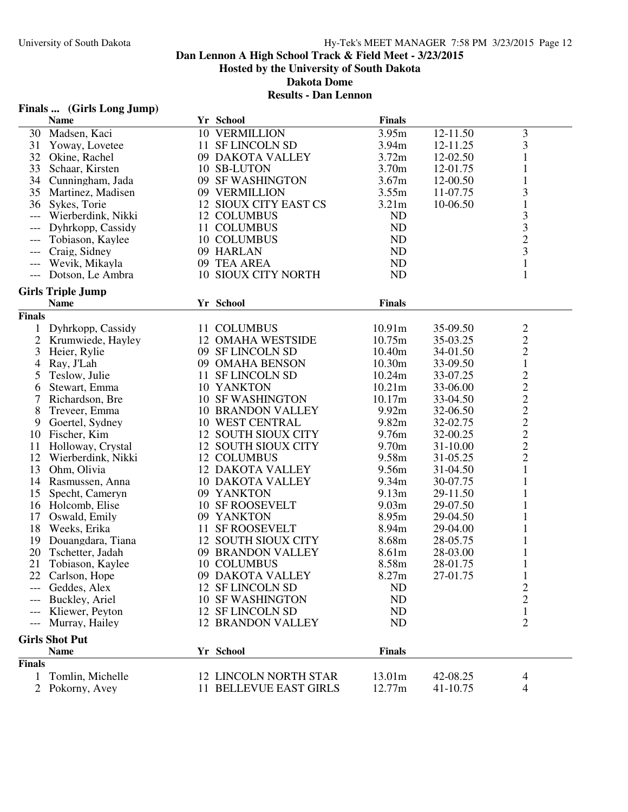#### **Results - Dan Lennon**

| Finals | (Girls Long Jump) |  |  |
|--------|-------------------|--|--|
|--------|-------------------|--|--|

|                      | <b>Name</b>              | Yr School                    | <b>Finals</b>     |          |                         |
|----------------------|--------------------------|------------------------------|-------------------|----------|-------------------------|
| 30                   | Madsen, Kaci             | 10 VERMILLION                | 3.95m             | 12-11.50 | 3                       |
| 31                   | Yoway, Lovetee           | 11 SF LINCOLN SD             | 3.94m             | 12-11.25 | 3                       |
| 32                   | Okine, Rachel            | 09 DAKOTA VALLEY             | 3.72m             | 12-02.50 |                         |
| 33                   | Schaar, Kirsten          | 10 SB-LUTON                  | 3.70m             | 12-01.75 |                         |
| 34                   | Cunningham, Jada         | 09 SF WASHINGTON             | 3.67m             | 12-00.50 |                         |
| 35                   | Martinez, Madisen        | 09 VERMILLION                | 3.55m             | 11-07.75 | 3                       |
|                      | 36 Sykes, Torie          | 12 SIOUX CITY EAST CS        | 3.21 <sub>m</sub> | 10-06.50 | $\mathbf{1}$            |
| $---$                | Wierberdink, Nikki       | 12 COLUMBUS                  | ND                |          | 3                       |
| ---                  | Dyhrkopp, Cassidy        | 11 COLUMBUS                  | ND                |          | 3                       |
| $---$                | Tobiason, Kaylee         | 10 COLUMBUS                  | ND                |          | $\overline{c}$          |
| $---$                | Craig, Sidney            | 09 HARLAN                    | ND                |          | 3                       |
| $\hspace{0.05cm}---$ | Wevik, Mikayla           | 09 TEA AREA                  | ND                |          | $\mathbf{1}$            |
|                      | --- Dotson, Le Ambra     | 10 SIOUX CITY NORTH          | <b>ND</b>         |          | $\mathbf{1}$            |
|                      |                          |                              |                   |          |                         |
|                      | <b>Girls Triple Jump</b> |                              |                   |          |                         |
|                      | <b>Name</b>              | Yr School                    | <b>Finals</b>     |          |                         |
| <b>Finals</b>        |                          |                              |                   |          |                         |
| 1                    | Dyhrkopp, Cassidy        | 11 COLUMBUS                  | 10.91m            | 35-09.50 | $\overline{c}$          |
| $\overline{2}$       | Krumwiede, Hayley        | 12 OMAHA WESTSIDE            | 10.75m            | 35-03.25 | $\sqrt{2}$              |
| 3                    | Heier, Rylie             | 09 SF LINCOLN SD             | 10.40m            | 34-01.50 | $\sqrt{2}$              |
| 4                    | Ray, J'Lah               | 09 OMAHA BENSON              | 10.30m            | 33-09.50 | $\mathbf{1}$            |
| 5                    | Teslow, Julie            | 11 SF LINCOLN SD             | 10.24m            | 33-07.25 |                         |
| 6                    | Stewart, Emma            | 10 YANKTON                   | 10.21m            | 33-06.00 |                         |
| 7                    | Richardson, Bre          | <b>10 SF WASHINGTON</b>      | 10.17m            | 33-04.50 |                         |
| 8                    | Treveer, Emma            | <b>10 BRANDON VALLEY</b>     | 9.92m             | 32-06.50 | 22222222                |
| 9                    | Goertel, Sydney          | 10 WEST CENTRAL              | 9.82m             | 32-02.75 |                         |
| 10                   |                          | 12 SOUTH SIOUX CITY          | 9.76m             | 32-00.25 |                         |
|                      | Fischer, Kim             |                              | 9.70m             |          |                         |
| 11                   | Holloway, Crystal        | 12 SOUTH SIOUX CITY          |                   | 31-10.00 |                         |
| 12                   | Wierberdink, Nikki       | 12 COLUMBUS                  | 9.58m             | 31-05.25 |                         |
| 13                   | Ohm, Olivia              | <b>12 DAKOTA VALLEY</b>      | 9.56m             | 31-04.50 | 1                       |
| 14                   | Rasmussen, Anna          | <b>10 DAKOTA VALLEY</b>      | 9.34 <sub>m</sub> | 30-07.75 | 1                       |
| 15                   | Specht, Cameryn          | 09 YANKTON                   | 9.13m             | 29-11.50 |                         |
| 16                   | Holcomb, Elise           | <b>10 SF ROOSEVELT</b>       | 9.03 <sub>m</sub> | 29-07.50 |                         |
| 17                   | Oswald, Emily            | 09 YANKTON                   | 8.95m             | 29-04.50 |                         |
| 18                   | Weeks, Erika             | 11 SF ROOSEVELT              | 8.94m             | 29-04.00 |                         |
| 19                   | Douangdara, Tiana        | 12 SOUTH SIOUX CITY          | 8.68m             | 28-05.75 |                         |
| 20                   | Tschetter, Jadah         | 09 BRANDON VALLEY            | 8.61m             | 28-03.00 |                         |
| 21                   | Tobiason, Kaylee         | 10 COLUMBUS                  | 8.58m             | 28-01.75 | 1                       |
|                      | 22 Carlson, Hope         | 09 DAKOTA VALLEY             | 8.27m             | 27-01.75 | $\mathbf{1}$            |
|                      | --- Geddes, Alex         | 12 SF LINCOLN SD             | <b>ND</b>         |          | $\overline{\mathbf{c}}$ |
|                      | Buckley, Ariel           | <b>10 SF WASHINGTON</b>      | <b>ND</b>         |          | $\overline{2}$          |
| $---$                | Kliewer, Peyton          | 12 SF LINCOLN SD             | ND                |          | $\mathbf{1}$            |
| $\qquad \qquad - -$  | Murray, Hailey           | <b>12 BRANDON VALLEY</b>     | <b>ND</b>         |          | $\overline{2}$          |
|                      |                          |                              |                   |          |                         |
|                      | <b>Girls Shot Put</b>    |                              |                   |          |                         |
|                      | <b>Name</b>              | Yr School                    | <b>Finals</b>     |          |                         |
| <b>Finals</b>        |                          |                              |                   |          |                         |
|                      | Tomlin, Michelle         | <b>12 LINCOLN NORTH STAR</b> | 13.01m            | 42-08.25 | 4                       |
|                      | Pokorny, Avey            | 11 BELLEVUE EAST GIRLS       | 12.77m            | 41-10.75 | 4                       |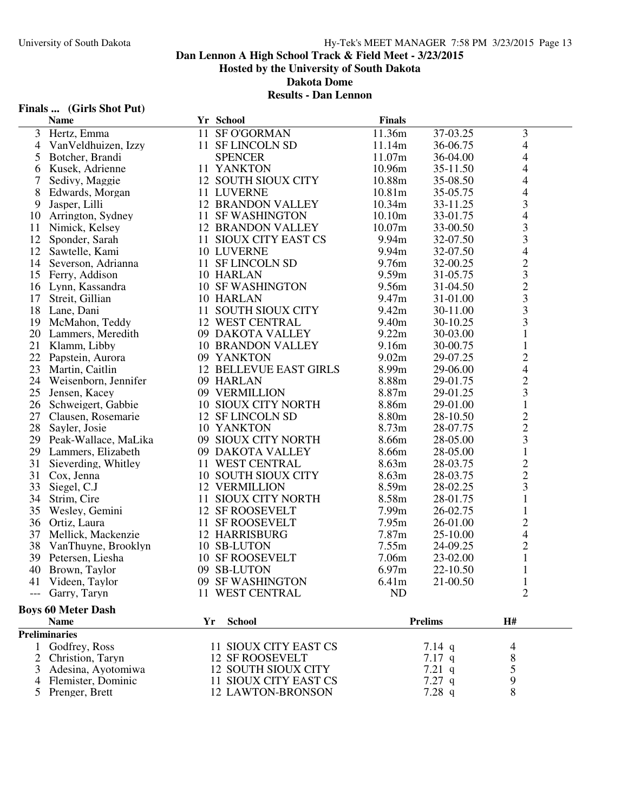#### **Results - Dan Lennon**

# **Finals ... (Girls Shot Put)**

|                | <b>Name</b>               |    | Yr School                     | <b>Finals</b> |                |                                                 |
|----------------|---------------------------|----|-------------------------------|---------------|----------------|-------------------------------------------------|
| 3              | Hertz, Emma               |    | 11 SF O'GORMAN                | 11.36m        | 37-03.25       | 3                                               |
| $\overline{4}$ | Van Veldhuizen, Izzy      |    | 11 SF LINCOLN SD              | 11.14m        | 36-06.75       | $\overline{4}$                                  |
| 5              | Botcher, Brandi           |    | <b>SPENCER</b>                | 11.07m        | 36-04.00       | 4                                               |
| 6              | Kusek, Adrienne           |    | 11 YANKTON                    | 10.96m        | 35-11.50       | 4                                               |
| 7              | Sedivy, Maggie            |    | 12 SOUTH SIOUX CITY           | 10.88m        | 35-08.50       | 4                                               |
| 8              | Edwards, Morgan           |    | 11 LUVERNE                    | 10.81m        | 35-05.75       | 4                                               |
| 9              | Jasper, Lilli             |    | <b>12 BRANDON VALLEY</b>      | 10.34m        | 33-11.25       | 3                                               |
| 10             | Arrington, Sydney         |    | 11 SF WASHINGTON              | 10.10m        | 33-01.75       | $\overline{\mathcal{L}}$                        |
| 11             | Nimick, Kelsey            |    | <b>12 BRANDON VALLEY</b>      | 10.07m        | 33-00.50       |                                                 |
| 12             | Sponder, Sarah            |    | 11 SIOUX CITY EAST CS         | 9.94m         | 32-07.50       | $\frac{3}{3}$                                   |
| 12             | Sawtelle, Kami            |    | 10 LUVERNE                    | 9.94m         | 32-07.50       | $\overline{4}$                                  |
| 14             | Severson, Adrianna        |    | 11 SF LINCOLN SD              | 9.76m         | 32-00.25       |                                                 |
| 15             | Ferry, Addison            |    | 10 HARLAN                     | 9.59m         | 31-05.75       | $\begin{array}{c}\n23 \\ 23 \\ 33\n\end{array}$ |
|                | 16 Lynn, Kassandra        |    | <b>10 SF WASHINGTON</b>       | 9.56m         | 31-04.50       |                                                 |
| 17             | Streit, Gillian           |    | 10 HARLAN                     | 9.47m         | 31-01.00       |                                                 |
|                | 18 Lane, Dani             |    | 11 SOUTH SIOUX CITY           | 9.42m         | 30-11.00       |                                                 |
|                | 19 McMahon, Teddy         |    | 12 WEST CENTRAL               | 9.40m         | 30-10.25       |                                                 |
| 20             | Lammers, Meredith         |    | 09 DAKOTA VALLEY              | 9.22m         | 30-03.00       | 1                                               |
| 21             | Klamm, Libby              |    | <b>10 BRANDON VALLEY</b>      | 9.16m         | 30-00.75       | $\mathbf{1}$                                    |
| 22             | Papstein, Aurora          |    | 09 YANKTON                    | 9.02m         | 29-07.25       | $\overline{c}$                                  |
| 23             | Martin, Caitlin           |    | <b>12 BELLEVUE EAST GIRLS</b> | 8.99m         | 29-06.00       | $\overline{4}$                                  |
|                | 24 Weisenborn, Jennifer   |    | 09 HARLAN                     | 8.88m         | 29-01.75       | $\overline{c}$                                  |
| 25             | Jensen, Kacey             |    | 09 VERMILLION                 | 8.87m         | 29-01.25       | $\overline{\mathbf{3}}$                         |
| 26             | Schweigert, Gabbie        |    | 10 SIOUX CITY NORTH           | 8.86m         | 29-01.00       | $\mathbf{1}$                                    |
| 27             | Clausen, Rosemarie        |    | 12 SF LINCOLN SD              | 8.80m         | 28-10.50       |                                                 |
| 28             | Sayler, Josie             |    | 10 YANKTON                    | 8.73m         | 28-07.75       |                                                 |
| 29             | Peak-Wallace, MaLika      |    | 09 SIOUX CITY NORTH           | 8.66m         | 28-05.00       | $\frac{2}{3}$                                   |
| 29             | Lammers, Elizabeth        |    | 09 DAKOTA VALLEY              | 8.66m         | 28-05.00       | $\mathbf{1}$                                    |
| 31             | Sieverding, Whitley       |    | 11 WEST CENTRAL               | 8.63m         | 28-03.75       |                                                 |
| 31             | Cox, Jenna                |    | 10 SOUTH SIOUX CITY           | 8.63m         | 28-03.75       | $\frac{2}{2}$                                   |
| 33             | Siegel, C.J               |    | <b>12 VERMILLION</b>          | 8.59m         | 28-02.25       | 3                                               |
| 34             | Strim, Cire               | 11 | <b>SIOUX CITY NORTH</b>       | 8.58m         | 28-01.75       | $\mathbf{1}$                                    |
| 35             | Wesley, Gemini            |    | 12 SF ROOSEVELT               | 7.99m         | 26-02.75       | $\mathbf{1}$                                    |
| 36             | Ortiz, Laura              | 11 | <b>SF ROOSEVELT</b>           | 7.95m         | 26-01.00       | $\overline{c}$                                  |
| 37             | Mellick, Mackenzie        |    | <b>12 HARRISBURG</b>          | 7.87m         | 25-10.00       | $\overline{4}$                                  |
| 38             | VanThuyne, Brooklyn       |    | 10 SB-LUTON                   | 7.55m         | 24-09.25       | $\overline{c}$                                  |
| 39             | Petersen, Liesha          |    | <b>10 SF ROOSEVELT</b>        | 7.06m         | 23-02.00       | $\mathbf{1}$                                    |
| 40             | Brown, Taylor             |    | 09 SB-LUTON                   | 6.97m         | 22-10.50       | $\mathbf{1}$                                    |
| 41             | Videen, Taylor            |    | 09 SF WASHINGTON              | 6.41m         | 21-00.50       | $\mathbf{1}$                                    |
|                | Garry, Taryn              |    | 11 WEST CENTRAL               | ND            |                | $\overline{2}$                                  |
|                |                           |    |                               |               |                |                                                 |
|                | <b>Boys 60 Meter Dash</b> |    |                               |               |                |                                                 |
|                | <b>Name</b>               | Yr | <b>School</b>                 |               | <b>Prelims</b> | H#                                              |
|                | <b>Preliminaries</b>      |    |                               |               |                |                                                 |
| 1              | Godfrey, Ross             |    | 11 SIOUX CITY EAST CS         |               | 7.14 q         | 4                                               |
| 2              | Christion, Taryn          |    | 12 SF ROOSEVELT               |               | $7.17$ q       | 8                                               |
| 3              | Adesina, Ayotomiwa        |    | <b>12 SOUTH SIOUX CITY</b>    |               | $7.21$ q       | 5                                               |
| 4              | Flemister, Dominic        |    | 11 SIOUX CITY EAST CS         |               | $7.27$ q       | 9                                               |
|                | 5 Prenger, Brett          |    | <b>12 LAWTON-BRONSON</b>      |               | 7.28 q         | 8                                               |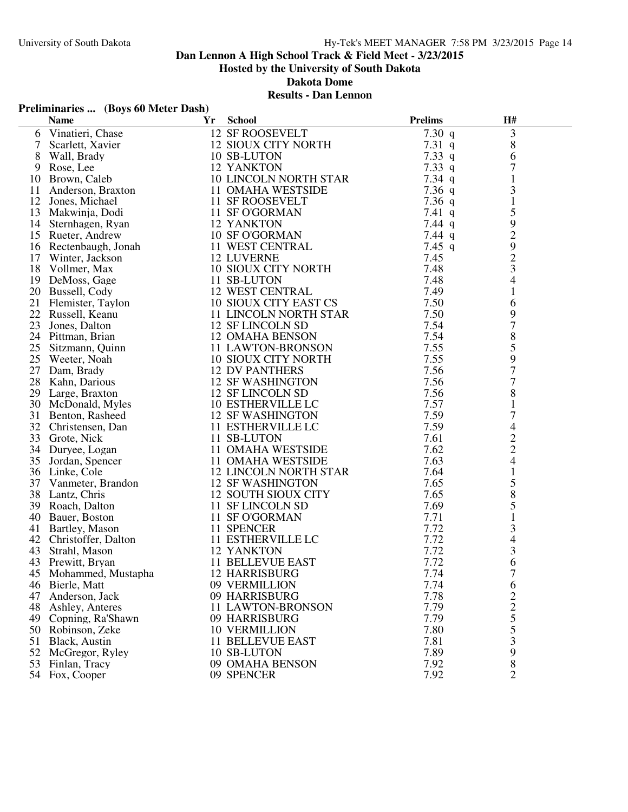# **Dan Lennon A High School Track & Field Meet - 3/23/2015**

**Hosted by the University of South Dakota**

**Dakota Dome**

#### **Results - Dan Lennon**

### **Preliminaries ... (Boys 60 Meter Dash)**

|    | <b>Name</b>                                 | Yr | <b>School</b>              | <b>Prelims</b> | H#                                              |  |
|----|---------------------------------------------|----|----------------------------|----------------|-------------------------------------------------|--|
| 6  | Vinatieri, Chase                            |    | <b>12 SF ROOSEVELT</b>     | $7.30\ q$      | 3                                               |  |
| 7  | Scarlett, Xavier                            |    | 12 SIOUX CITY NORTH        | 7.31 $q$       | $8\,$                                           |  |
| 8  | Wall, Brady                                 |    | 10 SB-LUTON                | 7.33 q         | 6                                               |  |
|    | 9 Rose, Lee                                 |    | 12 YANKTON                 | 7.33 q         | 7                                               |  |
| 10 | Brown, Caleb                                |    | 10 LINCOLN NORTH STAR      | 7.34 $q$       | $\mathbf{1}$                                    |  |
|    | 11 Anderson, Braxton                        |    | 11 OMAHA WESTSIDE          | 7.36 $q$       | 3                                               |  |
| 12 | Jones, Michael                              |    | 11 SF ROOSEVELT            | 7.36 q         | $\mathbf{1}$                                    |  |
| 13 | Makwinja, Dodi                              |    | 11 SF O'GORMAN             | 7.41 $q$       | 5                                               |  |
|    | 14 Sternhagen, Ryan                         |    | 12 YANKTON                 | 7.44 $q$       | $\mathbf{9}$                                    |  |
|    | 15 Rueter, Andrew                           |    | 10 SF O'GORMAN             | 7.44 $q$       | $\begin{array}{c} 2 \\ 9 \\ 2 \\ 3 \end{array}$ |  |
|    | 16 Rectenbaugh, Jonah<br>17 Winter, Jackson |    | 11 WEST CENTRAL            | 7.45 $q$       |                                                 |  |
|    |                                             |    | <b>12 LUVERNE</b>          | 7.45           |                                                 |  |
|    | 18 Vollmer, Max                             |    | <b>10 SIOUX CITY NORTH</b> | 7.48           |                                                 |  |
|    | 19 DeMoss, Gage                             |    | 11 SB-LUTON                | 7.48           | $\overline{\mathcal{L}}$                        |  |
|    | 20 Bussell, Cody                            |    | <b>12 WEST CENTRAL</b>     | 7.49           | $\mathbf{1}$                                    |  |
|    | 20 Eusen, $\frac{1}{21}$ Flemister, Taylon  |    | 10 SIOUX CITY EAST CS      | 7.50           | 6                                               |  |
|    |                                             |    | 11 LINCOLN NORTH STAR      | 7.50           | 9                                               |  |
| 23 | Jones, Dalton                               |    | 12 SF LINCOLN SD           | 7.54           | $\overline{7}$                                  |  |
|    | 24 Pittman, Brian                           |    | 12 OMAHA BENSON            | 7.54           | $8\,$                                           |  |
| 25 | Sitzmann, Quinn                             |    | 11 LAWTON-BRONSON          | 7.55           | 5                                               |  |
| 25 | Weeter, Noah                                |    | 10 SIOUX CITY NORTH        | 7.55           | 9                                               |  |
|    | 27 Dam, Brady                               |    | <b>12 DV PANTHERS</b>      | 7.56           | $\overline{7}$                                  |  |
|    | 28 Kahn, Darious                            |    | <b>12 SF WASHINGTON</b>    | 7.56           | $\overline{7}$                                  |  |
|    | 29 Large, Braxton                           |    | 12 SF LINCOLN SD           | 7.56           | $\,8\,$                                         |  |
|    | 30 McDonald, Myles                          |    | 10 ESTHERVILLE LC          | 7.57           | $\mathbf{1}$                                    |  |
| 31 | Benton, Rasheed                             |    | <b>12 SF WASHINGTON</b>    | 7.59           | $\overline{7}$                                  |  |
|    | 32 Christensen, Dan                         |    | 11 ESTHERVILLE LC          | 7.59           | 4                                               |  |
|    | 33 Grote, Nick                              |    | 11 SB-LUTON                | 7.61           |                                                 |  |
|    | 34 Duryee, Logan                            |    | 11 OMAHA WESTSIDE          | 7.62           | $\frac{2}{4}$                                   |  |
| 35 | Jordan, Spencer                             |    | 11 OMAHA WESTSIDE          | 7.63           |                                                 |  |
|    | 36 Linke, Cole                              |    | 12 LINCOLN NORTH STAR      | 7.64           | $\mathbf{1}$                                    |  |
| 37 | Vanmeter, Brandon                           |    | <b>12 SF WASHINGTON</b>    | 7.65           | 5                                               |  |
|    | 38 Lantz, Chris                             |    | 12 SOUTH SIOUX CITY        | 7.65           | 8                                               |  |
|    | 39 Roach, Dalton                            |    | 11 SF LINCOLN SD           | 7.69           | 5                                               |  |
|    | 40 Bauer, Boston                            |    | 11 SF O'GORMAN             | 7.71           | $\mathbf{1}$                                    |  |
|    | 41 Bartley, Mason                           |    | 11 SPENCER                 | 7.72           | $\frac{3}{4}$                                   |  |
|    | 42 Christoffer, Dalton                      |    | 11 ESTHERVILLE LC          | 7.72           |                                                 |  |
| 43 | Strahl, Mason                               |    | 12 YANKTON                 | 7.72           | 3                                               |  |
|    | 43 Prewitt, Bryan                           |    | <b>11 BELLEVUE EAST</b>    | 7.72           | 6                                               |  |
|    | 45 Mohammed, Mustapha 12 HARRISBURG         |    |                            | 7.74           | 7                                               |  |
| 46 | Bierle, Matt                                |    | 09 VERMILLION              | 7.74           | 6                                               |  |
| 47 | Anderson, Jack                              |    | 09 HARRISBURG              | 7.78           | $\overline{\mathbf{c}}$                         |  |
| 48 | Ashley, Anteres                             |    | 11 LAWTON-BRONSON          | 7.79           |                                                 |  |
| 49 | Copning, Ra'Shawn                           |    | 09 HARRISBURG              | 7.79           | $\begin{array}{c} 2 \\ 5 \\ 5 \end{array}$      |  |
| 50 | Robinson, Zeke                              |    | <b>10 VERMILLION</b>       | 7.80           |                                                 |  |
| 51 | Black, Austin                               |    | <b>11 BELLEVUE EAST</b>    | 7.81           | 3                                               |  |
| 52 | McGregor, Ryley                             |    | 10 SB-LUTON                | 7.89           | 9                                               |  |
| 53 | Finlan, Tracy                               |    | 09 OMAHA BENSON            | 7.92           | 8                                               |  |
|    | 54 Fox, Cooper                              |    | 09 SPENCER                 | 7.92           | $\overline{2}$                                  |  |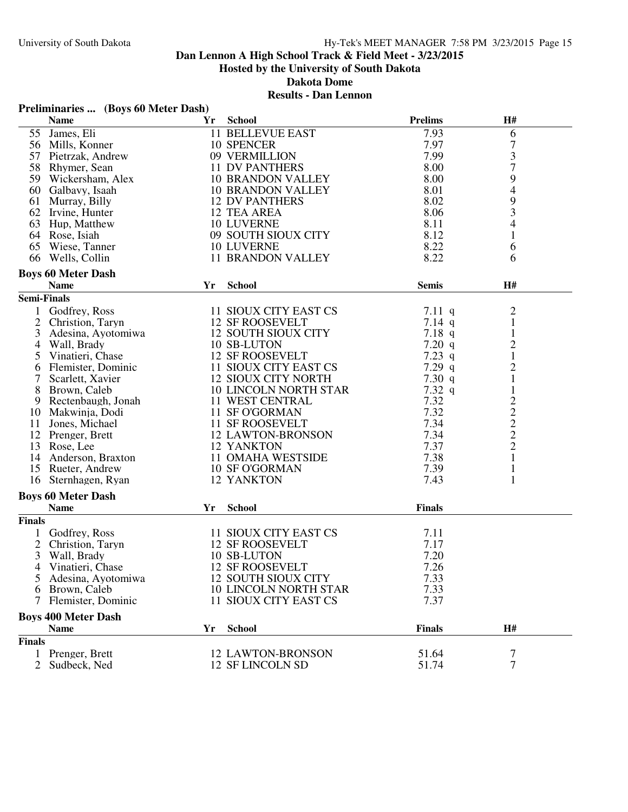**Dakota Dome**

# **Results - Dan Lennon**

|  | Preliminaries  (Boys 60 Meter Dash) |
|--|-------------------------------------|
|--|-------------------------------------|

|                    | <b>Name</b>                              | Yr | <b>School</b>                | <b>Prelims</b> | H#                             |  |
|--------------------|------------------------------------------|----|------------------------------|----------------|--------------------------------|--|
| 55                 | James, Eli                               |    | <b>11 BELLEVUE EAST</b>      | 7.93           | 6                              |  |
|                    | 56 Mills, Konner                         |    | 10 SPENCER                   | 7.97           | $\overline{7}$                 |  |
|                    | 57 Pietrzak, Andrew                      |    | 09 VERMILLION                | 7.99           | 3                              |  |
|                    | 58 Rhymer, Sean                          |    | 11 DV PANTHERS               | 8.00           | $\overline{7}$                 |  |
|                    | 59 Wickersham, Alex                      |    | <b>10 BRANDON VALLEY</b>     | 8.00           | 9                              |  |
|                    | 60 Galbavy, Isaah                        |    | <b>10 BRANDON VALLEY</b>     | 8.01           | $\overline{4}$                 |  |
| 61                 | Murray, Billy                            |    | <b>12 DV PANTHERS</b>        | 8.02           | 9                              |  |
|                    | 62 Irvine, Hunter                        |    | 12 TEA AREA                  | 8.06           | 3                              |  |
|                    | 63 Hup, Matthew                          |    | 10 LUVERNE                   | 8.11           | $\overline{4}$                 |  |
|                    | 64 Rose, Isiah                           |    | 09 SOUTH SIOUX CITY          | 8.12           | $\mathbf{1}$                   |  |
|                    | 65 Wiese, Tanner                         |    | <b>10 LUVERNE</b>            | 8.22           | 6                              |  |
|                    | 66 Wells, Collin                         |    | <b>11 BRANDON VALLEY</b>     | 8.22           | 6                              |  |
|                    |                                          |    |                              |                |                                |  |
|                    | <b>Boys 60 Meter Dash</b><br><b>Name</b> | Yr | <b>School</b>                | <b>Semis</b>   | H#                             |  |
| <b>Semi-Finals</b> |                                          |    |                              |                |                                |  |
|                    |                                          |    |                              |                |                                |  |
|                    | Godfrey, Ross                            |    | 11 SIOUX CITY EAST CS        | $7.11\ q$      | $\overline{c}$                 |  |
| $\overline{2}$     | Christion, Taryn                         |    | <b>12 SF ROOSEVELT</b>       | $7.14$ q       | $\,1$                          |  |
| 3                  | Adesina, Ayotomiwa                       |    | <b>12 SOUTH SIOUX CITY</b>   | $7.18$ q       | $\mathbf{1}$                   |  |
| 4                  | Wall, Brady                              |    | 10 SB-LUTON                  | 7.20 $q$       | $\overline{c}$                 |  |
| 5                  | Vinatieri, Chase                         |    | <b>12 SF ROOSEVELT</b>       | 7.23 $q$       | $\mathbf{1}$                   |  |
| 6                  | Flemister, Dominic                       |    | 11 SIOUX CITY EAST CS        | $7.29$ q       | $\overline{c}$                 |  |
| 7                  | Scarlett, Xavier                         |    | <b>12 SIOUX CITY NORTH</b>   | 7.30 $q$       | $\mathbf{1}$                   |  |
| 8                  | Brown, Caleb                             |    | <b>10 LINCOLN NORTH STAR</b> | $7.32\ q$      | $\mathbf{1}$                   |  |
| 9                  | Rectenbaugh, Jonah                       |    | 11 WEST CENTRAL              | 7.32           | $\frac{2}{2}$<br>$\frac{2}{2}$ |  |
|                    | 10 Makwinja, Dodi                        |    | 11 SF O'GORMAN               | 7.32           |                                |  |
| 11                 | Jones, Michael                           |    | 11 SF ROOSEVELT              | 7.34           |                                |  |
| 12                 | Prenger, Brett                           |    | <b>12 LAWTON-BRONSON</b>     | 7.34           |                                |  |
| 13                 | Rose, Lee                                |    | 12 YANKTON                   | 7.37           |                                |  |
| 14                 | Anderson, Braxton                        |    | 11 OMAHA WESTSIDE            | 7.38           | $\,1$                          |  |
|                    | 15 Rueter, Andrew                        |    | <b>10 SF O'GORMAN</b>        | 7.39           | $\mathbf{1}$                   |  |
| 16                 | Sternhagen, Ryan                         |    | 12 YANKTON                   | 7.43           | $\mathbf{1}$                   |  |
|                    | <b>Boys 60 Meter Dash</b>                |    |                              |                |                                |  |
|                    | <b>Name</b>                              | Yr | <b>School</b>                | <b>Finals</b>  |                                |  |
| <b>Finals</b>      |                                          |    |                              |                |                                |  |
|                    | Godfrey, Ross                            |    | 11 SIOUX CITY EAST CS        | 7.11           |                                |  |
| $\overline{2}$     | Christion, Taryn                         |    | <b>12 SF ROOSEVELT</b>       | 7.17           |                                |  |
| 3                  | Wall, Brady                              |    | 10 SB-LUTON                  | 7.20           |                                |  |
|                    |                                          |    | <b>12 SF ROOSEVELT</b>       | 7.26           |                                |  |
| 4                  | Vinatieri, Chase                         |    |                              |                |                                |  |
| C.                 | Adesina, Ayotomiwa                       |    | 12 SOUTH SIOUX CITY          | 7.33           |                                |  |
| 6                  | Brown, Caleb                             |    | <b>10 LINCOLN NORTH STAR</b> | 7.33           |                                |  |
| 7                  | Flemister, Dominic                       |    | 11 SIOUX CITY EAST CS        | 7.37           |                                |  |
|                    | <b>Boys 400 Meter Dash</b>               |    |                              |                |                                |  |
|                    | <b>Name</b>                              | Yr | <b>School</b>                | <b>Finals</b>  | H#                             |  |
| <b>Finals</b>      |                                          |    |                              |                |                                |  |
|                    | 1 Prenger, Brett                         |    | <b>12 LAWTON-BRONSON</b>     | 51.64          | 7                              |  |
| $\overline{2}$     | Sudbeck, Ned                             |    | 12 SF LINCOLN SD             | 51.74          | $\overline{7}$                 |  |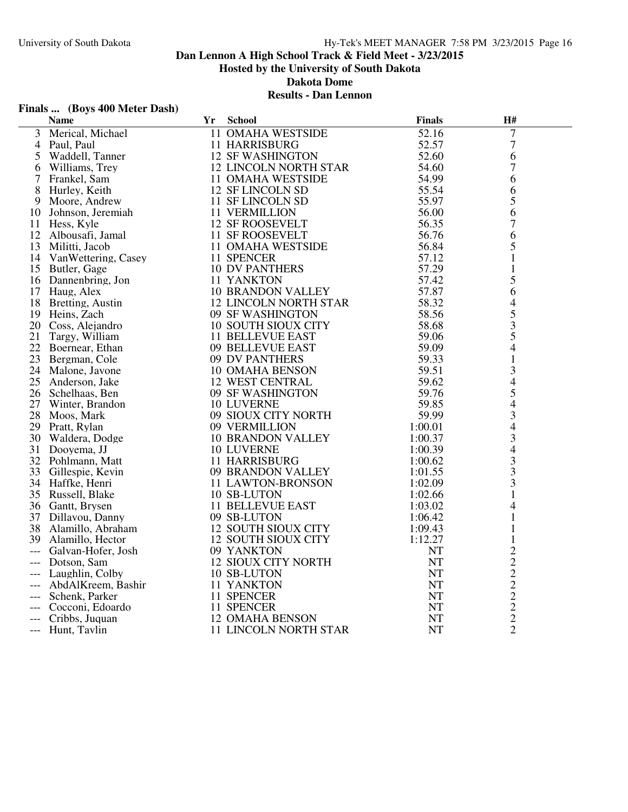**Dakota Dome**

#### **Results - Dan Lennon**

| Finals  (Boys 400 Meter Dash) |  |  |
|-------------------------------|--|--|
| Nomo                          |  |  |

|                     | FINAIS  (DOYS 400 METER DASII) |                              |               |                |  |
|---------------------|--------------------------------|------------------------------|---------------|----------------|--|
|                     | Name                           | Yr School                    | <b>Finals</b> | H#             |  |
|                     | 3 Merical, Michael             | 11 OMAHA WESTSIDE            | 52.16         | 7              |  |
| 4                   | Paul, Paul                     | <b>11 HARRISBURG</b>         | 52.57         | $\tau$         |  |
|                     | 5 Waddell, Tanner              | <b>12 SF WASHINGTON</b>      | 52.60         | 6              |  |
| 6                   | Williams, Trey                 | <b>12 LINCOLN NORTH STAR</b> | 54.60         | 7              |  |
| 7                   | Frankel, Sam                   | 11 OMAHA WESTSIDE            | 54.99         | 6              |  |
|                     | 8 Hurley, Keith                | 12 SF LINCOLN SD             | 55.54         | 6              |  |
| 9                   | Moore, Andrew                  | 11 SF LINCOLN SD             | 55.97         | 5              |  |
| 10                  | Johnson, Jeremiah              | 11 VERMILLION                | 56.00         | 6              |  |
| 11                  | Hess, Kyle                     | <b>12 SF ROOSEVELT</b>       | 56.35         | 7              |  |
|                     | 12 Albousafi, Jamal            | 11 SF ROOSEVELT              | 56.76         | 6              |  |
|                     | 13 Militti, Jacob              | 11 OMAHA WESTSIDE            | 56.84         | 5              |  |
|                     | 14 VanWettering, Casey         | 11 SPENCER                   | 57.12         | $\mathbf{1}$   |  |
|                     | 15 Butler, Gage                | <b>10 DV PANTHERS</b>        | 57.29         | 1              |  |
|                     | 16 Dannenbring, Jon            | 11 YANKTON                   | 57.42         | 5              |  |
|                     | 17 Haug, Alex                  | <b>10 BRANDON VALLEY</b>     | 57.87         | 6              |  |
|                     | 18 Bretting, Austin            | <b>12 LINCOLN NORTH STAR</b> | 58.32         | 4              |  |
|                     | 19 Heins, Zach                 | 09 SF WASHINGTON             | 58.56         |                |  |
|                     | 20 Coss, Alejandro             | <b>10 SOUTH SIOUX CITY</b>   | 58.68         | $\frac{5}{3}$  |  |
| 21                  | Targy, William                 | 11 BELLEVUE EAST             | 59.06         |                |  |
|                     | 22 Boernear, Ethan             | 09 BELLEVUE EAST             | 59.09         | $\overline{4}$ |  |
|                     | 23 Bergman, Cole               | 09 DV PANTHERS               | 59.33         | $\mathbf{1}$   |  |
|                     | 24 Malone, Javone              | 10 OMAHA BENSON              | 59.51         | 3              |  |
|                     | 25 Anderson, Jake              | <b>12 WEST CENTRAL</b>       | 59.62         | $\overline{4}$ |  |
|                     | 26 Schelhaas, Ben              | 09 SF WASHINGTON             | 59.76         | 5              |  |
|                     | 27 Winter, Brandon             | <b>10 LUVERNE</b>            | 59.85         | $\overline{4}$ |  |
|                     | 28 Moos, Mark                  | 09 SIOUX CITY NORTH          | 59.99         |                |  |
|                     | 29 Pratt, Rylan                | 09 VERMILLION                | 1:00.01       |                |  |
|                     | 30 Waldera, Dodge              | <b>10 BRANDON VALLEY</b>     | 1:00.37       |                |  |
| 31                  | Dooyema, JJ                    | <b>10 LUVERNE</b>            | 1:00.39       | $343$<br>$43$  |  |
|                     | 32 Pohlmann, Matt              | <b>11 HARRISBURG</b>         | 1:00.62       |                |  |
|                     | 33 Gillespie, Kevin            | 09 BRANDON VALLEY            | 1:01.55       | 3              |  |
|                     | 34 Haffke, Henri               | 11 LAWTON-BRONSON            | 1:02.09       | 3              |  |
|                     | 35 Russell, Blake              | 10 SB-LUTON                  | 1:02.66       | $\mathbf{1}$   |  |
|                     | 36 Gantt, Brysen               | <b>11 BELLEVUE EAST</b>      | 1:03.02       | 4              |  |
|                     | 37 Dillavou, Danny             | 09 SB-LUTON                  | 1:06.42       | $\mathbf{1}$   |  |
|                     | 38 Alamillo, Abraham           | 12 SOUTH SIOUX CITY          | 1:09.43       | 1              |  |
|                     | 39 Alamillo, Hector            | <b>12 SOUTH SIOUX CITY</b>   | 1:12.27       | $\mathbf{1}$   |  |
| $---$               | Galvan-Hofer, Josh             | 09 YANKTON                   | <b>NT</b>     |                |  |
| $---$               | Dotson, Sam                    | <b>12 SIOUX CITY NORTH</b>   | <b>NT</b>     |                |  |
| $\qquad \qquad - -$ | Laughlin, Colby                | 10 SB-LUTON                  | <b>NT</b>     | 22222222       |  |
| $---$               | AbdAlKreem, Bashir             | 11 YANKTON                   | <b>NT</b>     |                |  |
|                     | Schenk, Parker                 | 11 SPENCER                   | $\mathbf{NT}$ |                |  |
|                     | Cocconi, Edoardo               | 11 SPENCER                   | NT            |                |  |
|                     | Cribbs, Juquan                 | <b>12 OMAHA BENSON</b>       | <b>NT</b>     |                |  |
|                     | --- Hunt, Tavlin               | 11 LINCOLN NORTH STAR        | <b>NT</b>     |                |  |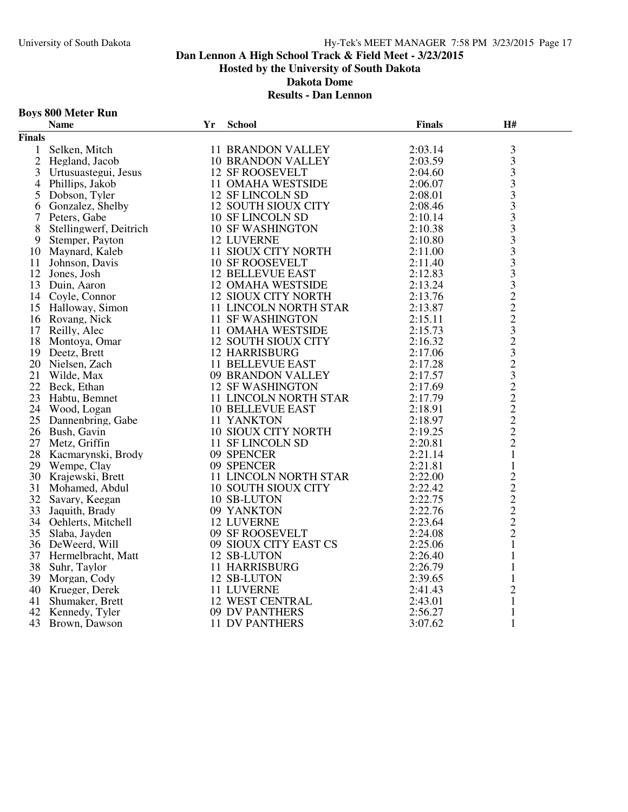### **Boys 800 Meter Run**

|               | <b>Name</b>            | Yr | <b>School</b>                           | <b>Finals</b> | H#                                         |  |
|---------------|------------------------|----|-----------------------------------------|---------------|--------------------------------------------|--|
| <b>Finals</b> |                        |    |                                         |               |                                            |  |
| $\mathbf{1}$  | Selken, Mitch          |    | <b>11 BRANDON VALLEY</b>                | 2:03.14       | 3                                          |  |
|               | 2 Hegland, Jacob       |    | <b>10 BRANDON VALLEY</b>                | 2:03.59       | $\overline{3}$                             |  |
| 3             | Urtusuastegui, Jesus   |    | <b>12 SF ROOSEVELT</b>                  | 2:04.60       | $\overline{\mathbf{3}}$                    |  |
| 4             | Phillips, Jakob        |    | 11 OMAHA WESTSIDE                       | 2:06.07       | $\overline{\mathbf{3}}$                    |  |
| 5             | Dobson, Tyler          |    | 12 SF LINCOLN SD                        | 2:08.01       | $\overline{3}$                             |  |
| 6             | Gonzalez, Shelby       |    | <b>12 SOUTH SIOUX CITY</b>              | 2:08.46       | 3                                          |  |
| 7             | Peters, Gabe           |    | <b>10 SF LINCOLN SD</b>                 | 2:10.14       | $\overline{3}$                             |  |
| 8             | Stellingwerf, Deitrich |    | <b>10 SF WASHINGTON</b>                 | 2:10.38       | $\overline{3}$                             |  |
| 9             | Stemper, Payton        |    | <b>12 LUVERNE</b>                       | 2:10.80       | 3                                          |  |
| 10            | Maynard, Kaleb         |    | 11 SIOUX CITY NORTH                     | 2:11.00       | $\overline{\mathbf{3}}$                    |  |
| 11            | Johnson, Davis         |    | <b>10 SF ROOSEVELT</b>                  | 2:11.40       | $\overline{\mathbf{3}}$                    |  |
|               | 12 Jones, Josh         |    | <b>12 BELLEVUE EAST</b>                 | 2:12.83       | $\mathfrak{Z}$                             |  |
| 13            | Duin, Aaron            |    | <b>12 OMAHA WESTSIDE</b>                | 2:13.24       | $\overline{3}$                             |  |
|               | 14 Coyle, Connor       |    | <b>12 SIOUX CITY NORTH</b>              | 2:13.76       |                                            |  |
|               | 15 Halloway, Simon     |    | 11 LINCOLN NORTH STAR                   | 2:13.87       |                                            |  |
|               | 16 Rovang, Nick        |    | <b>11 SF WASHINGTON</b>                 | 2:15.11       |                                            |  |
| 17            | Reilly, Alec           |    | 11 OMAHA WESTSIDE                       | 2:15.73       |                                            |  |
|               | 18 Montoya, Omar       |    | 12 SOUTH SIOUX CITY                     | 2:16.32       |                                            |  |
|               | 19 Deetz, Brett        |    | <b>12 HARRISBURG</b>                    | 2:17.06       |                                            |  |
|               | 20 Nielsen, Zach       |    | 11 BELLEVUE EAST                        | 2:17.28       |                                            |  |
| 21            | Wilde, Max             |    | 09 BRANDON VALLEY                       | 2:17.57       |                                            |  |
| 22            | Beck, Ethan            |    | <b>12 SF WASHINGTON</b>                 | 2:17.69       | 222323232222                               |  |
| 23            | Habtu, Bemnet          |    | 11 LINCOLN NORTH STAR                   | 2:17.79       |                                            |  |
|               | 24 Wood, Logan         |    | <b>10 BELLEVUE EAST</b>                 | 2:18.91       |                                            |  |
| 25            | Dannenbring, Gabe      |    | 11 YANKTON                              | 2:18.97       |                                            |  |
|               | 26 Bush, Gavin         |    |                                         | 2:19.25       |                                            |  |
| 27            | Metz, Griffin          |    | 10 SIOUX CITY NORTH<br>11 SF LINCOLN SD | 2:20.81       |                                            |  |
| 28            | Kacmarynski, Brody     |    | 09 SPENCER                              | 2:21.14       | $\mathbf{1}$                               |  |
|               | 29 Wempe, Clay         |    | 09 SPENCER                              | 2:21.81       | $\mathbf{1}$                               |  |
| 30            | Krajewski, Brett       |    | 11 LINCOLN NORTH STAR                   | 2:22.00       | $\frac{2}{2}$                              |  |
| 31            | Mohamed, Abdul         |    | <b>10 SOUTH SIOUX CITY</b>              | 2:22.42       |                                            |  |
|               | 32 Savary, Keegan      |    | 10 SB-LUTON                             | 2:22.75       | $\begin{array}{c} 2 \\ 2 \\ 2 \end{array}$ |  |
| 33            | Jaquith, Brady         |    | 09 YANKTON                              | 2:22.76       |                                            |  |
|               | 34 Oehlerts, Mitchell  |    | <b>12 LUVERNE</b>                       | 2:23.64       |                                            |  |
|               | 35 Slaba, Jayden       |    | 09 SF ROOSEVELT                         | 2:24.08       | $\sqrt{2}$                                 |  |
|               | 36 DeWeerd, Will       |    | 09 SIOUX CITY EAST CS                   | 2:25.06       | $\mathbf{1}$                               |  |
| 37            | Hermelbracht, Matt     |    | 12 SB-LUTON                             | 2:26.40       | $\mathbf{1}$                               |  |
| 38            | Suhr, Taylor           |    | <b>11 HARRISBURG</b>                    | 2:26.79       | 1                                          |  |
| 39            | Morgan, Cody           |    | 12 SB-LUTON                             | 2:39.65       | 1                                          |  |
|               | 40 Krueger, Derek      |    | 11 LUVERNE                              | 2:41.43       | $\sqrt{2}$                                 |  |
| 41            | Shumaker, Brett        |    | <b>12 WEST CENTRAL</b>                  | 2:43.01       | $\mathbf{1}$                               |  |
| 42            | Kennedy, Tyler         |    | 09 DV PANTHERS                          | 2:56.27       | $\mathbf{1}$                               |  |
| 43            | Brown, Dawson          |    | <b>11 DV PANTHERS</b>                   | 3:07.62       | $\mathbf{1}$                               |  |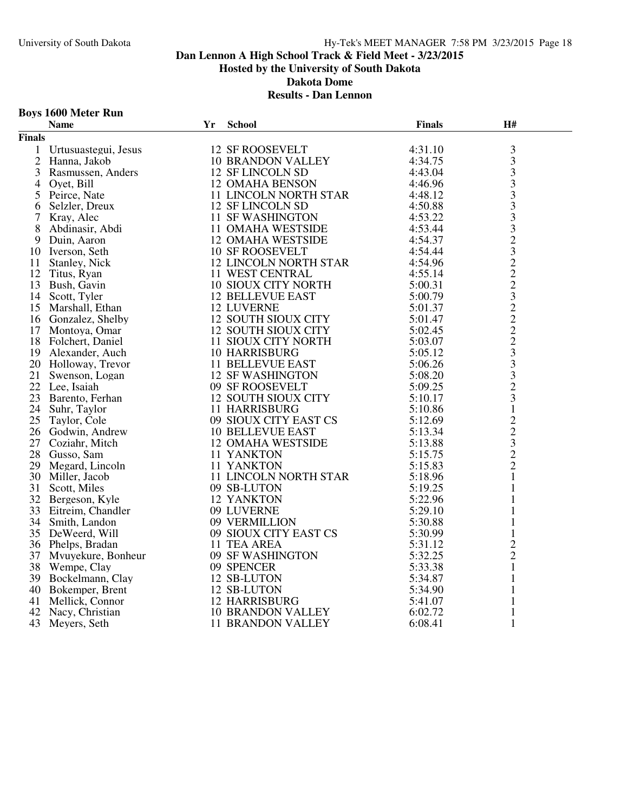### **Boys 1600 Meter Run**

|                | <b>Name</b>                                                    | Yr | <b>School</b>                                                                                    | <b>Finals</b> | H#                                                |  |
|----------------|----------------------------------------------------------------|----|--------------------------------------------------------------------------------------------------|---------------|---------------------------------------------------|--|
| <b>Finals</b>  |                                                                |    |                                                                                                  |               |                                                   |  |
| $\mathbf{1}$   | Urtusuastegui, Jesus                                           |    | <b>12 SF ROOSEVELT</b>                                                                           | 4:31.10       |                                                   |  |
| $\overline{2}$ |                                                                |    | 10 BRANDON VALLEY                                                                                | 4:34.75       | $\frac{3}{3}$                                     |  |
| $\mathfrak{Z}$ | Rasmussen, Anders<br>Oyet, Bill                                |    | 12 SF LINCOLN SD                                                                                 | 4:43.04       |                                                   |  |
| 4              |                                                                |    | <b>12 OMAHA BENSON</b>                                                                           | 4:46.96       | $\begin{array}{c} 3 \\ 3 \\ 3 \end{array}$        |  |
| 5              | Peirce, Nate                                                   |    | 11 LINCOLN NORTH STAR                                                                            | 4:48.12       |                                                   |  |
| 6              | Selzler, Dreux                                                 |    | 12 SF LINCOLN SD                                                                                 | 4:50.88       |                                                   |  |
| 7              |                                                                |    | <b>11 SF WASHINGTON</b>                                                                          | 4:53.22       |                                                   |  |
| 8              | Kray, Alec<br>Abdinasir, Abdi<br>Duin, Aaron                   |    | 11 OMAHA WESTSIDE                                                                                | 4:53.44       |                                                   |  |
| 9.             | Duin, Aaron                                                    |    | 12 OMAHA WESTSIDE                                                                                | 4:54.37       |                                                   |  |
| 10             | Iverson, Seth                                                  |    | <b>10 SF ROOSEVELT</b>                                                                           | 4:54.44       |                                                   |  |
|                | 11 Stanley, Nick                                               |    | 12 LINCOLN NORTH STAR                                                                            | 4:54.96       |                                                   |  |
|                | 12 Titus, Ryan                                                 |    | 11 WEST CENTRAL                                                                                  | 4:55.14       |                                                   |  |
| 13             | Bush, Gavin                                                    |    | <b>10 SIOUX CITY NORTH</b>                                                                       | 5:00.31       |                                                   |  |
|                | 14 Scott, Tyler                                                |    | <b>12 BELLEVUE EAST</b>                                                                          | 5:00.79       |                                                   |  |
| 15             | Scott, Tyler<br>Marshall, Ethan                                |    | <b>12 LUVERNE</b>                                                                                | 5:01.37       |                                                   |  |
| 16             |                                                                |    | 12 SOUTH SIOUX CITY<br>12 SOUTH SIOUX CITY                                                       | 5:01.47       |                                                   |  |
|                | Gonzalez, Shelby<br>Montova, Omar<br>17 Montoya, Omar          |    |                                                                                                  | 5:02.45       |                                                   |  |
|                | 18 Folchert, Daniel                                            |    | 11 SIOUX CITY NORTH                                                                              | 5:03.07       |                                                   |  |
|                |                                                                |    | <b>10 HARRISBURG</b>                                                                             | 5:05.12       |                                                   |  |
|                | 19 Alexander, Auch<br>20 Holloway, Trevor<br>21 Swenson, Logan |    | 11 BELLEVUE EAST<br>12 SF WASHINGTON                                                             | 5:06.26       |                                                   |  |
|                |                                                                |    | <b>12 SF WASHINGTON</b>                                                                          | 5:08.20       |                                                   |  |
|                | 22 Lee, Isaiah                                                 |    | 09 SF ROOSEVELT                                                                                  | 5:09.25       | 33323222322233323                                 |  |
|                | 23 Barento, Ferhan                                             |    | 12 SOUTH SIOUX CITY                                                                              | 5:10.17       |                                                   |  |
| 24             | Suhr, Taylor                                                   |    | <b>11 HARRISBURG</b>                                                                             | 5:10.86       | $\mathbf{1}$                                      |  |
| 25             | Taylor, Cole                                                   |    | 11 HARRISBURG<br>09 SIOUX CITY EAST CS                                                           | 5:12.69       |                                                   |  |
|                | 25 Taylor, Cole<br>26 Godwin, Andrew                           |    | <b>10 BELLEVUE EAST</b>                                                                          | 5:13.34       |                                                   |  |
|                | 27 Coziahr, Mitch                                              |    | 12 OMAHA WESTSIDE                                                                                | 5:13.88       | $\begin{array}{c}\n2 \\ 2 \\ 3 \\ 2\n\end{array}$ |  |
|                | 28 Gusso, Sam                                                  |    | 11 YANKTON                                                                                       | 5:15.75       |                                                   |  |
|                | 29 Megard, Lincoln                                             |    | 11 YANKTON                                                                                       | 5:15.83       |                                                   |  |
| 30             | Miller, Jacob                                                  |    | 11 LINCOLN NORTH STAR                                                                            | 5:18.96       | $\mathbf{1}$                                      |  |
| 31             | Scott, Miles                                                   |    | 09 SB-LUTON                                                                                      | 5:19.25       | $\mathbf{1}$                                      |  |
|                | 32 Bergeson, Kyle                                              |    | 09 SB-LUTON<br>12 YANKTON<br>09 LUVERNE<br>09 VERMILLION<br>09 SIOUX CITY EAST CS<br>11 TEA AREA | 5:22.96       | 1                                                 |  |
| 33             | Eitreim, Chandler                                              |    |                                                                                                  | 5:29.10       | $\mathbf{1}$                                      |  |
| 34             | Smith, Landon                                                  |    |                                                                                                  | 5:30.88       | $\mathbf{1}$                                      |  |
|                | 35 DeWeerd, Will                                               |    |                                                                                                  | 5:30.99       | $\mathbf{1}$                                      |  |
| 36             | Phelps, Bradan                                                 |    | 11 TEA AREA                                                                                      | 5:31.12       | $\overline{c}$                                    |  |
| 37             | Mvuyekure, Bonheur                                             |    | 09 SF WASHINGTON                                                                                 | 5:32.25       | $\overline{c}$                                    |  |
|                | 38 Wempe, Clay                                                 |    | 09 SPENCER                                                                                       | 5:33.38       | $\mathbf{1}$                                      |  |
| 39             | Bockelmann, Clay                                               |    | 12 SB-LUTON                                                                                      | 5:34.87       | $\mathbf{1}$                                      |  |
|                | 40 Bokemper, Brent                                             |    | 12 SB-LUTON                                                                                      | 5:34.90       | $\mathbf{1}$                                      |  |
| 41             | Mellick, Connor                                                |    | <b>12 HARRISBURG</b>                                                                             | 5:41.07       | $\mathbf{1}$                                      |  |
| 42             | Nacy, Christian                                                |    | 10 BRANDON VALLEY                                                                                | 6:02.72       | $\mathbf{1}$                                      |  |
|                | 43 Meyers, Seth                                                |    | <b>11 BRANDON VALLEY</b>                                                                         | 6:08.41       | $\mathbf{1}$                                      |  |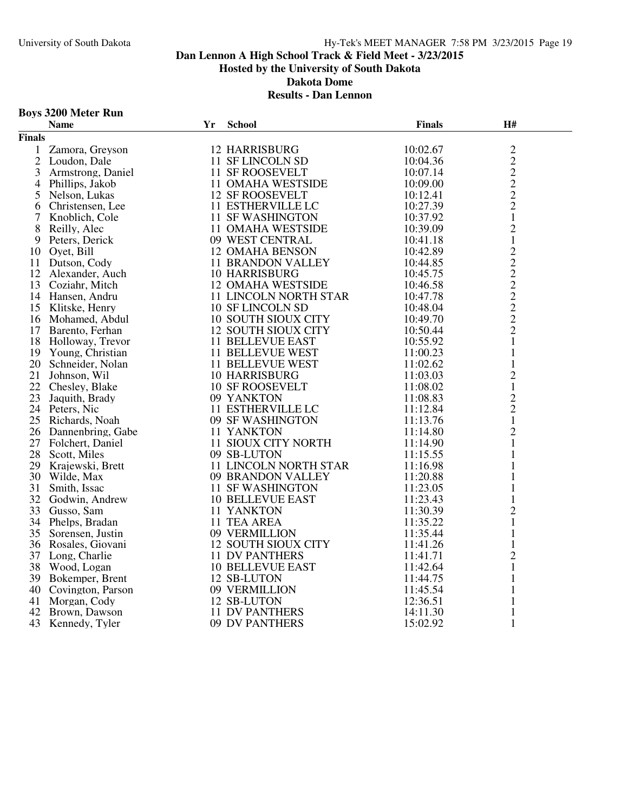### **Boys 3200 Meter Run**

|                | <b>Name</b>          | Yr | <b>School</b>                | <b>Finals</b> | H#                                         |  |
|----------------|----------------------|----|------------------------------|---------------|--------------------------------------------|--|
| <b>Finals</b>  |                      |    |                              |               |                                            |  |
| $\mathbf{1}$   | Zamora, Greyson      |    | <b>12 HARRISBURG</b>         | 10:02.67      |                                            |  |
| $\overline{2}$ | Loudon, Dale         |    | 11 SF LINCOLN SD             | 10:04.36      | $\frac{2}{2}$                              |  |
| 3              | Armstrong, Daniel    |    | 11 SF ROOSEVELT              | 10:07.14      |                                            |  |
| 4              | Phillips, Jakob      |    | 11 OMAHA WESTSIDE            | 10:09.00      | $\begin{array}{c} 2 \\ 2 \\ 2 \end{array}$ |  |
| 5              | Nelson, Lukas        |    | <b>12 SF ROOSEVELT</b>       | 10:12.41      |                                            |  |
| 6              | Christensen, Lee     |    | 11 ESTHERVILLE LC            | 10:27.39      |                                            |  |
| 7              | Knoblich, Cole       |    | <b>11 SF WASHINGTON</b>      | 10:37.92      | $\mathbf{1}$                               |  |
| 8              | Reilly, Alec         |    | 11 OMAHA WESTSIDE            | 10:39.09      | $\overline{c}$                             |  |
| 9              | Peters, Derick       |    | 09 WEST CENTRAL              | 10:41.18      | $\mathbf{1}$                               |  |
| 10             | Oyet, Bill           |    | <b>12 OMAHA BENSON</b>       | 10:42.89      | $\overline{2}$                             |  |
|                | 11 Dutson, Cody      |    | <b>11 BRANDON VALLEY</b>     | 10:44.85      |                                            |  |
|                | 12 Alexander, Auch   |    | <b>10 HARRISBURG</b>         | 10:45.75      |                                            |  |
| 13             | Coziahr, Mitch       |    | <b>12 OMAHA WESTSIDE</b>     | 10:46.58      | $2222222$<br>$2221$                        |  |
|                | 14 Hansen, Andru     |    | 11 LINCOLN NORTH STAR        | 10:47.78      |                                            |  |
| 15             | Klitske, Henry       |    | 10 SF LINCOLN SD             | 10:48.04      |                                            |  |
|                | 16 Mohamed, Abdul    |    | <b>10 SOUTH SIOUX CITY</b>   | 10:49.70      |                                            |  |
|                | 17 Barento, Ferhan   |    | <b>12 SOUTH SIOUX CITY</b>   | 10:50.44      |                                            |  |
| 18             | Holloway, Trevor     |    | <b>11 BELLEVUE EAST</b>      | 10:55.92      |                                            |  |
|                | 19 Young, Christian  |    | <b>11 BELLEVUE WEST</b>      | 11:00.23      | $\mathbf{1}$                               |  |
|                | 20 Schneider, Nolan  |    | 11 BELLEVUE WEST             | 11:02.62      | $\mathbf{1}$                               |  |
| 21             | Johnson, Wil         |    | 10 HARRISBURG                | 11:03.03      | $\overline{c}$                             |  |
| 22             | Chesley, Blake       |    | <b>10 SF ROOSEVELT</b>       | 11:08.02      | $\mathbf 1$                                |  |
| 23             | Jaquith, Brady       |    | 09 YANKTON                   | 11:08.83      |                                            |  |
|                | 24 Peters, Nic       |    | 11 ESTHERVILLE LC            | 11:12.84      | $\frac{2}{2}$                              |  |
| 25             | Richards, Noah       |    | 09 SF WASHINGTON             | 11:13.76      | $\mathbf{1}$                               |  |
|                | 26 Dannenbring, Gabe |    | 11 YANKTON                   | 11:14.80      | $\overline{2}$                             |  |
|                | 27 Folchert, Daniel  |    | 11 SIOUX CITY NORTH          | 11:14.90      | $\mathbf{1}$                               |  |
| 28             | Scott, Miles         |    | 09 SB-LUTON                  | 11:15.55      | $\mathbf{1}$                               |  |
|                | 29 Krajewski, Brett  |    | <b>11 LINCOLN NORTH STAR</b> | 11:16.98      | 1                                          |  |
| 30             | Wilde, Max           |    | 09 BRANDON VALLEY            | 11:20.88      | $\mathbf{1}$                               |  |
| 31             | Smith, Issac         |    | <b>11 SF WASHINGTON</b>      | 11:23.05      | $\mathbf{1}$                               |  |
|                | 32 Godwin, Andrew    |    | <b>10 BELLEVUE EAST</b>      | 11:23.43      | $\mathbf{1}$                               |  |
| 33             | Gusso, Sam           |    | 11 YANKTON                   | 11:30.39      | $\overline{2}$                             |  |
|                | 34 Phelps, Bradan    |    | 11 TEA AREA                  | 11:35.22      | $\mathbf{1}$                               |  |
| 35             | Sorensen, Justin     |    | 09 VERMILLION                | 11:35.44      | $\mathbf{1}$                               |  |
| 36             | Rosales, Giovani     |    | 12 SOUTH SIOUX CITY          | 11:41.26      | $\mathbf{1}$                               |  |
| 37             | Long, Charlie        |    | <b>11 DV PANTHERS</b>        | 11:41.71      | $\overline{c}$                             |  |
|                | 38 Wood, Logan       |    | <b>10 BELLEVUE EAST</b>      | 11:42.64      | $\mathbf{1}$                               |  |
|                | 39 Bokemper, Brent   |    | 12 SB-LUTON                  | 11:44.75      | $\mathbf{1}$                               |  |
| 40             | Covington, Parson    |    | 09 VERMILLION                | 11:45.54      | 1                                          |  |
| 41             | Morgan, Cody         |    | 12 SB-LUTON                  | 12:36.51      | 1                                          |  |
| 42             | Brown, Dawson        |    | 11 DV PANTHERS               | 14:11.30      | $\mathbf{1}$                               |  |
|                | 43 Kennedy, Tyler    |    | 09 DV PANTHERS               | 15:02.92      | $\mathbf{1}$                               |  |
|                |                      |    |                              |               |                                            |  |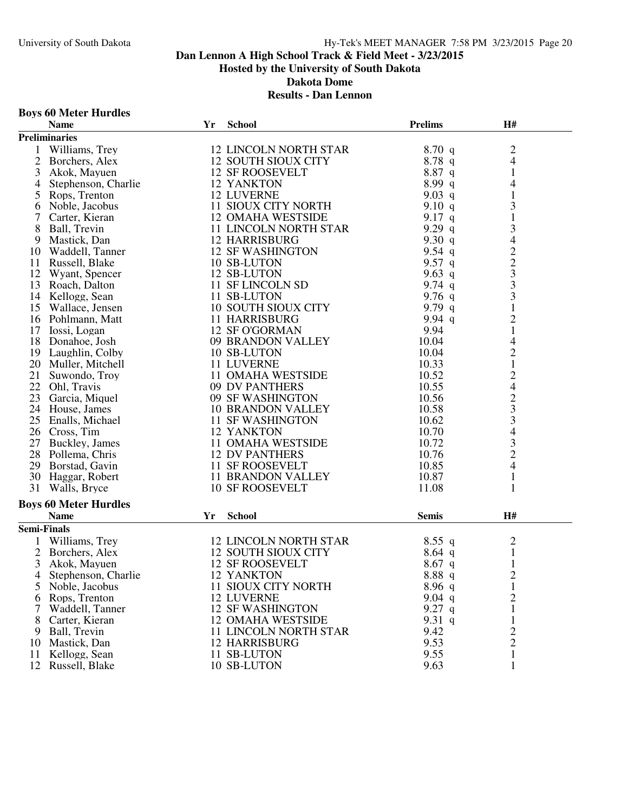# **Boys 60 Meter Hurdles**

|                    | <b>Name</b>                  | Yr | <b>School</b>                | <b>Prelims</b> | H#                                              |  |
|--------------------|------------------------------|----|------------------------------|----------------|-------------------------------------------------|--|
|                    | <b>Preliminaries</b>         |    |                              |                |                                                 |  |
| 1                  | Williams, Trey               |    | <b>12 LINCOLN NORTH STAR</b> | 8.70q          | $\mathfrak{2}$                                  |  |
| $\overline{2}$     | Borchers, Alex               |    | 12 SOUTH SIOUX CITY          | 8.78q          | $\overline{4}$                                  |  |
| 3                  | Akok, Mayuen                 |    | <b>12 SF ROOSEVELT</b>       | 8.87 q         | 1                                               |  |
| 4                  | Stephenson, Charlie          |    | 12 YANKTON                   | 8.99q          | 4                                               |  |
| 5                  | Rops, Trenton                |    | <b>12 LUVERNE</b>            | 9.03 q         | $\mathbf{1}$                                    |  |
| 6                  | Noble, Jacobus               |    | 11 SIOUX CITY NORTH          | 9.10 $q$       | 3                                               |  |
| 7                  | Carter, Kieran               |    | <b>12 OMAHA WESTSIDE</b>     | 9.17 $q$       | $\mathbf{1}$                                    |  |
| 8                  | Ball, Trevin                 |    | <b>11 LINCOLN NORTH STAR</b> | 9.29q          | 3                                               |  |
| 9                  | Mastick, Dan                 |    | <b>12 HARRISBURG</b>         | 9.30 $q$       | $\overline{\mathcal{A}}$                        |  |
|                    | 10 Waddell, Tanner           |    | <b>12 SF WASHINGTON</b>      | 9.54 $q$       |                                                 |  |
| 11                 | Russell, Blake               |    | 10 SB-LUTON                  | 9.57 q         | $\frac{2}{3}$                                   |  |
| 12                 | Wyant, Spencer               |    | 12 SB-LUTON                  | 9.63 q         |                                                 |  |
|                    | 13 Roach, Dalton             |    | 11 SF LINCOLN SD             | 9.74 $q$       | 3                                               |  |
|                    | 14 Kellogg, Sean             |    | 11 SB-LUTON                  | 9.76 $q$       | 3                                               |  |
|                    | 15 Wallace, Jensen           |    | <b>10 SOUTH SIOUX CITY</b>   | 9.79 $q$       | $\mathbf{1}$                                    |  |
|                    | 16 Pohlmann, Matt            |    | <b>11 HARRISBURG</b>         | 9.94 $q$       | $\overline{2}$                                  |  |
| 17                 | Iossi, Logan                 |    | 12 SF O'GORMAN               | 9.94           | $\mathbf{1}$                                    |  |
|                    | 18 Donahoe, Josh             |    | 09 BRANDON VALLEY            | 10.04          | 4                                               |  |
|                    | 19 Laughlin, Colby           |    | 10 SB-LUTON                  | 10.04          | $\overline{c}$                                  |  |
|                    | 20 Muller, Mitchell          |    | 11 LUVERNE                   | 10.33          | $\,1$                                           |  |
|                    | 21 Suwondo, Troy             |    | <b>11 OMAHA WESTSIDE</b>     | 10.52          |                                                 |  |
|                    | 22 Ohl, Travis               |    | 09 DV PANTHERS               | 10.55          |                                                 |  |
|                    | 23 Garcia, Miquel            |    | 09 SF WASHINGTON             | 10.56          |                                                 |  |
|                    | 24 House, James              |    | <b>10 BRANDON VALLEY</b>     | 10.58          | $\begin{array}{c} 2 \\ 4 \\ 2 \\ 3 \end{array}$ |  |
|                    | 25 Enalls, Michael           |    | <b>11 SF WASHINGTON</b>      | 10.62          | 3                                               |  |
|                    | 26 Cross, Tim                |    | 12 YANKTON                   | 10.70          | 4                                               |  |
|                    | 27 Buckley, James            |    | 11 OMAHA WESTSIDE            | 10.72          | 3                                               |  |
|                    | 28 Pollema, Chris            |    | <b>12 DV PANTHERS</b>        | 10.76          | $\overline{2}$                                  |  |
|                    | 29 Borstad, Gavin            |    | 11 SF ROOSEVELT              | 10.85          | $\overline{4}$                                  |  |
|                    |                              |    |                              | 10.87          | $\mathbf{1}$                                    |  |
| 31                 | 30 Haggar, Robert            |    | 11 BRANDON VALLEY            |                |                                                 |  |
|                    | Walls, Bryce                 |    | <b>10 SF ROOSEVELT</b>       | 11.08          | 1                                               |  |
|                    | <b>Boys 60 Meter Hurdles</b> |    |                              |                |                                                 |  |
|                    | <b>Name</b>                  | Yr | <b>School</b>                | <b>Semis</b>   | H#                                              |  |
| <b>Semi-Finals</b> |                              |    |                              |                |                                                 |  |
| 1                  | Williams, Trey               |    | <b>12 LINCOLN NORTH STAR</b> | $8.55$ q       | $\overline{c}$                                  |  |
| $\overline{2}$     | Borchers, Alex               |    | <b>12 SOUTH SIOUX CITY</b>   | $8.64$ q       | $\mathbf{1}$                                    |  |
| 3                  | Akok, Mayuen                 |    | <b>12 SF ROOSEVELT</b>       | $8.67$ q       | $\mathbf{1}$                                    |  |
| 4                  | Stephenson, Charlie          |    | 12 YANKTON                   | 8.88 q         | $\overline{2}$                                  |  |
| 5                  | Noble, Jacobus               |    | 11 SIOUX CITY NORTH          | 8.96q          | 1                                               |  |
| 6                  | Rops, Trenton                |    | 12 LUVERNE                   | $9.04$ q       | $\overline{c}$                                  |  |
| 7                  | Waddell, Tanner              |    | <b>12 SF WASHINGTON</b>      | 9.27 $q$       | 1                                               |  |
| 8                  | Carter, Kieran               |    | <b>12 OMAHA WESTSIDE</b>     | 9.31 q         | $\mathbf 1$                                     |  |
| 9                  | Ball, Trevin                 |    | 11 LINCOLN NORTH STAR        | 9.42           | 2                                               |  |
| 10                 | Mastick, Dan                 |    | <b>12 HARRISBURG</b>         | 9.53           | $\overline{2}$                                  |  |
| 11                 | Kellogg, Sean                |    | 11 SB-LUTON                  | 9.55           | 1                                               |  |
|                    | 12 Russell, Blake            |    | 10 SB-LUTON                  | 9.63           | $\mathbf{1}$                                    |  |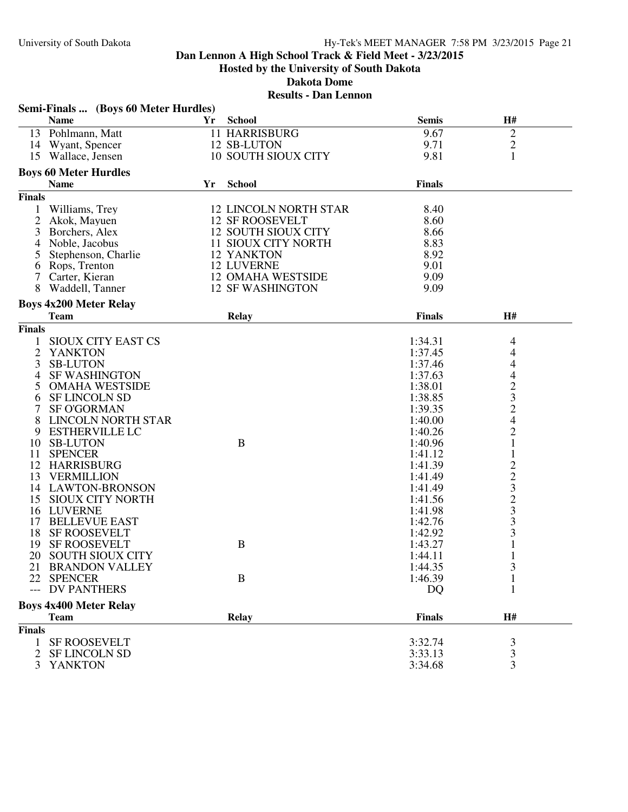# **Results - Dan Lennon**

|                | Semi-Finals  (Boys 60 Meter Hurdles) |    |                              |               |                                                        |  |
|----------------|--------------------------------------|----|------------------------------|---------------|--------------------------------------------------------|--|
|                | <b>Name</b>                          | Yr | <b>School</b>                | <b>Semis</b>  | H#                                                     |  |
|                | 13 Pohlmann, Matt                    |    | <b>11 HARRISBURG</b>         | 9.67          | $\sqrt{2}$                                             |  |
|                | 14 Wyant, Spencer                    |    | 12 SB-LUTON                  | 9.71          | $\mathbf{2}$                                           |  |
|                | 15 Wallace, Jensen                   |    | <b>10 SOUTH SIOUX CITY</b>   | 9.81          | 1                                                      |  |
|                | <b>Boys 60 Meter Hurdles</b>         |    |                              |               |                                                        |  |
|                | <b>Name</b>                          | Yr | <b>School</b>                | <b>Finals</b> |                                                        |  |
|                |                                      |    |                              |               |                                                        |  |
| <b>Finals</b>  |                                      |    |                              |               |                                                        |  |
| 1              | Williams, Trey                       |    | <b>12 LINCOLN NORTH STAR</b> | 8.40          |                                                        |  |
| 2              | Akok, Mayuen                         |    | <b>12 SF ROOSEVELT</b>       | 8.60          |                                                        |  |
| 3              | Borchers, Alex                       |    | <b>12 SOUTH SIOUX CITY</b>   | 8.66          |                                                        |  |
| 4              | Noble, Jacobus                       |    | 11 SIOUX CITY NORTH          | 8.83          |                                                        |  |
| 5              | Stephenson, Charlie                  |    | 12 YANKTON                   | 8.92          |                                                        |  |
|                | 6 Rops, Trenton                      |    | <b>12 LUVERNE</b>            | 9.01          |                                                        |  |
| 7              | Carter, Kieran                       |    | <b>12 OMAHA WESTSIDE</b>     | 9.09          |                                                        |  |
| 8              | Waddell, Tanner                      |    | <b>12 SF WASHINGTON</b>      | 9.09          |                                                        |  |
|                | <b>Boys 4x200 Meter Relay</b>        |    |                              |               |                                                        |  |
|                | <b>Team</b>                          |    | <b>Relay</b>                 | <b>Finals</b> | H#                                                     |  |
| <b>Finals</b>  |                                      |    |                              |               |                                                        |  |
| $\mathbf{1}$   | SIOUX CITY EAST CS                   |    |                              | 1:34.31       | 4                                                      |  |
| $\overline{2}$ | <b>YANKTON</b>                       |    |                              | 1:37.45       | 4                                                      |  |
| 3              | <b>SB-LUTON</b>                      |    |                              | 1:37.46       | 4                                                      |  |
| 4              | <b>SF WASHINGTON</b>                 |    |                              | 1:37.63       | 4                                                      |  |
| 5              | <b>OMAHA WESTSIDE</b>                |    |                              | 1:38.01       |                                                        |  |
| 6              | <b>SF LINCOLN SD</b>                 |    |                              | 1:38.85       | $\frac{2}{3}$                                          |  |
| 7              | <b>SF O'GORMAN</b>                   |    |                              | 1:39.35       |                                                        |  |
| 8              | <b>LINCOLN NORTH STAR</b>            |    |                              | 1:40.00       | $\frac{2}{4}$                                          |  |
| 9              | <b>ESTHERVILLE LC</b>                |    |                              | 1:40.26       | $\overline{2}$                                         |  |
| 10             | <b>SB-LUTON</b>                      |    | B                            | 1:40.96       | $\mathbf{1}$                                           |  |
| 11             | <b>SPENCER</b>                       |    |                              | 1:41.12       | $\mathbf{1}$                                           |  |
| 12             | <b>HARRISBURG</b>                    |    |                              | 1:41.39       |                                                        |  |
| 13             | <b>VERMILLION</b>                    |    |                              | 1:41.49       |                                                        |  |
| 14             | <b>LAWTON-BRONSON</b>                |    |                              | 1:41.49       |                                                        |  |
| 15             | <b>SIOUX CITY NORTH</b>              |    |                              | 1:41.56       |                                                        |  |
|                | 16 LUVERNE                           |    |                              | 1:41.98       | $\begin{array}{c}\n2 \\ 2 \\ 3 \\ 2 \\ 3\n\end{array}$ |  |
| 17             | <b>BELLEVUE EAST</b>                 |    |                              | 1:42.76       | 3                                                      |  |
| 18             | <b>SF ROOSEVELT</b>                  |    |                              | 1:42.92       | 3                                                      |  |
| 19             | <b>SF ROOSEVELT</b>                  |    | $\bf{B}$                     | 1:43.27       | $\mathbf{1}$                                           |  |
| 20             | <b>SOUTH SIOUX CITY</b>              |    |                              | 1:44.11       | 1                                                      |  |
|                | 21 BRANDON VALLEY                    |    |                              | 1:44.35       | 3                                                      |  |
| 22             | <b>SPENCER</b>                       |    | B                            | 1:46.39       |                                                        |  |
|                | <b>DV PANTHERS</b>                   |    |                              | DQ            | 1                                                      |  |
|                | <b>Boys 4x400 Meter Relay</b>        |    |                              |               |                                                        |  |
|                | <b>Team</b>                          |    | <b>Relay</b>                 | <b>Finals</b> | H#                                                     |  |
|                |                                      |    |                              |               |                                                        |  |
| <b>Finals</b>  |                                      |    |                              |               |                                                        |  |
| 1              | <b>SF ROOSEVELT</b>                  |    |                              | 3:32.74       | 3                                                      |  |
| 2              | <b>SF LINCOLN SD</b>                 |    |                              | 3:33.13       | $\mathfrak{Z}$                                         |  |
| 3              | <b>YANKTON</b>                       |    |                              | 3:34.68       | 3                                                      |  |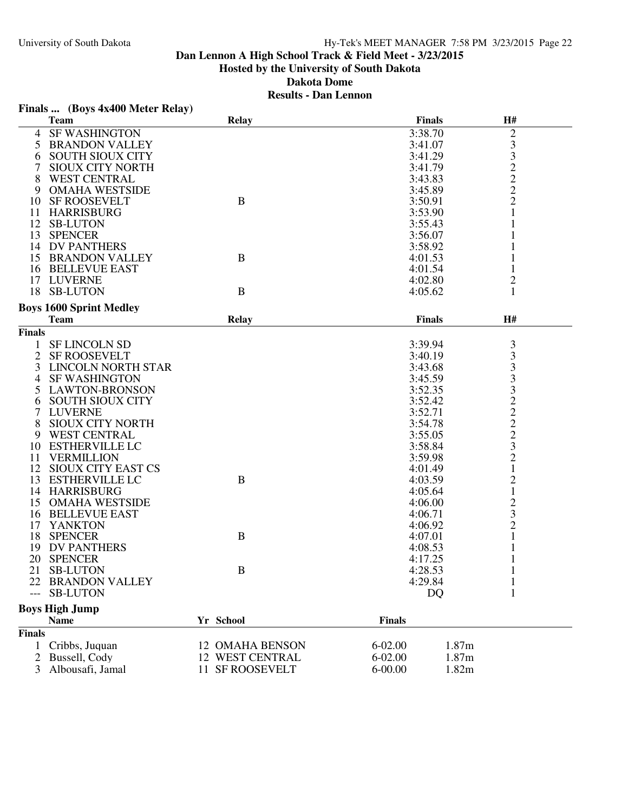| <b>Team</b><br><b>Relay</b><br><b>SF WASHINGTON</b><br>3:38.70<br>$\overline{c}$<br>4<br>$\mathfrak{Z}$<br>5 BRANDON VALLEY<br>3:41.07<br>3<br><b>SOUTH SIOUX CITY</b><br>3:41.29<br>6<br>$\overline{c}$<br><b>SIOUX CITY NORTH</b><br>3:41.79<br>$\overline{c}$<br><b>WEST CENTRAL</b><br>8<br>3:43.83<br>$\overline{c}$<br>9 OMAHA WESTSIDE<br>3:45.89<br>$\, {\bf B}$<br>$\overline{c}$<br>10 SF ROOSEVELT<br>3:50.91<br>11 HARRISBURG<br>3:53.90<br>1<br>12 SB-LUTON<br>3:55.43<br>13 SPENCER<br>3:56.07<br>14 DV PANTHERS<br>3:58.92<br>$\bf{B}$<br>15 BRANDON VALLEY<br>4:01.53<br>1<br>$\mathbf{1}$<br>16 BELLEVUE EAST<br>4:01.54<br>17 LUVERNE<br>$\overline{c}$<br>4:02.80<br>$\mathbf B$<br>18 SB-LUTON<br>1<br>4:05.62<br><b>Boys 1600 Sprint Medley</b><br><b>Finals</b><br>H#<br><b>Team</b><br>Relay<br><b>Finals</b><br>3<br>1 SF LINCOLN SD<br>3:39.94<br>3<br><b>SF ROOSEVELT</b><br>2<br>3:40.19<br>3<br>3 LINCOLN NORTH STAR<br>3:43.68<br>3<br><b>SF WASHINGTON</b><br>3:45.59<br>4<br>3<br>5 LAWTON-BRONSON<br>3:52.35<br>$\frac{2}{2}$<br><b>SOUTH SIOUX CITY</b><br>3:52.42<br>6<br>7<br><b>LUVERNE</b><br>3:52.71<br>$\overline{c}$<br>8<br><b>SIOUX CITY NORTH</b><br>3:54.78<br>$\overline{c}$<br><b>WEST CENTRAL</b><br>3:55.05<br>9<br>3<br>10 ESTHERVILLE LC<br>3:58.84<br>$\overline{c}$<br>VERMILLION<br>3:59.98<br>11<br>$\,1$<br>12 SIOUX CITY EAST CS<br>4:01.49<br>$\overline{c}$<br>$\bf{B}$<br>13<br><b>ESTHERVILLE LC</b><br>4:03.59<br>$\,1$<br>14 HARRISBURG<br>4:05.64<br>$\overline{\mathbf{c}}$<br>15 OMAHA WESTSIDE<br>4:06.00<br>3<br>16 BELLEVUE EAST<br>4:06.71<br>$\overline{2}$<br>17 YANKTON<br>4:06.92<br>$\bf{B}$<br>1<br>18 SPENCER<br>4:07.01<br>DV PANTHERS<br>4:08.53<br>19<br>1<br>20<br><b>SPENCER</b><br>4:17.25<br>1<br>21 SB-LUTON<br>$\bf{B}$<br>4:28.53<br>$\mathbf{1}$<br>4:29.84<br><b>BRANDON VALLEY</b><br>22<br><b>SB-LUTON</b><br><b>DQ</b><br>1 | Finals  (Boys 4x400 Meter Relay) |               |    |  |
|------------------------------------------------------------------------------------------------------------------------------------------------------------------------------------------------------------------------------------------------------------------------------------------------------------------------------------------------------------------------------------------------------------------------------------------------------------------------------------------------------------------------------------------------------------------------------------------------------------------------------------------------------------------------------------------------------------------------------------------------------------------------------------------------------------------------------------------------------------------------------------------------------------------------------------------------------------------------------------------------------------------------------------------------------------------------------------------------------------------------------------------------------------------------------------------------------------------------------------------------------------------------------------------------------------------------------------------------------------------------------------------------------------------------------------------------------------------------------------------------------------------------------------------------------------------------------------------------------------------------------------------------------------------------------------------------------------------------------------------------------------------------------------------------------------------------------------------------------------------------------------------------------------------------|----------------------------------|---------------|----|--|
|                                                                                                                                                                                                                                                                                                                                                                                                                                                                                                                                                                                                                                                                                                                                                                                                                                                                                                                                                                                                                                                                                                                                                                                                                                                                                                                                                                                                                                                                                                                                                                                                                                                                                                                                                                                                                                                                                                                        |                                  | <b>Finals</b> | H# |  |
|                                                                                                                                                                                                                                                                                                                                                                                                                                                                                                                                                                                                                                                                                                                                                                                                                                                                                                                                                                                                                                                                                                                                                                                                                                                                                                                                                                                                                                                                                                                                                                                                                                                                                                                                                                                                                                                                                                                        |                                  |               |    |  |
|                                                                                                                                                                                                                                                                                                                                                                                                                                                                                                                                                                                                                                                                                                                                                                                                                                                                                                                                                                                                                                                                                                                                                                                                                                                                                                                                                                                                                                                                                                                                                                                                                                                                                                                                                                                                                                                                                                                        |                                  |               |    |  |
|                                                                                                                                                                                                                                                                                                                                                                                                                                                                                                                                                                                                                                                                                                                                                                                                                                                                                                                                                                                                                                                                                                                                                                                                                                                                                                                                                                                                                                                                                                                                                                                                                                                                                                                                                                                                                                                                                                                        |                                  |               |    |  |
|                                                                                                                                                                                                                                                                                                                                                                                                                                                                                                                                                                                                                                                                                                                                                                                                                                                                                                                                                                                                                                                                                                                                                                                                                                                                                                                                                                                                                                                                                                                                                                                                                                                                                                                                                                                                                                                                                                                        |                                  |               |    |  |
|                                                                                                                                                                                                                                                                                                                                                                                                                                                                                                                                                                                                                                                                                                                                                                                                                                                                                                                                                                                                                                                                                                                                                                                                                                                                                                                                                                                                                                                                                                                                                                                                                                                                                                                                                                                                                                                                                                                        |                                  |               |    |  |
|                                                                                                                                                                                                                                                                                                                                                                                                                                                                                                                                                                                                                                                                                                                                                                                                                                                                                                                                                                                                                                                                                                                                                                                                                                                                                                                                                                                                                                                                                                                                                                                                                                                                                                                                                                                                                                                                                                                        |                                  |               |    |  |
|                                                                                                                                                                                                                                                                                                                                                                                                                                                                                                                                                                                                                                                                                                                                                                                                                                                                                                                                                                                                                                                                                                                                                                                                                                                                                                                                                                                                                                                                                                                                                                                                                                                                                                                                                                                                                                                                                                                        |                                  |               |    |  |
|                                                                                                                                                                                                                                                                                                                                                                                                                                                                                                                                                                                                                                                                                                                                                                                                                                                                                                                                                                                                                                                                                                                                                                                                                                                                                                                                                                                                                                                                                                                                                                                                                                                                                                                                                                                                                                                                                                                        |                                  |               |    |  |
|                                                                                                                                                                                                                                                                                                                                                                                                                                                                                                                                                                                                                                                                                                                                                                                                                                                                                                                                                                                                                                                                                                                                                                                                                                                                                                                                                                                                                                                                                                                                                                                                                                                                                                                                                                                                                                                                                                                        |                                  |               |    |  |
|                                                                                                                                                                                                                                                                                                                                                                                                                                                                                                                                                                                                                                                                                                                                                                                                                                                                                                                                                                                                                                                                                                                                                                                                                                                                                                                                                                                                                                                                                                                                                                                                                                                                                                                                                                                                                                                                                                                        |                                  |               |    |  |
|                                                                                                                                                                                                                                                                                                                                                                                                                                                                                                                                                                                                                                                                                                                                                                                                                                                                                                                                                                                                                                                                                                                                                                                                                                                                                                                                                                                                                                                                                                                                                                                                                                                                                                                                                                                                                                                                                                                        |                                  |               |    |  |
|                                                                                                                                                                                                                                                                                                                                                                                                                                                                                                                                                                                                                                                                                                                                                                                                                                                                                                                                                                                                                                                                                                                                                                                                                                                                                                                                                                                                                                                                                                                                                                                                                                                                                                                                                                                                                                                                                                                        |                                  |               |    |  |
|                                                                                                                                                                                                                                                                                                                                                                                                                                                                                                                                                                                                                                                                                                                                                                                                                                                                                                                                                                                                                                                                                                                                                                                                                                                                                                                                                                                                                                                                                                                                                                                                                                                                                                                                                                                                                                                                                                                        |                                  |               |    |  |
|                                                                                                                                                                                                                                                                                                                                                                                                                                                                                                                                                                                                                                                                                                                                                                                                                                                                                                                                                                                                                                                                                                                                                                                                                                                                                                                                                                                                                                                                                                                                                                                                                                                                                                                                                                                                                                                                                                                        |                                  |               |    |  |
|                                                                                                                                                                                                                                                                                                                                                                                                                                                                                                                                                                                                                                                                                                                                                                                                                                                                                                                                                                                                                                                                                                                                                                                                                                                                                                                                                                                                                                                                                                                                                                                                                                                                                                                                                                                                                                                                                                                        |                                  |               |    |  |
|                                                                                                                                                                                                                                                                                                                                                                                                                                                                                                                                                                                                                                                                                                                                                                                                                                                                                                                                                                                                                                                                                                                                                                                                                                                                                                                                                                                                                                                                                                                                                                                                                                                                                                                                                                                                                                                                                                                        |                                  |               |    |  |
|                                                                                                                                                                                                                                                                                                                                                                                                                                                                                                                                                                                                                                                                                                                                                                                                                                                                                                                                                                                                                                                                                                                                                                                                                                                                                                                                                                                                                                                                                                                                                                                                                                                                                                                                                                                                                                                                                                                        |                                  |               |    |  |
|                                                                                                                                                                                                                                                                                                                                                                                                                                                                                                                                                                                                                                                                                                                                                                                                                                                                                                                                                                                                                                                                                                                                                                                                                                                                                                                                                                                                                                                                                                                                                                                                                                                                                                                                                                                                                                                                                                                        |                                  |               |    |  |
|                                                                                                                                                                                                                                                                                                                                                                                                                                                                                                                                                                                                                                                                                                                                                                                                                                                                                                                                                                                                                                                                                                                                                                                                                                                                                                                                                                                                                                                                                                                                                                                                                                                                                                                                                                                                                                                                                                                        |                                  |               |    |  |
|                                                                                                                                                                                                                                                                                                                                                                                                                                                                                                                                                                                                                                                                                                                                                                                                                                                                                                                                                                                                                                                                                                                                                                                                                                                                                                                                                                                                                                                                                                                                                                                                                                                                                                                                                                                                                                                                                                                        |                                  |               |    |  |
|                                                                                                                                                                                                                                                                                                                                                                                                                                                                                                                                                                                                                                                                                                                                                                                                                                                                                                                                                                                                                                                                                                                                                                                                                                                                                                                                                                                                                                                                                                                                                                                                                                                                                                                                                                                                                                                                                                                        |                                  |               |    |  |
|                                                                                                                                                                                                                                                                                                                                                                                                                                                                                                                                                                                                                                                                                                                                                                                                                                                                                                                                                                                                                                                                                                                                                                                                                                                                                                                                                                                                                                                                                                                                                                                                                                                                                                                                                                                                                                                                                                                        |                                  |               |    |  |
|                                                                                                                                                                                                                                                                                                                                                                                                                                                                                                                                                                                                                                                                                                                                                                                                                                                                                                                                                                                                                                                                                                                                                                                                                                                                                                                                                                                                                                                                                                                                                                                                                                                                                                                                                                                                                                                                                                                        |                                  |               |    |  |
|                                                                                                                                                                                                                                                                                                                                                                                                                                                                                                                                                                                                                                                                                                                                                                                                                                                                                                                                                                                                                                                                                                                                                                                                                                                                                                                                                                                                                                                                                                                                                                                                                                                                                                                                                                                                                                                                                                                        |                                  |               |    |  |
|                                                                                                                                                                                                                                                                                                                                                                                                                                                                                                                                                                                                                                                                                                                                                                                                                                                                                                                                                                                                                                                                                                                                                                                                                                                                                                                                                                                                                                                                                                                                                                                                                                                                                                                                                                                                                                                                                                                        |                                  |               |    |  |
|                                                                                                                                                                                                                                                                                                                                                                                                                                                                                                                                                                                                                                                                                                                                                                                                                                                                                                                                                                                                                                                                                                                                                                                                                                                                                                                                                                                                                                                                                                                                                                                                                                                                                                                                                                                                                                                                                                                        |                                  |               |    |  |
|                                                                                                                                                                                                                                                                                                                                                                                                                                                                                                                                                                                                                                                                                                                                                                                                                                                                                                                                                                                                                                                                                                                                                                                                                                                                                                                                                                                                                                                                                                                                                                                                                                                                                                                                                                                                                                                                                                                        |                                  |               |    |  |
|                                                                                                                                                                                                                                                                                                                                                                                                                                                                                                                                                                                                                                                                                                                                                                                                                                                                                                                                                                                                                                                                                                                                                                                                                                                                                                                                                                                                                                                                                                                                                                                                                                                                                                                                                                                                                                                                                                                        |                                  |               |    |  |
|                                                                                                                                                                                                                                                                                                                                                                                                                                                                                                                                                                                                                                                                                                                                                                                                                                                                                                                                                                                                                                                                                                                                                                                                                                                                                                                                                                                                                                                                                                                                                                                                                                                                                                                                                                                                                                                                                                                        |                                  |               |    |  |
|                                                                                                                                                                                                                                                                                                                                                                                                                                                                                                                                                                                                                                                                                                                                                                                                                                                                                                                                                                                                                                                                                                                                                                                                                                                                                                                                                                                                                                                                                                                                                                                                                                                                                                                                                                                                                                                                                                                        |                                  |               |    |  |
|                                                                                                                                                                                                                                                                                                                                                                                                                                                                                                                                                                                                                                                                                                                                                                                                                                                                                                                                                                                                                                                                                                                                                                                                                                                                                                                                                                                                                                                                                                                                                                                                                                                                                                                                                                                                                                                                                                                        |                                  |               |    |  |
|                                                                                                                                                                                                                                                                                                                                                                                                                                                                                                                                                                                                                                                                                                                                                                                                                                                                                                                                                                                                                                                                                                                                                                                                                                                                                                                                                                                                                                                                                                                                                                                                                                                                                                                                                                                                                                                                                                                        |                                  |               |    |  |
|                                                                                                                                                                                                                                                                                                                                                                                                                                                                                                                                                                                                                                                                                                                                                                                                                                                                                                                                                                                                                                                                                                                                                                                                                                                                                                                                                                                                                                                                                                                                                                                                                                                                                                                                                                                                                                                                                                                        |                                  |               |    |  |
|                                                                                                                                                                                                                                                                                                                                                                                                                                                                                                                                                                                                                                                                                                                                                                                                                                                                                                                                                                                                                                                                                                                                                                                                                                                                                                                                                                                                                                                                                                                                                                                                                                                                                                                                                                                                                                                                                                                        |                                  |               |    |  |
|                                                                                                                                                                                                                                                                                                                                                                                                                                                                                                                                                                                                                                                                                                                                                                                                                                                                                                                                                                                                                                                                                                                                                                                                                                                                                                                                                                                                                                                                                                                                                                                                                                                                                                                                                                                                                                                                                                                        |                                  |               |    |  |
|                                                                                                                                                                                                                                                                                                                                                                                                                                                                                                                                                                                                                                                                                                                                                                                                                                                                                                                                                                                                                                                                                                                                                                                                                                                                                                                                                                                                                                                                                                                                                                                                                                                                                                                                                                                                                                                                                                                        |                                  |               |    |  |
|                                                                                                                                                                                                                                                                                                                                                                                                                                                                                                                                                                                                                                                                                                                                                                                                                                                                                                                                                                                                                                                                                                                                                                                                                                                                                                                                                                                                                                                                                                                                                                                                                                                                                                                                                                                                                                                                                                                        |                                  |               |    |  |
|                                                                                                                                                                                                                                                                                                                                                                                                                                                                                                                                                                                                                                                                                                                                                                                                                                                                                                                                                                                                                                                                                                                                                                                                                                                                                                                                                                                                                                                                                                                                                                                                                                                                                                                                                                                                                                                                                                                        |                                  |               |    |  |
|                                                                                                                                                                                                                                                                                                                                                                                                                                                                                                                                                                                                                                                                                                                                                                                                                                                                                                                                                                                                                                                                                                                                                                                                                                                                                                                                                                                                                                                                                                                                                                                                                                                                                                                                                                                                                                                                                                                        |                                  |               |    |  |
|                                                                                                                                                                                                                                                                                                                                                                                                                                                                                                                                                                                                                                                                                                                                                                                                                                                                                                                                                                                                                                                                                                                                                                                                                                                                                                                                                                                                                                                                                                                                                                                                                                                                                                                                                                                                                                                                                                                        |                                  |               |    |  |
|                                                                                                                                                                                                                                                                                                                                                                                                                                                                                                                                                                                                                                                                                                                                                                                                                                                                                                                                                                                                                                                                                                                                                                                                                                                                                                                                                                                                                                                                                                                                                                                                                                                                                                                                                                                                                                                                                                                        |                                  |               |    |  |
|                                                                                                                                                                                                                                                                                                                                                                                                                                                                                                                                                                                                                                                                                                                                                                                                                                                                                                                                                                                                                                                                                                                                                                                                                                                                                                                                                                                                                                                                                                                                                                                                                                                                                                                                                                                                                                                                                                                        |                                  |               |    |  |
|                                                                                                                                                                                                                                                                                                                                                                                                                                                                                                                                                                                                                                                                                                                                                                                                                                                                                                                                                                                                                                                                                                                                                                                                                                                                                                                                                                                                                                                                                                                                                                                                                                                                                                                                                                                                                                                                                                                        |                                  |               |    |  |
| <b>Boys High Jump</b>                                                                                                                                                                                                                                                                                                                                                                                                                                                                                                                                                                                                                                                                                                                                                                                                                                                                                                                                                                                                                                                                                                                                                                                                                                                                                                                                                                                                                                                                                                                                                                                                                                                                                                                                                                                                                                                                                                  |                                  |               |    |  |
| Yr School<br><b>Finals</b><br><b>Name</b>                                                                                                                                                                                                                                                                                                                                                                                                                                                                                                                                                                                                                                                                                                                                                                                                                                                                                                                                                                                                                                                                                                                                                                                                                                                                                                                                                                                                                                                                                                                                                                                                                                                                                                                                                                                                                                                                              |                                  |               |    |  |
| <b>Finals</b>                                                                                                                                                                                                                                                                                                                                                                                                                                                                                                                                                                                                                                                                                                                                                                                                                                                                                                                                                                                                                                                                                                                                                                                                                                                                                                                                                                                                                                                                                                                                                                                                                                                                                                                                                                                                                                                                                                          |                                  |               |    |  |
| 1.87m<br>Cribbs, Juquan<br><b>12 OMAHA BENSON</b><br>$6 - 02.00$<br>1                                                                                                                                                                                                                                                                                                                                                                                                                                                                                                                                                                                                                                                                                                                                                                                                                                                                                                                                                                                                                                                                                                                                                                                                                                                                                                                                                                                                                                                                                                                                                                                                                                                                                                                                                                                                                                                  |                                  |               |    |  |
| 1.87m<br>Bussell, Cody<br>12 WEST CENTRAL<br>$6 - 02.00$                                                                                                                                                                                                                                                                                                                                                                                                                                                                                                                                                                                                                                                                                                                                                                                                                                                                                                                                                                                                                                                                                                                                                                                                                                                                                                                                                                                                                                                                                                                                                                                                                                                                                                                                                                                                                                                               |                                  |               |    |  |
| 11 SF ROOSEVELT<br>$6 - 00.00$<br>1.82m<br>3<br>Albousafi, Jamal                                                                                                                                                                                                                                                                                                                                                                                                                                                                                                                                                                                                                                                                                                                                                                                                                                                                                                                                                                                                                                                                                                                                                                                                                                                                                                                                                                                                                                                                                                                                                                                                                                                                                                                                                                                                                                                       |                                  |               |    |  |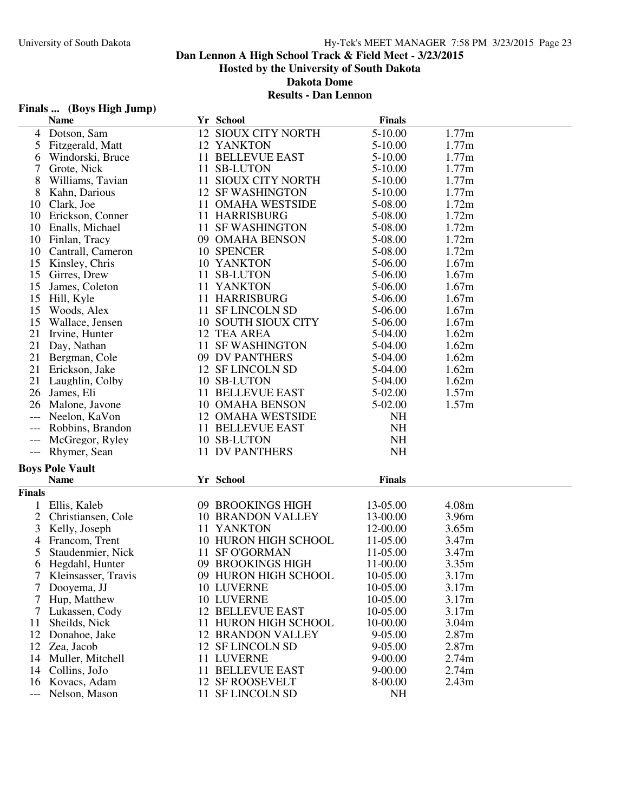#### **Results - Dan Lennon**

# **Finals ... (Boys High Jump)**

|                | <b>Name</b>            |    | Yr School                | <b>Finals</b> |                   |
|----------------|------------------------|----|--------------------------|---------------|-------------------|
| 4              | Dotson, Sam            |    | 12 SIOUX CITY NORTH      | 5-10.00       | 1.77m             |
| 5              | Fitzgerald, Matt       |    | 12 YANKTON               | 5-10.00       | 1.77m             |
| 6              | Windorski, Bruce       |    | 11 BELLEVUE EAST         | 5-10.00       | 1.77m             |
| 7              | Grote, Nick            |    | 11 SB-LUTON              | 5-10.00       | 1.77m             |
| 8              | Williams, Tavian       |    | 11 SIOUX CITY NORTH      | $5 - 10.00$   | 1.77m             |
| 8              | Kahn, Darious          |    | <b>12 SF WASHINGTON</b>  | 5-10.00       | 1.77m             |
| 10             | Clark, Joe             |    | 11 OMAHA WESTSIDE        | 5-08.00       | 1.72m             |
|                |                        |    | 11 HARRISBURG            |               | 1.72m             |
| 10             | Erickson, Conner       |    |                          | 5-08.00       |                   |
| 10             | Enalls, Michael        |    | 11 SF WASHINGTON         | 5-08.00       | 1.72m             |
| 10             | Finlan, Tracy          |    | 09 OMAHA BENSON          | 5-08.00       | 1.72m             |
| 10             | Cantrall, Cameron      |    | 10 SPENCER               | 5-08.00       | 1.72m             |
| 15             | Kinsley, Chris         |    | 10 YANKTON               | 5-06.00       | 1.67m             |
| 15             | Girres, Drew           |    | 11 SB-LUTON              | 5-06.00       | 1.67m             |
| 15             | James, Coleton         |    | 11 YANKTON               | 5-06.00       | 1.67m             |
| 15             | Hill, Kyle             |    | 11 HARRISBURG            | 5-06.00       | 1.67m             |
| 15             | Woods, Alex            |    | 11 SF LINCOLN SD         | 5-06.00       | 1.67m             |
| 15             | Wallace, Jensen        |    | 10 SOUTH SIOUX CITY      | 5-06.00       | 1.67m             |
| 21             | Irvine, Hunter         |    | 12 TEA AREA              | 5-04.00       | 1.62m             |
| 21             | Day, Nathan            | 11 | <b>SF WASHINGTON</b>     | 5-04.00       | 1.62m             |
| 21             | Bergman, Cole          |    | 09 DV PANTHERS           | 5-04.00       | 1.62m             |
| 21             | Erickson, Jake         |    | 12 SF LINCOLN SD         | 5-04.00       | 1.62m             |
| 21             | Laughlin, Colby        |    | 10 SB-LUTON              | 5-04.00       | 1.62m             |
| 26             | James, Eli             |    | 11 BELLEVUE EAST         | 5-02.00       | 1.57m             |
| 26             | Malone, Javone         |    | <b>10 OMAHA BENSON</b>   | 5-02.00       | 1.57m             |
| ---            | Neelon, KaVon          |    | <b>12 OMAHA WESTSIDE</b> | <b>NH</b>     |                   |
|                | Robbins, Brandon       |    | 11 BELLEVUE EAST         | <b>NH</b>     |                   |
|                | McGregor, Ryley        |    | 10 SB-LUTON              | <b>NH</b>     |                   |
|                | --- Rhymer, Sean       |    | 11 DV PANTHERS           | <b>NH</b>     |                   |
|                | <b>Boys Pole Vault</b> |    |                          |               |                   |
|                | <b>Name</b>            |    | Yr School                | <b>Finals</b> |                   |
|                |                        |    |                          |               |                   |
| Finals         |                        |    |                          |               |                   |
|                | Ellis, Kaleb           |    | 09 BROOKINGS HIGH        | 13-05.00      | 4.08m             |
| $\overline{2}$ | Christiansen, Cole     |    | <b>10 BRANDON VALLEY</b> | 13-00.00      | 3.96m             |
| 3              | Kelly, Joseph          |    | 11 YANKTON               | 12-00.00      | 3.65m             |
| 4              | Francom, Trent         |    | 10 HURON HIGH SCHOOL     | 11-05.00      | 3.47m             |
| 5              | Staudenmier, Nick      |    | 11 SF O'GORMAN           | 11-05.00      | 3.47m             |
| 6              | Hegdahl, Hunter        |    | 09 BROOKINGS HIGH        | 11-00.00      | 3.35m             |
|                | 7 Kleinsasser, Travis  |    | 09 HURON HIGH SCHOOL     | 10-05.00      | 3.17m             |
| 7              | Dooyema, JJ            |    | 10 LUVERNE               | 10-05.00      | 3.17m             |
| 7              | Hup, Matthew           |    | 10 LUVERNE               | 10-05.00      | 3.17m             |
| 7              | Lukassen, Cody         |    | <b>12 BELLEVUE EAST</b>  | 10-05.00      | 3.17m             |
| 11             | Sheilds, Nick          |    | 11 HURON HIGH SCHOOL     | 10-00.00      | 3.04m             |
| 12             | Donahoe, Jake          |    | <b>12 BRANDON VALLEY</b> | 9-05.00       | 2.87 <sub>m</sub> |
| 12             | Zea, Jacob             |    | 12 SF LINCOLN SD         | 9-05.00       | 2.87m             |
| 14             | Muller, Mitchell       |    | 11 LUVERNE               | $9 - 00.00$   | 2.74m             |
| 14             | Collins, JoJo          |    | 11 BELLEVUE EAST         | $9 - 00.00$   | 2.74m             |
| 16             | Kovacs, Adam           |    | 12 SF ROOSEVELT          | 8-00.00       | 2.43m             |
| ---            | Nelson, Mason          |    | 11 SF LINCOLN SD         | <b>NH</b>     |                   |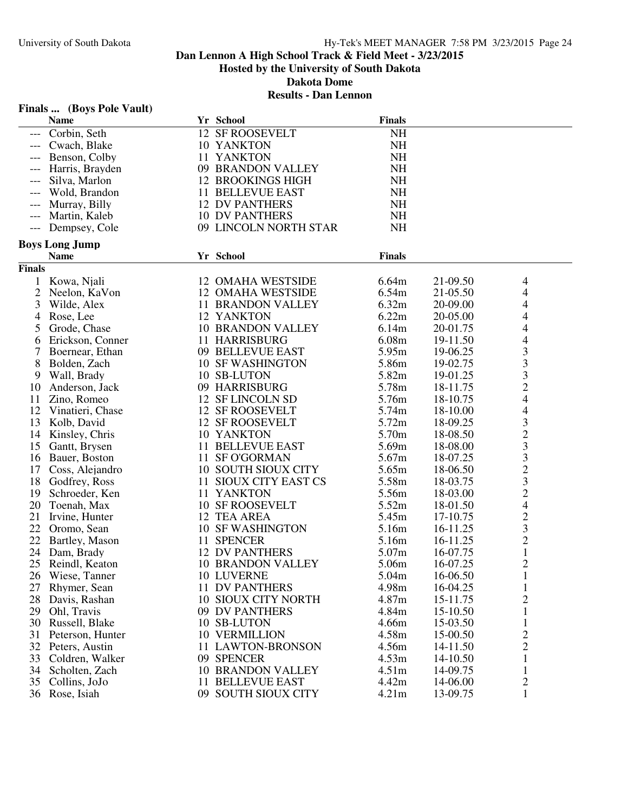# **Finals ... (Boys Pole Vault)**

|               | <b>Name</b>                         | Yr School                             | <b>Finals</b> |          |                          |
|---------------|-------------------------------------|---------------------------------------|---------------|----------|--------------------------|
|               | Corbin, Seth                        | 12 SF ROOSEVELT                       | <b>NH</b>     |          |                          |
|               | Cwach, Blake                        | 10 YANKTON                            | <b>NH</b>     |          |                          |
|               | Benson, Colby                       | 11 YANKTON                            | <b>NH</b>     |          |                          |
|               | Harris, Brayden                     | 09 BRANDON VALLEY                     | <b>NH</b>     |          |                          |
|               | Silva, Marlon                       | <b>12 BROOKINGS HIGH</b>              | <b>NH</b>     |          |                          |
|               | Wold, Brandon                       | 11 BELLEVUE EAST                      | <b>NH</b>     |          |                          |
|               | Murray, Billy                       | <b>12 DV PANTHERS</b>                 | NH            |          |                          |
|               | Martin, Kaleb                       | <b>10 DV PANTHERS</b>                 | <b>NH</b>     |          |                          |
| ---           | Dempsey, Cole                       | 09 LINCOLN NORTH STAR                 | <b>NH</b>     |          |                          |
|               | <b>Boys Long Jump</b>               |                                       |               |          |                          |
|               | <b>Name</b>                         | Yr School                             | <b>Finals</b> |          |                          |
| <b>Finals</b> |                                     |                                       |               |          |                          |
|               | 1 Kowa, Njali                       | 12 OMAHA WESTSIDE                     | 6.64m         | 21-09.50 | 4                        |
| 2             | Neelon, KaVon                       | <b>12 OMAHA WESTSIDE</b>              | 6.54m         | 21-05.50 | 4                        |
| 3             | Wilde, Alex                         | 11 BRANDON VALLEY                     | 6.32m         | 20-09.00 | $\overline{\mathcal{A}}$ |
| 4             | Rose, Lee                           | 12 YANKTON                            | 6.22m         | 20-05.00 | 4                        |
| 5             | Grode, Chase                        | <b>10 BRANDON VALLEY</b>              | 6.14m         | 20-01.75 | 4                        |
| 6             | Erickson, Conner                    | 11 HARRISBURG                         | 6.08m         | 19-11.50 | $\overline{4}$           |
| 7             | Boernear, Ethan                     | 09 BELLEVUE EAST                      | 5.95m         | 19-06.25 | 3                        |
| 8             | Bolden, Zach                        | <b>10 SF WASHINGTON</b>               | 5.86m         | 19-02.75 | 3                        |
| 9             | Wall, Brady                         | 10 SB-LUTON                           | 5.82m         | 19-01.25 |                          |
| 10            | Anderson, Jack                      | 09 HARRISBURG                         | 5.78m         | 18-11.75 | $\frac{3}{2}$            |
| 11            | Zino, Romeo                         | 12 SF LINCOLN SD                      | 5.76m         | 18-10.75 | $\overline{4}$           |
| 12            | Vinatieri, Chase                    | 12 SF ROOSEVELT                       | 5.74m         | 18-10.00 | 4                        |
| 13            | Kolb, David                         | 12 SF ROOSEVELT                       | 5.72m         | 18-09.25 | $\mathfrak{Z}$           |
| 14            | Kinsley, Chris                      | 10 YANKTON                            | 5.70m         | 18-08.50 | $\overline{c}$           |
| 15            | Gantt, Brysen                       | 11 BELLEVUE EAST                      | 5.69m         | 18-08.00 | 3                        |
| 16            | Bauer, Boston                       | 11 SF O'GORMAN                        | 5.67m         | 18-07.25 | 3                        |
| 17            |                                     | 10 SOUTH SIOUX CITY                   | 5.65m         | 18-06.50 | $\overline{c}$           |
|               | Coss, Alejandro<br>18 Godfrey, Ross | 11 SIOUX CITY EAST CS                 | 5.58m         | 18-03.75 | 3                        |
| 19            |                                     | 11 YANKTON                            | 5.56m         | 18-03.00 |                          |
|               | Schroeder, Ken                      |                                       |               |          | $\overline{c}$           |
| 20            | Toenah, Max                         | <b>10 SF ROOSEVELT</b><br>12 TEA AREA | 5.52m         | 18-01.50 | $\overline{4}$           |
| 21            | Irvine, Hunter                      |                                       | 5.45m         | 17-10.75 | $\overline{\mathbf{c}}$  |
|               | 22 Oromo, Sean                      | <b>10 SF WASHINGTON</b>               | 5.16m         | 16-11.25 | 3                        |
|               | 22 Bartley, Mason                   | 11 SPENCER                            | 5.16m         | 16-11.25 | $\overline{c}$           |
| 24            | Dam, Brady                          | <b>12 DV PANTHERS</b>                 | 5.07m         | 16-07.75 | $\mathbf{1}$             |
| 25            | Reindl, Keaton                      | <b>10 BRANDON VALLEY</b>              | 5.06m         | 16-07.25 | $\overline{2}$           |
| 26            | Wiese, Tanner                       | 10 LUVERNE                            | 5.04m         | 16-06.50 | T                        |
| 27            | Rhymer, Sean                        | 11 DV PANTHERS                        | 4.98m         | 16-04.25 | $\mathbf{1}$             |
| 28            | Davis, Rashan                       | 10 SIOUX CITY NORTH                   | 4.87m         | 15-11.75 | $\overline{c}$           |
| 29            | Ohl, Travis                         | 09 DV PANTHERS                        | 4.84m         | 15-10.50 | $\mathbf{1}$             |
| 30            | Russell, Blake                      | 10 SB-LUTON                           | 4.66m         | 15-03.50 | $\mathbf{1}$             |
| 31            | Peterson, Hunter                    | <b>10 VERMILLION</b>                  | 4.58m         | 15-00.50 | $\overline{\mathbf{c}}$  |
|               | 32 Peters, Austin                   | 11 LAWTON-BRONSON                     | 4.56m         | 14-11.50 | $\overline{c}$           |
|               | 33 Coldren, Walker                  | 09 SPENCER                            | 4.53m         | 14-10.50 | $\mathbf{1}$             |
| 34            | Scholten, Zach                      | <b>10 BRANDON VALLEY</b>              | 4.51m         | 14-09.75 | $\mathbf{1}$             |
|               | 35 Collins, JoJo                    | 11 BELLEVUE EAST                      | 4.42m         | 14-06.00 | $\overline{c}$           |
|               | 36 Rose, Isiah                      | 09 SOUTH SIOUX CITY                   | 4.21m         | 13-09.75 | 1                        |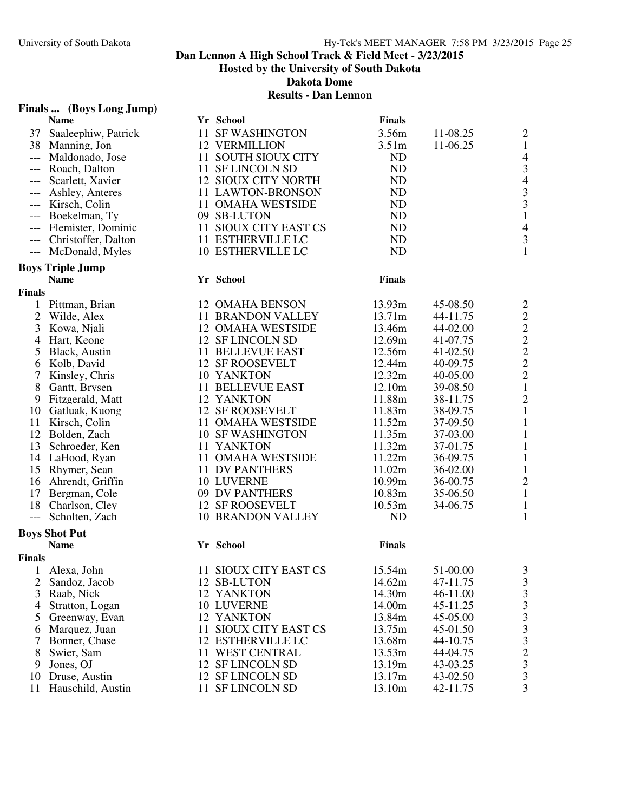# **Finals ... (Boys Long Jump)**

|                                     | <b>Name</b>             |    | Yr School                 | <b>Finals</b>     |          |                                            |  |
|-------------------------------------|-------------------------|----|---------------------------|-------------------|----------|--------------------------------------------|--|
|                                     | 37 Saaleephiw, Patrick  |    | 11 SF WASHINGTON          | 3.56m             | 11-08.25 | $\overline{c}$                             |  |
| 38                                  | Manning, Jon            |    | <b>12 VERMILLION</b>      | 3.51 <sub>m</sub> | 11-06.25 | $\mathbf{1}$                               |  |
| $---$                               | Maldonado, Jose         |    | 11 SOUTH SIOUX CITY       | <b>ND</b>         |          | 4                                          |  |
| $---$                               | Roach, Dalton           |    | 11 SF LINCOLN SD          | ND                |          | 3                                          |  |
|                                     | Scarlett, Xavier        |    | 12 SIOUX CITY NORTH       | ND                |          | 4                                          |  |
|                                     | Ashley, Anteres         |    | 11 LAWTON-BRONSON         | ND                |          | 3                                          |  |
| $---$                               | Kirsch, Colin           |    | 11 OMAHA WESTSIDE         | ND                |          | 3                                          |  |
|                                     | Boekelman, Ty           |    | 09 SB-LUTON               | ND                |          | $\mathbf{1}$                               |  |
| $---$                               | Flemister, Dominic      |    | 11 SIOUX CITY EAST CS     | ND                |          | 4                                          |  |
|                                     | Christoffer, Dalton     |    | 11 ESTHERVILLE LC         | ND                |          | 3                                          |  |
| $---$                               |                         |    | 10 ESTHERVILLE LC         |                   |          | $\mathbf{1}$                               |  |
| $\hspace{0.05cm}---\hspace{0.05cm}$ | McDonald, Myles         |    |                           | <b>ND</b>         |          |                                            |  |
|                                     | <b>Boys Triple Jump</b> |    |                           |                   |          |                                            |  |
|                                     | <b>Name</b>             |    | Yr School                 | <b>Finals</b>     |          |                                            |  |
| <b>Finals</b>                       |                         |    |                           |                   |          |                                            |  |
|                                     | 1 Pittman, Brian        |    | 12 OMAHA BENSON           | 13.93m            | 45-08.50 | $\overline{c}$                             |  |
| $\overline{2}$                      | Wilde, Alex             |    | <b>11 BRANDON VALLEY</b>  | 13.71m            | 44-11.75 | $\overline{\mathbf{c}}$                    |  |
| 3                                   | Kowa, Njali             |    | <b>12 OMAHA WESTSIDE</b>  | 13.46m            | 44-02.00 |                                            |  |
| 4                                   | Hart, Keone             |    | 12 SF LINCOLN SD          | 12.69m            | 41-07.75 |                                            |  |
| 5                                   | Black, Austin           |    | 11 BELLEVUE EAST          | 12.56m            | 41-02.50 | $\begin{array}{c} 2 \\ 2 \\ 2 \end{array}$ |  |
| 6                                   | Kolb, David             |    | 12 SF ROOSEVELT           | 12.44m            | 40-09.75 |                                            |  |
|                                     | Kinsley, Chris          |    | 10 YANKTON                | 12.32m            | 40-05.00 | $\overline{c}$                             |  |
| 8                                   | Gantt, Brysen           |    | 11 BELLEVUE EAST          | 12.10m            | 39-08.50 | $\mathbf{1}$                               |  |
| 9                                   | Fitzgerald, Matt        |    | 12 YANKTON                | 11.88m            | 38-11.75 | $\overline{c}$                             |  |
| 10                                  | Gatluak, Kuong          |    | 12 SF ROOSEVELT           | 11.83m            | 38-09.75 | $\mathbf{1}$                               |  |
| 11                                  | Kirsch, Colin           |    | 11 OMAHA WESTSIDE         | 11.52m            | 37-09.50 | $\mathbf{1}$                               |  |
| 12                                  | Bolden, Zach            |    | <b>10 SF WASHINGTON</b>   | 11.35m            | 37-03.00 | 1                                          |  |
| 13                                  | Schroeder, Ken          |    | 11 YANKTON                | 11.32m            | 37-01.75 | $\mathbf{1}$                               |  |
|                                     |                         |    |                           |                   |          |                                            |  |
|                                     | 14 LaHood, Ryan         |    | 11 OMAHA WESTSIDE         | 11.22m            | 36-09.75 | $\mathbf{1}$                               |  |
| 15                                  | Rhymer, Sean            |    | <b>11 DV PANTHERS</b>     | 11.02m            | 36-02.00 | $\mathbf{1}$                               |  |
| 16                                  | Ahrendt, Griffin        |    | 10 LUVERNE                | 10.99m            | 36-00.75 | $\overline{c}$                             |  |
| 17                                  | Bergman, Cole           |    | 09 DV PANTHERS            | 10.83m            | 35-06.50 | $\mathbf{1}$                               |  |
| 18                                  | Charlson, Cley          |    | 12 SF ROOSEVELT           | 10.53m            | 34-06.75 | $\mathbf{1}$                               |  |
| $\qquad \qquad - -$                 | Scholten, Zach          |    | <b>10 BRANDON VALLEY</b>  | N <sub>D</sub>    |          | $\mathbf{1}$                               |  |
| <b>Boys Shot Put</b>                |                         |    |                           |                   |          |                                            |  |
|                                     | <b>Name</b>             |    | Yr School                 | <b>Finals</b>     |          |                                            |  |
| <b>Finals</b>                       |                         |    |                           |                   |          |                                            |  |
|                                     | Alexa, John             |    | 11 SIOUX CITY EAST CS     | 15.54m            | 51-00.00 | 3                                          |  |
| 2                                   | Sandoz, Jacob           |    | 12 SB-LUTON               | 14.62m            | 47-11.75 | $\mathfrak{Z}$                             |  |
| 3                                   | Raab, Nick              |    | 12 YANKTON                | 14.30m            | 46-11.00 | 3                                          |  |
| 4                                   | Stratton, Logan         |    | 10 LUVERNE                | 14.00m            | 45-11.25 |                                            |  |
| 5                                   | Greenway, Evan          |    | 12 YANKTON                | 13.84m            | 45-05.00 | 333323                                     |  |
| 6                                   | Marquez, Juan           | 11 | <b>SIOUX CITY EAST CS</b> | 13.75m            | 45-01.50 |                                            |  |
|                                     | Bonner, Chase           |    | 12 ESTHERVILLE LC         | 13.68m            |          |                                            |  |
| 7                                   |                         |    |                           |                   | 44-10.75 |                                            |  |
| 8                                   | Swier, Sam              |    | 11 WEST CENTRAL           | 13.53m            | 44-04.75 |                                            |  |
| 9                                   | Jones, OJ               |    | 12 SF LINCOLN SD          | 13.19m            | 43-03.25 |                                            |  |
| 10                                  | Druse, Austin           |    | 12 SF LINCOLN SD          | 13.17m            | 43-02.50 | 3                                          |  |
| 11                                  | Hauschild, Austin       |    | 11 SF LINCOLN SD          | 13.10m            | 42-11.75 | 3                                          |  |